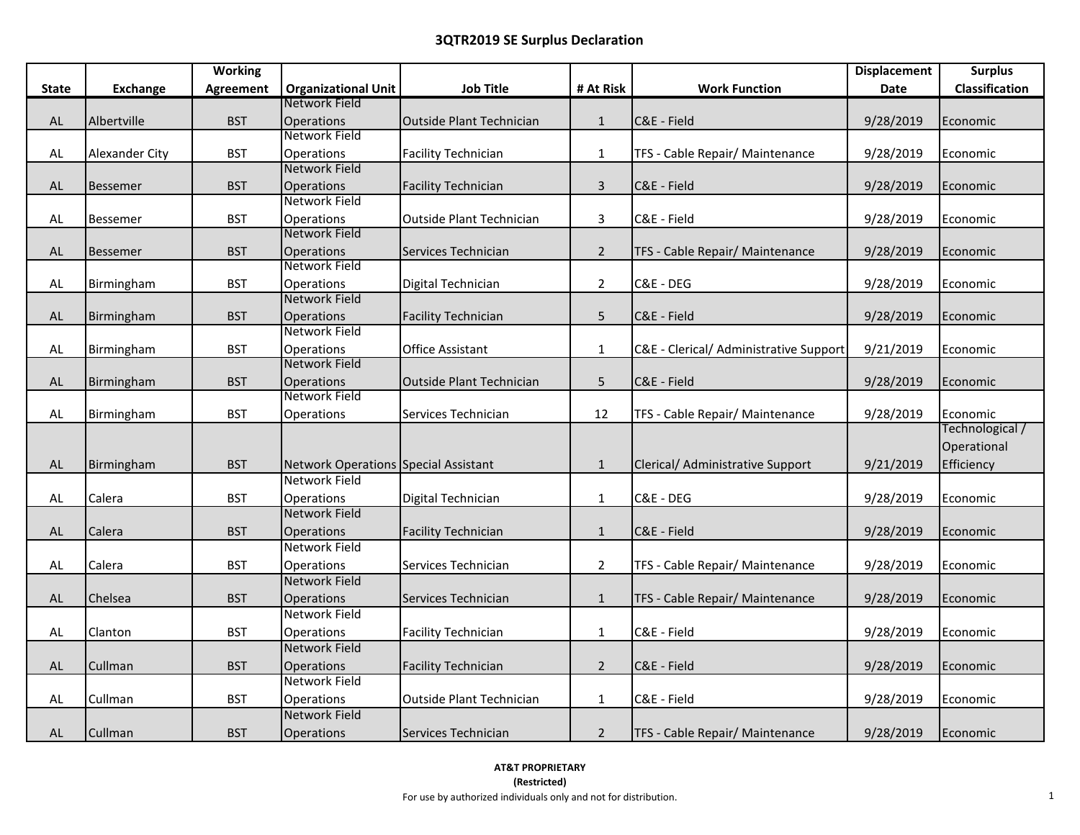|               |                 | <b>Working</b>   |                                             |                                 |                |                                        | <b>Displacement</b> | <b>Surplus</b>        |
|---------------|-----------------|------------------|---------------------------------------------|---------------------------------|----------------|----------------------------------------|---------------------|-----------------------|
| <b>State</b>  | <b>Exchange</b> | <b>Agreement</b> | <b>Organizational Unit</b>                  | <b>Job Title</b>                | # At Risk      | <b>Work Function</b>                   | Date                | <b>Classification</b> |
|               |                 |                  | Network Field                               |                                 |                |                                        |                     |                       |
| $\mathsf{AL}$ | Albertville     | <b>BST</b>       | <b>Operations</b>                           | <b>Outside Plant Technician</b> | $\mathbf{1}$   | C&E - Field                            | 9/28/2019           | Economic              |
|               |                 |                  | Network Field                               |                                 |                |                                        |                     |                       |
| AL            | Alexander City  | <b>BST</b>       | Operations                                  | <b>Facility Technician</b>      | $\mathbf{1}$   | TFS - Cable Repair/ Maintenance        | 9/28/2019           | Economic              |
|               |                 |                  | Network Field                               |                                 |                |                                        |                     |                       |
| AL            | <b>Bessemer</b> | <b>BST</b>       | <b>Operations</b>                           | <b>Facility Technician</b>      | $\mathbf{3}$   | C&E - Field                            | 9/28/2019           | Economic              |
|               |                 |                  | Network Field                               |                                 |                |                                        |                     |                       |
| AL            | <b>Bessemer</b> | <b>BST</b>       | Operations                                  | Outside Plant Technician        | 3              | C&E - Field                            | 9/28/2019           | Economic              |
|               |                 |                  | <b>Network Field</b>                        |                                 |                |                                        |                     |                       |
| AL            | <b>Bessemer</b> | <b>BST</b>       | Operations                                  | Services Technician             | $2^{\circ}$    | TFS - Cable Repair/ Maintenance        | 9/28/2019           | Economic              |
|               |                 |                  | Network Field                               |                                 |                |                                        |                     |                       |
| AL            | Birmingham      | <b>BST</b>       | Operations                                  | Digital Technician              | $\overline{2}$ | C&E - DEG                              | 9/28/2019           | Economic              |
|               |                 |                  | <b>Network Field</b>                        |                                 |                |                                        |                     |                       |
| $\mathsf{AL}$ | Birmingham      | <b>BST</b>       | Operations                                  | <b>Facility Technician</b>      | 5              | C&E - Field                            | 9/28/2019           | Economic              |
|               |                 |                  | Network Field                               |                                 |                |                                        |                     |                       |
| AL            | Birmingham      | <b>BST</b>       | Operations                                  | Office Assistant                | $\mathbf{1}$   | C&E - Clerical/ Administrative Support | 9/21/2019           | Economic              |
|               |                 |                  | <b>Network Field</b>                        |                                 |                |                                        |                     |                       |
| $\mathsf{AL}$ | Birmingham      | <b>BST</b>       | Operations                                  | <b>Outside Plant Technician</b> | 5              | C&E - Field                            | 9/28/2019           | Economic              |
|               |                 |                  | Network Field                               |                                 |                |                                        |                     |                       |
| $\mathsf{AL}$ | Birmingham      | <b>BST</b>       | Operations                                  | Services Technician             | 12             | TFS - Cable Repair/ Maintenance        | 9/28/2019           | Economic              |
|               |                 |                  |                                             |                                 |                |                                        |                     | Technological /       |
|               |                 |                  |                                             |                                 |                |                                        |                     | Operational           |
| ${\sf AL}$    | Birmingham      | <b>BST</b>       | <b>Network Operations Special Assistant</b> |                                 | $\mathbf{1}$   | Clerical/ Administrative Support       | 9/21/2019           | Efficiency            |
|               |                 |                  | <b>Network Field</b>                        |                                 |                |                                        |                     |                       |
| AL            | Calera          | <b>BST</b>       | Operations                                  | Digital Technician              | $\mathbf{1}$   | C&E - DEG                              | 9/28/2019           | Economic              |
|               |                 |                  | <b>Network Field</b>                        |                                 |                |                                        |                     |                       |
| $\mathsf{AL}$ | Calera          | <b>BST</b>       | <b>Operations</b>                           | <b>Facility Technician</b>      | $\mathbf{1}$   | C&E - Field                            | 9/28/2019           | Economic              |
|               |                 |                  | <b>Network Field</b>                        |                                 |                |                                        |                     |                       |
| AL            | Calera          | <b>BST</b>       | <b>Operations</b>                           | Services Technician             | $\overline{2}$ | TFS - Cable Repair/ Maintenance        | 9/28/2019           | Economic              |
|               |                 |                  | <b>Network Field</b>                        |                                 |                |                                        |                     |                       |
| AL            | Chelsea         | <b>BST</b>       | <b>Operations</b>                           | Services Technician             | $\mathbf{1}$   | TFS - Cable Repair/ Maintenance        | 9/28/2019           | Economic              |
|               |                 |                  | <b>Network Field</b>                        |                                 |                |                                        |                     |                       |
| AL            | Clanton         | <b>BST</b>       | Operations                                  | <b>Facility Technician</b>      | $\mathbf{1}$   | C&E - Field                            | 9/28/2019           | Economic              |
|               |                 |                  | <b>Network Field</b>                        |                                 |                |                                        |                     |                       |
| AL            | Cullman         | <b>BST</b>       | Operations                                  | <b>Facility Technician</b>      | $2^{\circ}$    | C&E - Field                            | 9/28/2019           | Economic              |
|               |                 |                  | Network Field                               |                                 |                |                                        |                     |                       |
| AL            | Cullman         | <b>BST</b>       | Operations                                  | Outside Plant Technician        | $\mathbf{1}$   | C&E - Field                            | 9/28/2019           | Economic              |
|               |                 |                  | Network Field                               |                                 |                |                                        |                     |                       |
| AL            | Cullman         | <b>BST</b>       | <b>Operations</b>                           | Services Technician             | $\overline{2}$ | TFS - Cable Repair/ Maintenance        | 9/28/2019           | Economic              |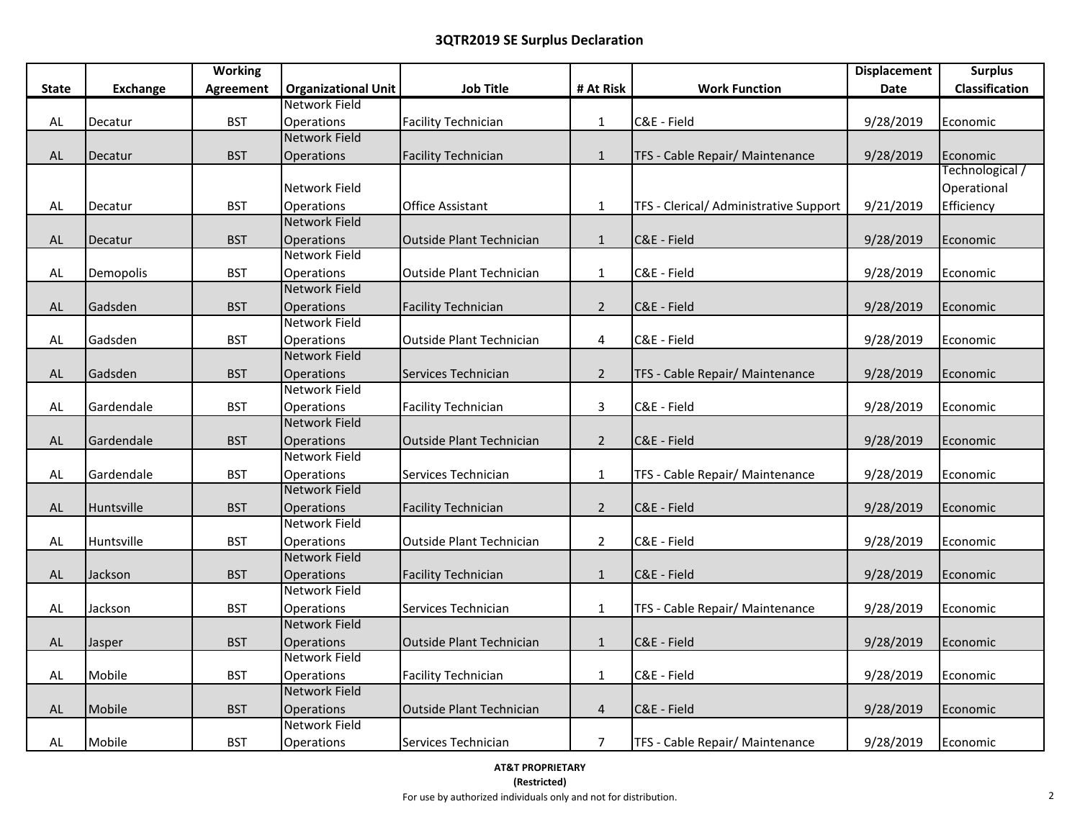|               |                 | <b>Working</b>   |                            |                                 |                |                                        | <b>Displacement</b> | <b>Surplus</b>  |
|---------------|-----------------|------------------|----------------------------|---------------------------------|----------------|----------------------------------------|---------------------|-----------------|
| <b>State</b>  | <b>Exchange</b> | <b>Agreement</b> | <b>Organizational Unit</b> | <b>Job Title</b>                | # At Risk      | <b>Work Function</b>                   | Date                | Classification  |
|               |                 |                  | Network Field              |                                 |                |                                        |                     |                 |
| $\mathsf{AL}$ | Decatur         | <b>BST</b>       | Operations                 | <b>Facility Technician</b>      | $\mathbf{1}$   | C&E - Field                            | 9/28/2019           | Economic        |
|               |                 |                  | <b>Network Field</b>       |                                 |                |                                        |                     |                 |
| AL            | Decatur         | <b>BST</b>       | Operations                 | <b>Facility Technician</b>      | $\mathbf{1}$   | TFS - Cable Repair/ Maintenance        | 9/28/2019           | Economic        |
|               |                 |                  |                            |                                 |                |                                        |                     | Technological / |
|               |                 |                  | Network Field              |                                 |                |                                        |                     | Operational     |
| AL            | Decatur         | <b>BST</b>       | Operations                 | <b>Office Assistant</b>         | $\mathbf{1}$   | TFS - Clerical/ Administrative Support | 9/21/2019           | Efficiency      |
|               |                 |                  | <b>Network Field</b>       |                                 |                |                                        |                     |                 |
| $\mathsf{AL}$ | Decatur         | <b>BST</b>       | Operations                 | Outside Plant Technician        | $\mathbf{1}$   | C&E - Field                            | 9/28/2019           | Economic        |
|               |                 |                  | <b>Network Field</b>       |                                 |                |                                        |                     |                 |
| AL            | Demopolis       | <b>BST</b>       | Operations                 | Outside Plant Technician        | $\mathbf{1}$   | C&E - Field                            | 9/28/2019           | Economic        |
|               |                 |                  | <b>Network Field</b>       |                                 |                |                                        |                     |                 |
| $\mathsf{AL}$ | Gadsden         | <b>BST</b>       | Operations                 | <b>Facility Technician</b>      | $2^{\circ}$    | C&E - Field                            | 9/28/2019           | Economic        |
|               |                 |                  | <b>Network Field</b>       |                                 |                |                                        |                     |                 |
| $\mathsf{AL}$ | Gadsden         | <b>BST</b>       | Operations                 | <b>Outside Plant Technician</b> | 4              | C&E - Field                            | 9/28/2019           | Economic        |
|               |                 |                  | <b>Network Field</b>       |                                 |                |                                        |                     |                 |
| $\mathsf{AL}$ | Gadsden         | <b>BST</b>       | Operations                 | Services Technician             | $\overline{2}$ | TFS - Cable Repair/ Maintenance        | 9/28/2019           | Economic        |
|               |                 |                  | <b>Network Field</b>       |                                 |                |                                        |                     |                 |
| AL            | Gardendale      | <b>BST</b>       | <b>Operations</b>          | <b>Facility Technician</b>      | 3              | C&E - Field                            | 9/28/2019           | Economic        |
|               |                 |                  | <b>Network Field</b>       |                                 |                |                                        |                     |                 |
| $\mathsf{AL}$ | Gardendale      | <b>BST</b>       | Operations                 | <b>Outside Plant Technician</b> | $\overline{2}$ | C&E - Field                            | 9/28/2019           | Economic        |
|               |                 |                  | Network Field              |                                 |                |                                        |                     |                 |
| AL            | Gardendale      | <b>BST</b>       | Operations                 | Services Technician             | $\mathbf{1}$   | TFS - Cable Repair/ Maintenance        | 9/28/2019           | Economic        |
|               |                 |                  | <b>Network Field</b>       |                                 |                |                                        |                     |                 |
| AL            | Huntsville      | <b>BST</b>       | Operations                 | <b>Facility Technician</b>      | $2^{\circ}$    | C&E - Field                            | 9/28/2019           | Economic        |
|               |                 |                  | <b>Network Field</b>       |                                 |                |                                        |                     |                 |
| AL            | Huntsville      | <b>BST</b>       | Operations                 | <b>Outside Plant Technician</b> | $\overline{2}$ | C&E - Field                            | 9/28/2019           | Economic        |
|               |                 |                  | <b>Network Field</b>       |                                 |                |                                        |                     |                 |
| AL            | Jackson         | <b>BST</b>       | <b>Operations</b>          | <b>Facility Technician</b>      | $\mathbf{1}$   | C&E - Field                            | 9/28/2019           | Economic        |
|               |                 |                  | <b>Network Field</b>       |                                 |                |                                        |                     |                 |
| AL            | Jackson         | <b>BST</b>       | Operations                 | Services Technician             | $\mathbf{1}$   | TFS - Cable Repair/ Maintenance        | 9/28/2019           | Economic        |
|               |                 |                  | <b>Network Field</b>       |                                 |                |                                        |                     |                 |
| AL            | Jasper          | <b>BST</b>       | Operations                 | Outside Plant Technician        | $\mathbf{1}$   | C&E - Field                            | 9/28/2019           | Economic        |
|               |                 |                  | <b>Network Field</b>       |                                 |                |                                        |                     |                 |
| $\mathsf{AL}$ | Mobile          | <b>BST</b>       | Operations                 | <b>Facility Technician</b>      | $\mathbf{1}$   | C&E - Field                            | 9/28/2019           | Economic        |
|               |                 |                  | <b>Network Field</b>       |                                 |                |                                        |                     |                 |
| $\mathsf{AL}$ | Mobile          | <b>BST</b>       | <b>Operations</b>          | Outside Plant Technician        | 4              | C&E - Field                            | 9/28/2019           | Economic        |
|               |                 |                  | <b>Network Field</b>       |                                 |                |                                        |                     |                 |
| AL            | Mobile          | <b>BST</b>       | Operations                 | Services Technician             | $\overline{7}$ | TFS - Cable Repair/ Maintenance        | 9/28/2019           | Economic        |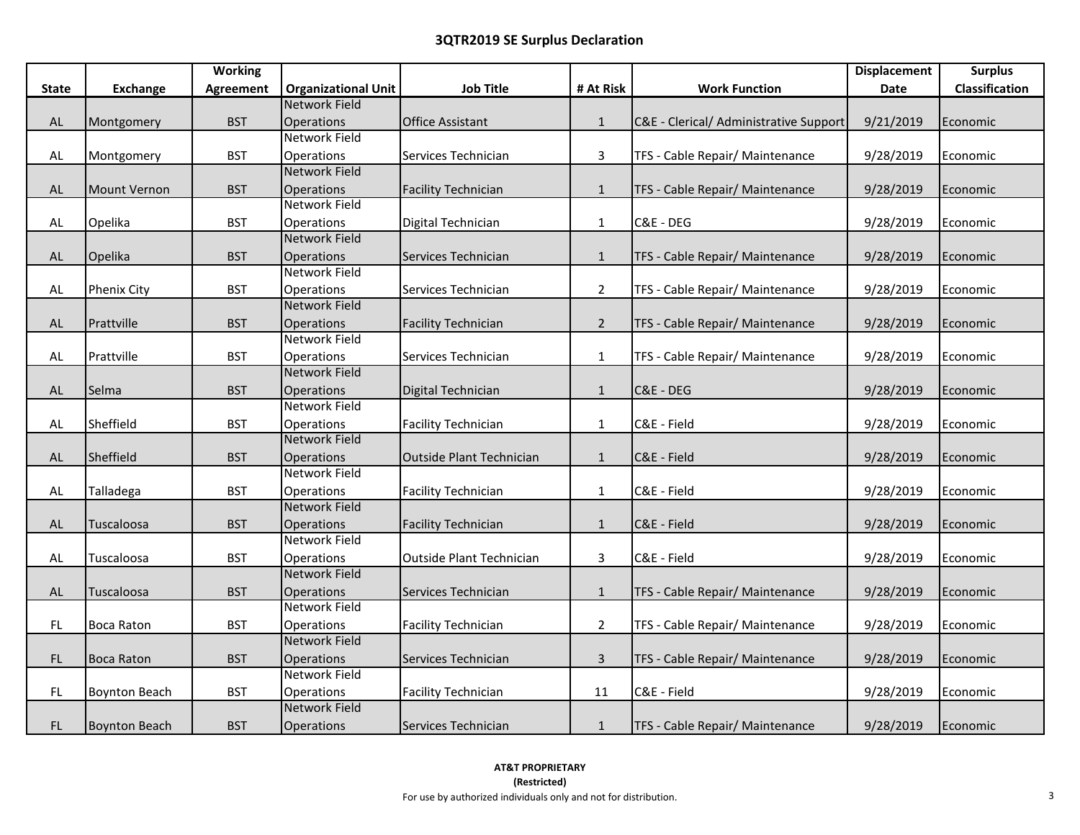|               |                      | <b>Working</b> |                            |                                 |                |                                        | <b>Displacement</b> | <b>Surplus</b> |
|---------------|----------------------|----------------|----------------------------|---------------------------------|----------------|----------------------------------------|---------------------|----------------|
| <b>State</b>  | <b>Exchange</b>      | Agreement      | <b>Organizational Unit</b> | <b>Job Title</b>                | # At Risk      | <b>Work Function</b>                   | Date                | Classification |
|               |                      |                | <b>Network Field</b>       |                                 |                |                                        |                     |                |
| AL            | Montgomery           | <b>BST</b>     | Operations                 | <b>Office Assistant</b>         | $\mathbf{1}$   | C&E - Clerical/ Administrative Support | 9/21/2019           | Economic       |
|               |                      |                | <b>Network Field</b>       |                                 |                |                                        |                     |                |
| $\mathsf{AL}$ | Montgomery           | <b>BST</b>     | Operations                 | Services Technician             | $\overline{3}$ | TFS - Cable Repair/ Maintenance        | 9/28/2019           | Economic       |
|               |                      |                | <b>Network Field</b>       |                                 |                |                                        |                     |                |
| $\mathsf{AL}$ | Mount Vernon         | <b>BST</b>     | Operations                 | <b>Facility Technician</b>      | $\mathbf{1}$   | TFS - Cable Repair/ Maintenance        | 9/28/2019           | Economic       |
|               |                      |                | Network Field              |                                 |                |                                        |                     |                |
| AL            | Opelika              | <b>BST</b>     | Operations                 | Digital Technician              | $\mathbf{1}$   | C&E - DEG                              | 9/28/2019           | Economic       |
|               |                      |                | <b>Network Field</b>       |                                 |                |                                        |                     |                |
| AL            | Opelika              | <b>BST</b>     | Operations                 | Services Technician             | $\mathbf{1}$   | TFS - Cable Repair/ Maintenance        | 9/28/2019           | Economic       |
|               |                      |                | <b>Network Field</b>       |                                 |                |                                        |                     |                |
| AL            | <b>Phenix City</b>   | <b>BST</b>     | Operations                 | Services Technician             | $\overline{2}$ | TFS - Cable Repair/ Maintenance        | 9/28/2019           | Economic       |
|               |                      |                | <b>Network Field</b>       |                                 |                |                                        |                     |                |
| $\mathsf{AL}$ | Prattville           | <b>BST</b>     | Operations                 | <b>Facility Technician</b>      | $2^{\circ}$    | TFS - Cable Repair/ Maintenance        | 9/28/2019           | Economic       |
|               |                      |                | Network Field              |                                 |                |                                        |                     |                |
| AL            | Prattville           | <b>BST</b>     | Operations                 | Services Technician             | $\mathbf{1}$   | TFS - Cable Repair/ Maintenance        | 9/28/2019           | Economic       |
|               |                      |                | Network Field              |                                 |                |                                        |                     |                |
| $\mathsf{AL}$ | Selma                | <b>BST</b>     | Operations                 | Digital Technician              | $\mathbf{1}$   | C&E - DEG                              | 9/28/2019           | Economic       |
|               |                      |                | <b>Network Field</b>       |                                 |                |                                        |                     |                |
| AL            | Sheffield            | <b>BST</b>     | Operations                 | <b>Facility Technician</b>      | $\mathbf{1}$   | C&E - Field                            | 9/28/2019           | Economic       |
|               |                      |                | <b>Network Field</b>       |                                 |                |                                        |                     |                |
| $\mathsf{AL}$ | Sheffield            | <b>BST</b>     | Operations                 | <b>Outside Plant Technician</b> | $\mathbf{1}$   | C&E - Field                            | 9/28/2019           | Economic       |
|               |                      |                | Network Field              |                                 |                |                                        |                     |                |
| AL            | Talladega            | <b>BST</b>     | Operations                 | <b>Facility Technician</b>      | $\mathbf{1}$   | C&E - Field                            | 9/28/2019           | Economic       |
|               |                      |                | <b>Network Field</b>       |                                 |                |                                        |                     |                |
| $\mathsf{AL}$ | Tuscaloosa           | <b>BST</b>     | <b>Operations</b>          | <b>Facility Technician</b>      | $\mathbf{1}$   | C&E - Field                            | 9/28/2019           | Economic       |
|               |                      |                | <b>Network Field</b>       |                                 |                |                                        |                     |                |
| AL            | Tuscaloosa           | <b>BST</b>     | <b>Operations</b>          | <b>Outside Plant Technician</b> | 3              | C&E - Field                            | 9/28/2019           | Economic       |
|               |                      |                | Network Field              |                                 |                |                                        |                     |                |
| $\mathsf{AL}$ | Tuscaloosa           | <b>BST</b>     | Operations                 | Services Technician             | $\mathbf{1}$   | TFS - Cable Repair/ Maintenance        | 9/28/2019           | Economic       |
|               |                      |                | Network Field              |                                 |                |                                        |                     |                |
| FL            | <b>Boca Raton</b>    | <b>BST</b>     | Operations                 | <b>Facility Technician</b>      | $\overline{2}$ | TFS - Cable Repair/ Maintenance        | 9/28/2019           | Economic       |
|               |                      |                | <b>Network Field</b>       |                                 |                |                                        |                     |                |
| $\mathsf{FL}$ | Boca Raton           | <b>BST</b>     | Operations                 | Services Technician             | $\overline{3}$ | TFS - Cable Repair/ Maintenance        | 9/28/2019           | Economic       |
|               |                      |                | Network Field              |                                 |                |                                        |                     |                |
| FL            | <b>Boynton Beach</b> | <b>BST</b>     | Operations                 | <b>Facility Technician</b>      | 11             | C&E - Field                            | 9/28/2019           | Economic       |
|               |                      |                | <b>Network Field</b>       |                                 |                |                                        |                     |                |
| FL.           | <b>Boynton Beach</b> | <b>BST</b>     | Operations                 | Services Technician             | $\mathbf{1}$   | TFS - Cable Repair/ Maintenance        | 9/28/2019           | Economic       |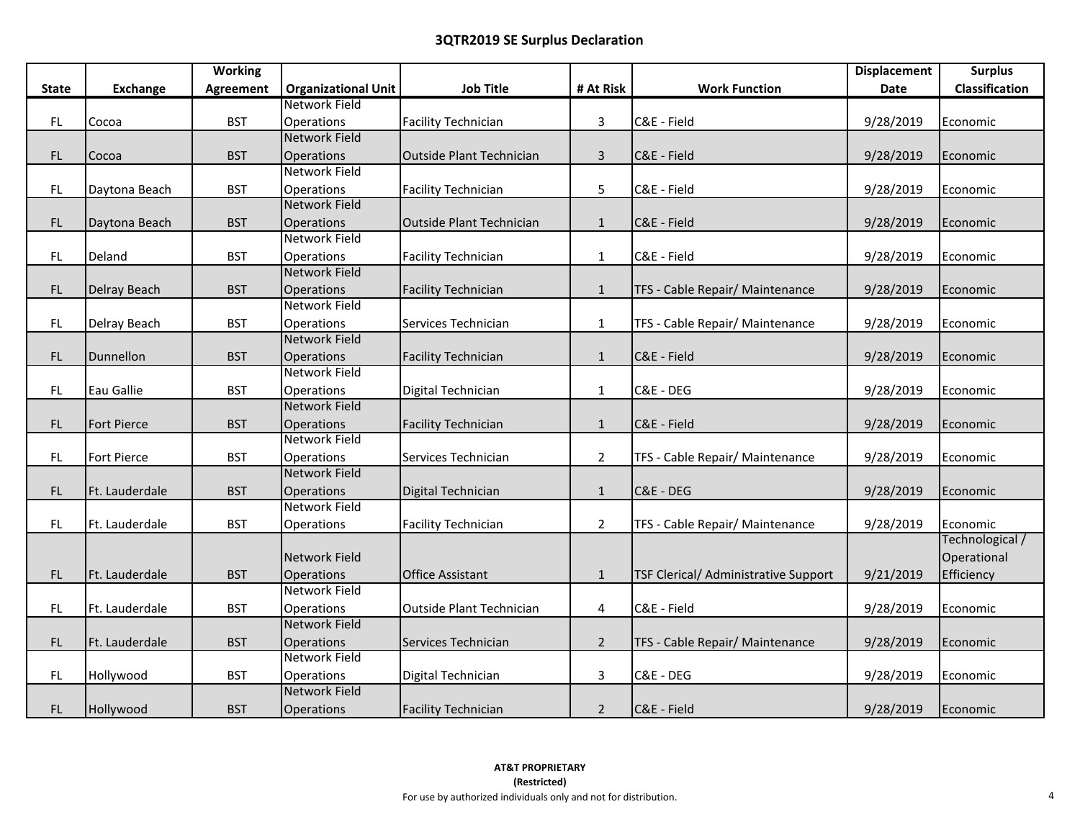|                                                                         |                                                                                                                                                                                  | <b>Working</b>                                                                                                                                         |                                                                                                                                                                                                                                                                                                                                                                                                           |                                                                                                                                                                                                                                                                                                    |                                                                                                                                                                |                                                                                                                                                                                                                                                         | <b>Displacement</b>                                                                                                                         | <b>Surplus</b>                                                                                                                                                       |
|-------------------------------------------------------------------------|----------------------------------------------------------------------------------------------------------------------------------------------------------------------------------|--------------------------------------------------------------------------------------------------------------------------------------------------------|-----------------------------------------------------------------------------------------------------------------------------------------------------------------------------------------------------------------------------------------------------------------------------------------------------------------------------------------------------------------------------------------------------------|----------------------------------------------------------------------------------------------------------------------------------------------------------------------------------------------------------------------------------------------------------------------------------------------------|----------------------------------------------------------------------------------------------------------------------------------------------------------------|---------------------------------------------------------------------------------------------------------------------------------------------------------------------------------------------------------------------------------------------------------|---------------------------------------------------------------------------------------------------------------------------------------------|----------------------------------------------------------------------------------------------------------------------------------------------------------------------|
| <b>State</b>                                                            | <b>Exchange</b>                                                                                                                                                                  | <b>Agreement</b>                                                                                                                                       | <b>Organizational Unit</b>                                                                                                                                                                                                                                                                                                                                                                                | <b>Job Title</b>                                                                                                                                                                                                                                                                                   | # At Risk                                                                                                                                                      | <b>Work Function</b>                                                                                                                                                                                                                                    | Date                                                                                                                                        | Classification                                                                                                                                                       |
|                                                                         |                                                                                                                                                                                  |                                                                                                                                                        | Network Field                                                                                                                                                                                                                                                                                                                                                                                             |                                                                                                                                                                                                                                                                                                    |                                                                                                                                                                |                                                                                                                                                                                                                                                         |                                                                                                                                             |                                                                                                                                                                      |
| FL                                                                      | Cocoa                                                                                                                                                                            | <b>BST</b>                                                                                                                                             | Operations                                                                                                                                                                                                                                                                                                                                                                                                | <b>Facility Technician</b>                                                                                                                                                                                                                                                                         | $\overline{3}$                                                                                                                                                 | C&E - Field                                                                                                                                                                                                                                             | 9/28/2019                                                                                                                                   | Economic                                                                                                                                                             |
|                                                                         |                                                                                                                                                                                  |                                                                                                                                                        | <b>Network Field</b>                                                                                                                                                                                                                                                                                                                                                                                      |                                                                                                                                                                                                                                                                                                    |                                                                                                                                                                |                                                                                                                                                                                                                                                         |                                                                                                                                             |                                                                                                                                                                      |
| FL                                                                      | Cocoa                                                                                                                                                                            | <b>BST</b>                                                                                                                                             | Operations                                                                                                                                                                                                                                                                                                                                                                                                | <b>Outside Plant Technician</b>                                                                                                                                                                                                                                                                    | $\mathbf{3}$                                                                                                                                                   | C&E - Field                                                                                                                                                                                                                                             | 9/28/2019                                                                                                                                   | Economic                                                                                                                                                             |
|                                                                         |                                                                                                                                                                                  |                                                                                                                                                        | <b>Network Field</b>                                                                                                                                                                                                                                                                                                                                                                                      |                                                                                                                                                                                                                                                                                                    |                                                                                                                                                                |                                                                                                                                                                                                                                                         |                                                                                                                                             |                                                                                                                                                                      |
| <b>FL</b>                                                               | Daytona Beach                                                                                                                                                                    | <b>BST</b>                                                                                                                                             | Operations                                                                                                                                                                                                                                                                                                                                                                                                | <b>Facility Technician</b>                                                                                                                                                                                                                                                                         | 5                                                                                                                                                              | C&E - Field                                                                                                                                                                                                                                             | 9/28/2019                                                                                                                                   | Economic                                                                                                                                                             |
|                                                                         |                                                                                                                                                                                  |                                                                                                                                                        | <b>Network Field</b>                                                                                                                                                                                                                                                                                                                                                                                      |                                                                                                                                                                                                                                                                                                    |                                                                                                                                                                |                                                                                                                                                                                                                                                         |                                                                                                                                             |                                                                                                                                                                      |
| FL                                                                      | Daytona Beach                                                                                                                                                                    | <b>BST</b>                                                                                                                                             | Operations                                                                                                                                                                                                                                                                                                                                                                                                | Outside Plant Technician                                                                                                                                                                                                                                                                           | $\mathbf{1}$                                                                                                                                                   | C&E - Field                                                                                                                                                                                                                                             | 9/28/2019                                                                                                                                   | Economic                                                                                                                                                             |
|                                                                         |                                                                                                                                                                                  |                                                                                                                                                        | <b>Network Field</b>                                                                                                                                                                                                                                                                                                                                                                                      |                                                                                                                                                                                                                                                                                                    |                                                                                                                                                                |                                                                                                                                                                                                                                                         |                                                                                                                                             |                                                                                                                                                                      |
| $\mathsf{FL}$                                                           | Deland                                                                                                                                                                           | <b>BST</b>                                                                                                                                             | Operations                                                                                                                                                                                                                                                                                                                                                                                                | <b>Facility Technician</b>                                                                                                                                                                                                                                                                         | $\mathbf{1}$                                                                                                                                                   | C&E - Field                                                                                                                                                                                                                                             | 9/28/2019                                                                                                                                   | Economic                                                                                                                                                             |
|                                                                         |                                                                                                                                                                                  |                                                                                                                                                        | <b>Network Field</b>                                                                                                                                                                                                                                                                                                                                                                                      |                                                                                                                                                                                                                                                                                                    |                                                                                                                                                                |                                                                                                                                                                                                                                                         |                                                                                                                                             |                                                                                                                                                                      |
| FL                                                                      | Delray Beach                                                                                                                                                                     | <b>BST</b>                                                                                                                                             | Operations                                                                                                                                                                                                                                                                                                                                                                                                | <b>Facility Technician</b>                                                                                                                                                                                                                                                                         | $\mathbf{1}$                                                                                                                                                   | TFS - Cable Repair/ Maintenance                                                                                                                                                                                                                         | 9/28/2019                                                                                                                                   | Economic                                                                                                                                                             |
|                                                                         |                                                                                                                                                                                  |                                                                                                                                                        | Network Field                                                                                                                                                                                                                                                                                                                                                                                             |                                                                                                                                                                                                                                                                                                    |                                                                                                                                                                |                                                                                                                                                                                                                                                         |                                                                                                                                             |                                                                                                                                                                      |
| FL                                                                      | Delray Beach                                                                                                                                                                     | <b>BST</b>                                                                                                                                             | Operations                                                                                                                                                                                                                                                                                                                                                                                                | Services Technician                                                                                                                                                                                                                                                                                | $\mathbf{1}$                                                                                                                                                   | TFS - Cable Repair/ Maintenance                                                                                                                                                                                                                         | 9/28/2019                                                                                                                                   | Economic                                                                                                                                                             |
|                                                                         |                                                                                                                                                                                  |                                                                                                                                                        |                                                                                                                                                                                                                                                                                                                                                                                                           |                                                                                                                                                                                                                                                                                                    |                                                                                                                                                                |                                                                                                                                                                                                                                                         |                                                                                                                                             |                                                                                                                                                                      |
|                                                                         |                                                                                                                                                                                  |                                                                                                                                                        |                                                                                                                                                                                                                                                                                                                                                                                                           |                                                                                                                                                                                                                                                                                                    |                                                                                                                                                                |                                                                                                                                                                                                                                                         |                                                                                                                                             |                                                                                                                                                                      |
|                                                                         |                                                                                                                                                                                  |                                                                                                                                                        |                                                                                                                                                                                                                                                                                                                                                                                                           |                                                                                                                                                                                                                                                                                                    |                                                                                                                                                                |                                                                                                                                                                                                                                                         |                                                                                                                                             |                                                                                                                                                                      |
|                                                                         |                                                                                                                                                                                  |                                                                                                                                                        |                                                                                                                                                                                                                                                                                                                                                                                                           |                                                                                                                                                                                                                                                                                                    |                                                                                                                                                                |                                                                                                                                                                                                                                                         |                                                                                                                                             |                                                                                                                                                                      |
|                                                                         |                                                                                                                                                                                  |                                                                                                                                                        |                                                                                                                                                                                                                                                                                                                                                                                                           |                                                                                                                                                                                                                                                                                                    |                                                                                                                                                                |                                                                                                                                                                                                                                                         |                                                                                                                                             |                                                                                                                                                                      |
|                                                                         |                                                                                                                                                                                  |                                                                                                                                                        |                                                                                                                                                                                                                                                                                                                                                                                                           |                                                                                                                                                                                                                                                                                                    |                                                                                                                                                                |                                                                                                                                                                                                                                                         |                                                                                                                                             |                                                                                                                                                                      |
|                                                                         |                                                                                                                                                                                  |                                                                                                                                                        |                                                                                                                                                                                                                                                                                                                                                                                                           |                                                                                                                                                                                                                                                                                                    |                                                                                                                                                                |                                                                                                                                                                                                                                                         |                                                                                                                                             |                                                                                                                                                                      |
|                                                                         |                                                                                                                                                                                  |                                                                                                                                                        |                                                                                                                                                                                                                                                                                                                                                                                                           |                                                                                                                                                                                                                                                                                                    |                                                                                                                                                                |                                                                                                                                                                                                                                                         |                                                                                                                                             |                                                                                                                                                                      |
|                                                                         |                                                                                                                                                                                  |                                                                                                                                                        |                                                                                                                                                                                                                                                                                                                                                                                                           |                                                                                                                                                                                                                                                                                                    |                                                                                                                                                                |                                                                                                                                                                                                                                                         |                                                                                                                                             |                                                                                                                                                                      |
|                                                                         |                                                                                                                                                                                  |                                                                                                                                                        |                                                                                                                                                                                                                                                                                                                                                                                                           |                                                                                                                                                                                                                                                                                                    |                                                                                                                                                                |                                                                                                                                                                                                                                                         |                                                                                                                                             |                                                                                                                                                                      |
|                                                                         |                                                                                                                                                                                  |                                                                                                                                                        |                                                                                                                                                                                                                                                                                                                                                                                                           |                                                                                                                                                                                                                                                                                                    |                                                                                                                                                                |                                                                                                                                                                                                                                                         |                                                                                                                                             |                                                                                                                                                                      |
|                                                                         |                                                                                                                                                                                  |                                                                                                                                                        |                                                                                                                                                                                                                                                                                                                                                                                                           |                                                                                                                                                                                                                                                                                                    |                                                                                                                                                                |                                                                                                                                                                                                                                                         |                                                                                                                                             |                                                                                                                                                                      |
|                                                                         |                                                                                                                                                                                  |                                                                                                                                                        |                                                                                                                                                                                                                                                                                                                                                                                                           |                                                                                                                                                                                                                                                                                                    |                                                                                                                                                                |                                                                                                                                                                                                                                                         |                                                                                                                                             |                                                                                                                                                                      |
|                                                                         |                                                                                                                                                                                  |                                                                                                                                                        |                                                                                                                                                                                                                                                                                                                                                                                                           |                                                                                                                                                                                                                                                                                                    |                                                                                                                                                                |                                                                                                                                                                                                                                                         |                                                                                                                                             |                                                                                                                                                                      |
|                                                                         |                                                                                                                                                                                  |                                                                                                                                                        |                                                                                                                                                                                                                                                                                                                                                                                                           |                                                                                                                                                                                                                                                                                                    |                                                                                                                                                                |                                                                                                                                                                                                                                                         |                                                                                                                                             |                                                                                                                                                                      |
|                                                                         |                                                                                                                                                                                  |                                                                                                                                                        |                                                                                                                                                                                                                                                                                                                                                                                                           |                                                                                                                                                                                                                                                                                                    |                                                                                                                                                                |                                                                                                                                                                                                                                                         |                                                                                                                                             |                                                                                                                                                                      |
|                                                                         |                                                                                                                                                                                  |                                                                                                                                                        |                                                                                                                                                                                                                                                                                                                                                                                                           |                                                                                                                                                                                                                                                                                                    |                                                                                                                                                                |                                                                                                                                                                                                                                                         |                                                                                                                                             |                                                                                                                                                                      |
|                                                                         |                                                                                                                                                                                  |                                                                                                                                                        |                                                                                                                                                                                                                                                                                                                                                                                                           |                                                                                                                                                                                                                                                                                                    |                                                                                                                                                                |                                                                                                                                                                                                                                                         |                                                                                                                                             |                                                                                                                                                                      |
|                                                                         |                                                                                                                                                                                  |                                                                                                                                                        |                                                                                                                                                                                                                                                                                                                                                                                                           |                                                                                                                                                                                                                                                                                                    |                                                                                                                                                                |                                                                                                                                                                                                                                                         |                                                                                                                                             |                                                                                                                                                                      |
|                                                                         |                                                                                                                                                                                  |                                                                                                                                                        |                                                                                                                                                                                                                                                                                                                                                                                                           |                                                                                                                                                                                                                                                                                                    |                                                                                                                                                                |                                                                                                                                                                                                                                                         |                                                                                                                                             |                                                                                                                                                                      |
|                                                                         |                                                                                                                                                                                  |                                                                                                                                                        |                                                                                                                                                                                                                                                                                                                                                                                                           |                                                                                                                                                                                                                                                                                                    |                                                                                                                                                                |                                                                                                                                                                                                                                                         |                                                                                                                                             |                                                                                                                                                                      |
|                                                                         |                                                                                                                                                                                  |                                                                                                                                                        |                                                                                                                                                                                                                                                                                                                                                                                                           |                                                                                                                                                                                                                                                                                                    |                                                                                                                                                                |                                                                                                                                                                                                                                                         |                                                                                                                                             |                                                                                                                                                                      |
| FL.<br><b>FL</b><br>FL<br>FL<br>FL<br>FL.<br>FL<br>FL<br>FL<br>FL<br>FL | Dunnellon<br>Eau Gallie<br><b>Fort Pierce</b><br>Fort Pierce<br>Ft. Lauderdale<br>Ft. Lauderdale<br>Ft. Lauderdale<br>Ft. Lauderdale<br>Ft. Lauderdale<br>Hollywood<br>Hollywood | <b>BST</b><br><b>BST</b><br><b>BST</b><br><b>BST</b><br><b>BST</b><br><b>BST</b><br><b>BST</b><br><b>BST</b><br><b>BST</b><br><b>BST</b><br><b>BST</b> | <b>Network Field</b><br>Operations<br><b>Network Field</b><br>Operations<br>Network Field<br>Operations<br><b>Network Field</b><br>Operations<br><b>Network Field</b><br>Operations<br>Network Field<br>Operations<br><b>Network Field</b><br>Operations<br><b>Network Field</b><br>Operations<br><b>Network Field</b><br>Operations<br>Network Field<br>Operations<br><b>Network Field</b><br>Operations | <b>Facility Technician</b><br>Digital Technician<br><b>Facility Technician</b><br>Services Technician<br>Digital Technician<br><b>Facility Technician</b><br><b>Office Assistant</b><br><b>Outside Plant Technician</b><br>Services Technician<br>Digital Technician<br><b>Facility Technician</b> | $\mathbf{1}$<br>$\mathbf{1}$<br>$\mathbf{1}$<br>$\overline{2}$<br>$\mathbf{1}$<br>$\overline{2}$<br>$\mathbf{1}$<br>4<br>$\overline{2}$<br>3<br>$\overline{2}$ | C&E - Field<br>C&E - DEG<br>C&E - Field<br>TFS - Cable Repair/ Maintenance<br>C&E - DEG<br>TFS - Cable Repair/ Maintenance<br><b>TSF Clerical/ Administrative Support</b><br>C&E - Field<br>TFS - Cable Repair/ Maintenance<br>C&E - DEG<br>C&E - Field | 9/28/2019<br>9/28/2019<br>9/28/2019<br>9/28/2019<br>9/28/2019<br>9/28/2019<br>9/21/2019<br>9/28/2019<br>9/28/2019<br>9/28/2019<br>9/28/2019 | Economic<br>Economic<br>Economic<br>Economic<br>Economic<br>Economic<br>Technological /<br>Operational<br>Efficiency<br>Economic<br>Economic<br>Economic<br>Economic |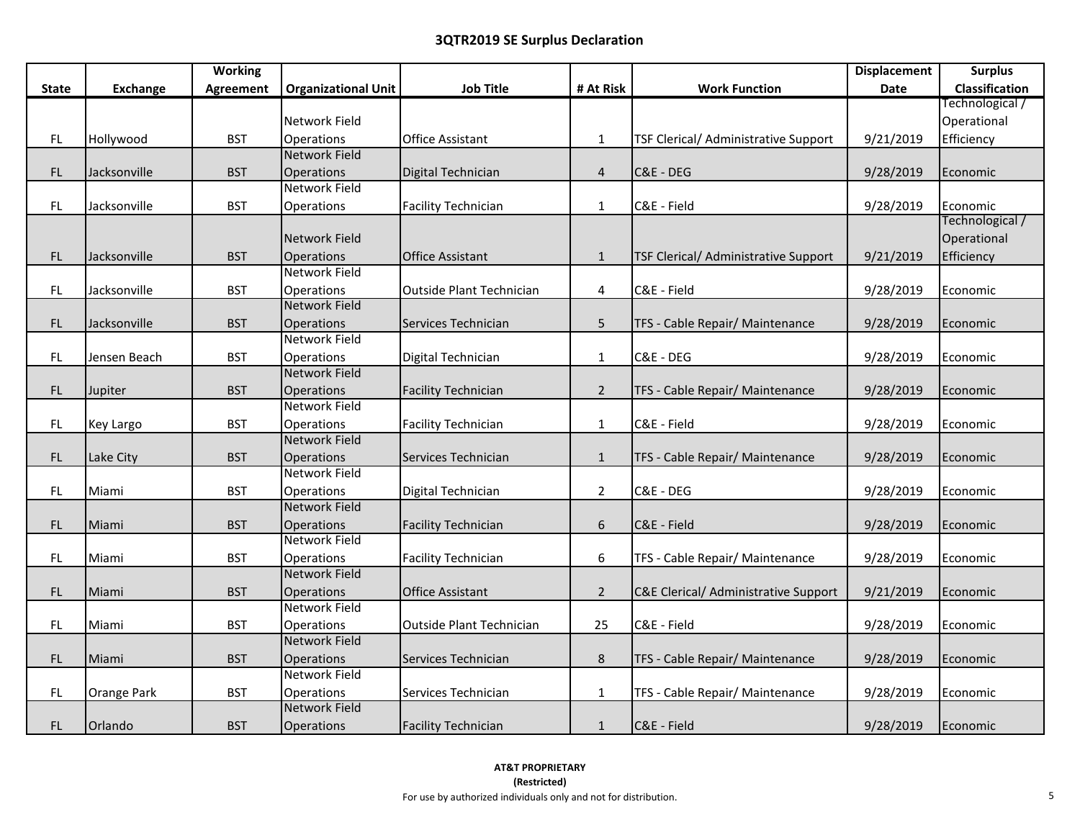|               |                 | <b>Working</b>   |                            |                                 |                  |                                             | <b>Displacement</b> | <b>Surplus</b>  |
|---------------|-----------------|------------------|----------------------------|---------------------------------|------------------|---------------------------------------------|---------------------|-----------------|
| State         | <b>Exchange</b> | <b>Agreement</b> | <b>Organizational Unit</b> | <b>Job Title</b>                | # At Risk        | <b>Work Function</b>                        | <b>Date</b>         | Classification  |
|               |                 |                  |                            |                                 |                  |                                             |                     | Technological / |
|               |                 |                  | Network Field              |                                 |                  |                                             |                     | Operational     |
| FL            | Hollywood       | <b>BST</b>       | Operations                 | <b>Office Assistant</b>         | $\mathbf{1}$     | TSF Clerical/ Administrative Support        | 9/21/2019           | Efficiency      |
|               |                 |                  | <b>Network Field</b>       |                                 |                  |                                             |                     |                 |
| FL            | Jacksonville    | <b>BST</b>       | <b>Operations</b>          | Digital Technician              | $\overline{4}$   | C&E - DEG                                   | 9/28/2019           | Economic        |
|               |                 |                  | Network Field              |                                 |                  |                                             |                     |                 |
| FL            | Jacksonville    | <b>BST</b>       | Operations                 | <b>Facility Technician</b>      | $\mathbf{1}$     | C&E - Field                                 | 9/28/2019           | Economic        |
|               |                 |                  |                            |                                 |                  |                                             |                     | Technological / |
|               |                 |                  | Network Field              |                                 |                  |                                             |                     | Operational     |
| FL            | Jacksonville    | <b>BST</b>       | Operations                 | <b>Office Assistant</b>         | $\mathbf{1}$     | <b>TSF Clerical/ Administrative Support</b> | 9/21/2019           | Efficiency      |
|               |                 |                  | <b>Network Field</b>       |                                 |                  |                                             |                     |                 |
| FL            | Jacksonville    | <b>BST</b>       | Operations                 | <b>Outside Plant Technician</b> | 4                | C&E - Field                                 | 9/28/2019           | Economic        |
|               |                 |                  | Network Field              |                                 |                  |                                             |                     |                 |
| $\mathsf{FL}$ | Jacksonville    | <b>BST</b>       | <b>Operations</b>          | Services Technician             | 5                | TFS - Cable Repair/ Maintenance             | 9/28/2019           | Economic        |
|               |                 |                  | Network Field              |                                 |                  |                                             |                     |                 |
| FL            | Jensen Beach    | <b>BST</b>       | <b>Operations</b>          | Digital Technician              | $\mathbf{1}$     | C&E - DEG                                   | 9/28/2019           | Economic        |
|               |                 |                  | <b>Network Field</b>       |                                 |                  |                                             |                     |                 |
| FL            | Jupiter         | <b>BST</b>       | Operations                 | <b>Facility Technician</b>      | $\overline{2}$   | TFS - Cable Repair/ Maintenance             | 9/28/2019           | Economic        |
|               |                 |                  | Network Field              |                                 |                  |                                             |                     |                 |
| FL            | Key Largo       | <b>BST</b>       | Operations                 | <b>Facility Technician</b>      | $\mathbf{1}$     | C&E - Field                                 | 9/28/2019           | Economic        |
|               |                 |                  | <b>Network Field</b>       |                                 |                  |                                             |                     |                 |
| FL.           | Lake City       | <b>BST</b>       | Operations                 | Services Technician             | $\mathbf{1}$     | TFS - Cable Repair/ Maintenance             | 9/28/2019           | Economic        |
|               |                 |                  | Network Field              |                                 |                  |                                             |                     |                 |
| FL.           | Miami           | <b>BST</b>       | Operations                 | Digital Technician              | $\overline{2}$   | C&E - DEG                                   | 9/28/2019           | Economic        |
|               |                 |                  | Network Field              |                                 |                  |                                             |                     |                 |
| FL            | Miami           | <b>BST</b>       | Operations                 | <b>Facility Technician</b>      | $\boldsymbol{6}$ | C&E - Field                                 | 9/28/2019           | Economic        |
|               |                 |                  | <b>Network Field</b>       |                                 |                  |                                             |                     |                 |
| FL            | Miami           | <b>BST</b>       | Operations                 | <b>Facility Technician</b>      | 6                | TFS - Cable Repair/ Maintenance             | 9/28/2019           | Economic        |
|               |                 |                  | <b>Network Field</b>       |                                 |                  |                                             |                     |                 |
| FL            | Miami           | <b>BST</b>       | <b>Operations</b>          | <b>Office Assistant</b>         | $\overline{2}$   | C&E Clerical/ Administrative Support        | 9/21/2019           | Economic        |
|               |                 |                  | Network Field              |                                 |                  |                                             |                     |                 |
| FL            | Miami           | <b>BST</b>       | <b>Operations</b>          | <b>Outside Plant Technician</b> | 25               | C&E - Field                                 | 9/28/2019           | Economic        |
|               |                 |                  | <b>Network Field</b>       |                                 |                  |                                             |                     |                 |
| FL            | Miami           | <b>BST</b>       | <b>Operations</b>          | Services Technician             | $\bf 8$          | TFS - Cable Repair/ Maintenance             | 9/28/2019           | Economic        |
|               |                 |                  | Network Field              |                                 |                  |                                             |                     |                 |
| FL            | Orange Park     | <b>BST</b>       | Operations                 | Services Technician             | $\mathbf{1}$     | TFS - Cable Repair/ Maintenance             | 9/28/2019           | Economic        |
|               |                 |                  | <b>Network Field</b>       |                                 |                  |                                             |                     |                 |
| FL            | Orlando         | <b>BST</b>       | Operations                 | <b>Facility Technician</b>      | $\mathbf{1}$     | C&E - Field                                 | 9/28/2019           | Economic        |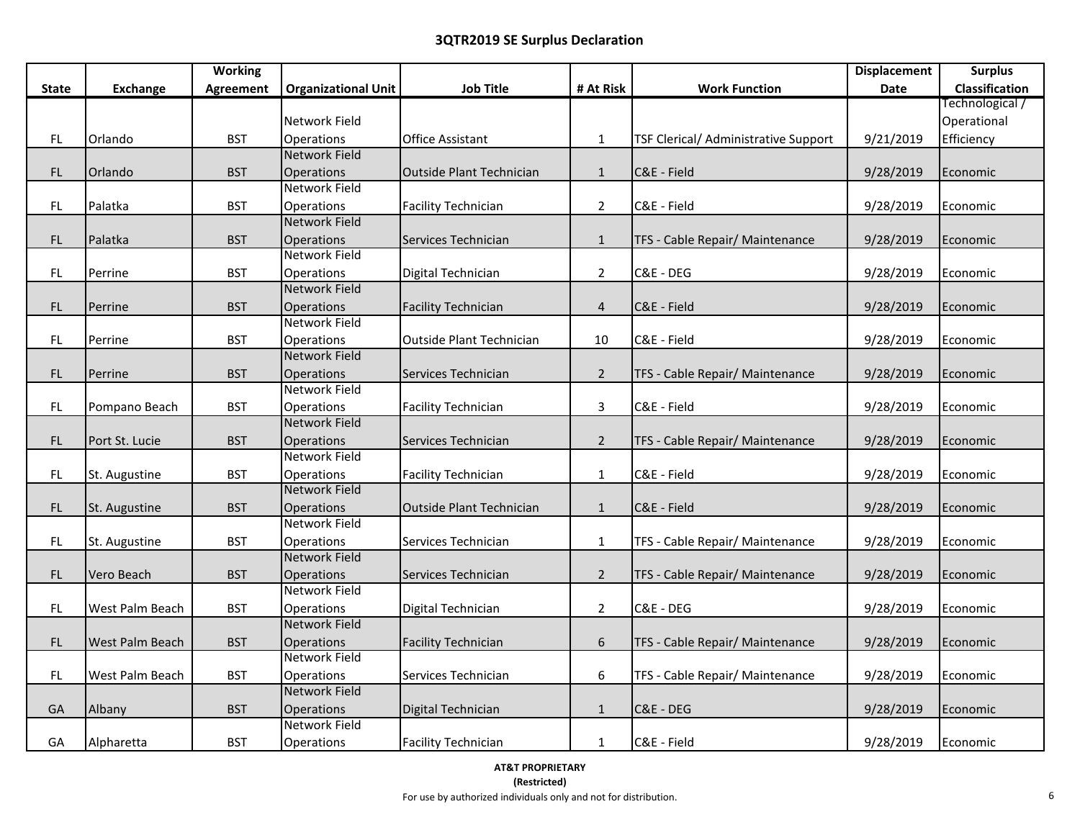|               |                        | <b>Working</b>   |                            |                                 |                  |                                      | <b>Displacement</b> | <b>Surplus</b>  |
|---------------|------------------------|------------------|----------------------------|---------------------------------|------------------|--------------------------------------|---------------------|-----------------|
| <b>State</b>  | <b>Exchange</b>        | <b>Agreement</b> | <b>Organizational Unit</b> | <b>Job Title</b>                | # At Risk        | <b>Work Function</b>                 | Date                | Classification  |
|               |                        |                  |                            |                                 |                  |                                      |                     | [/Fechnological |
|               |                        |                  | Network Field              |                                 |                  |                                      |                     | Operational     |
| FL.           | Orlando                | <b>BST</b>       | Operations                 | <b>Office Assistant</b>         | $\mathbf{1}$     | TSF Clerical/ Administrative Support | 9/21/2019           | Efficiency      |
|               |                        |                  | <b>Network Field</b>       |                                 |                  |                                      |                     |                 |
| FL            | Orlando                | <b>BST</b>       | Operations                 | <b>Outside Plant Technician</b> | $\mathbf{1}$     | C&E - Field                          | 9/28/2019           | Economic        |
|               |                        |                  | Network Field              |                                 |                  |                                      |                     |                 |
| FL            | Palatka                | <b>BST</b>       | Operations                 | <b>Facility Technician</b>      | $\overline{2}$   | C&E - Field                          | 9/28/2019           | Economic        |
|               |                        |                  | <b>Network Field</b>       |                                 |                  |                                      |                     |                 |
| $\mathsf{FL}$ | Palatka                | <b>BST</b>       | <b>Operations</b>          | Services Technician             | $\mathbf 1$      | TFS - Cable Repair/ Maintenance      | 9/28/2019           | Economic        |
|               |                        |                  | <b>Network Field</b>       |                                 |                  |                                      |                     |                 |
| FL            | Perrine                | <b>BST</b>       | Operations                 | Digital Technician              | $\overline{2}$   | C&E - DEG                            | 9/28/2019           | Economic        |
|               |                        |                  | <b>Network Field</b>       |                                 |                  |                                      |                     |                 |
| $\mathsf{FL}$ | Perrine                | <b>BST</b>       | Operations                 | <b>Facility Technician</b>      | $\overline{4}$   | C&E - Field                          | 9/28/2019           | Economic        |
|               |                        |                  | Network Field              |                                 |                  |                                      |                     |                 |
| <b>FL</b>     | Perrine                | <b>BST</b>       | Operations                 | <b>Outside Plant Technician</b> | 10               | C&E - Field                          | 9/28/2019           | Economic        |
|               |                        |                  | <b>Network Field</b>       |                                 |                  |                                      |                     |                 |
| FL.           | Perrine                | <b>BST</b>       | Operations                 | Services Technician             | $2^{\circ}$      | TFS - Cable Repair/ Maintenance      | 9/28/2019           | Economic        |
|               |                        |                  | Network Field              |                                 |                  |                                      |                     |                 |
| FL.           | Pompano Beach          | <b>BST</b>       | Operations                 | <b>Facility Technician</b>      | $\mathbf{3}$     | C&E - Field                          | 9/28/2019           | Economic        |
|               |                        |                  | <b>Network Field</b>       |                                 |                  |                                      |                     |                 |
| FL            | Port St. Lucie         | <b>BST</b>       | Operations                 | Services Technician             | $2^{\circ}$      | TFS - Cable Repair/ Maintenance      | 9/28/2019           | Economic        |
|               |                        |                  | <b>Network Field</b>       |                                 |                  |                                      |                     |                 |
| FL            | St. Augustine          | <b>BST</b>       | Operations                 | <b>Facility Technician</b>      | $\mathbf{1}$     | C&E - Field                          | 9/28/2019           | Economic        |
|               |                        |                  | <b>Network Field</b>       |                                 |                  |                                      |                     |                 |
| FL            | St. Augustine          | <b>BST</b>       | Operations                 | <b>Outside Plant Technician</b> | $\mathbf{1}$     | C&E - Field                          | 9/28/2019           | Economic        |
|               |                        |                  | Network Field              |                                 |                  |                                      |                     |                 |
| FL            | St. Augustine          | <b>BST</b>       | Operations                 | Services Technician             | $\mathbf{1}$     | TFS - Cable Repair/ Maintenance      | 9/28/2019           | Economic        |
|               |                        |                  | <b>Network Field</b>       |                                 |                  |                                      |                     |                 |
| FL.           | Vero Beach             | <b>BST</b>       | Operations                 | Services Technician             | $\overline{2}$   | TFS - Cable Repair/ Maintenance      | 9/28/2019           | Economic        |
|               |                        |                  | Network Field              |                                 |                  |                                      |                     |                 |
| FL            | West Palm Beach        | <b>BST</b>       | Operations                 | Digital Technician              | $\overline{2}$   | C&E - DEG                            | 9/28/2019           | Economic        |
|               |                        |                  | <b>Network Field</b>       |                                 |                  |                                      |                     |                 |
| FL.           | <b>West Palm Beach</b> | <b>BST</b>       | Operations                 | <b>Facility Technician</b>      | $\boldsymbol{6}$ | TFS - Cable Repair/ Maintenance      | 9/28/2019           | Economic        |
|               |                        |                  | <b>Network Field</b>       |                                 |                  |                                      |                     |                 |
| FL            | West Palm Beach        | <b>BST</b>       | Operations                 | Services Technician             | 6                | TFS - Cable Repair/ Maintenance      | 9/28/2019           | Economic        |
|               |                        |                  | Network Field              |                                 |                  |                                      |                     |                 |
| GA            | Albany                 | <b>BST</b>       | Operations                 | Digital Technician              | $\mathbf{1}$     | C&E - DEG                            | 9/28/2019           | Economic        |
|               |                        |                  | <b>Network Field</b>       |                                 |                  |                                      |                     |                 |
| GA            | Alpharetta             | <b>BST</b>       | Operations                 | <b>Facility Technician</b>      | $\mathbf{1}$     | C&E - Field                          | 9/28/2019           | Economic        |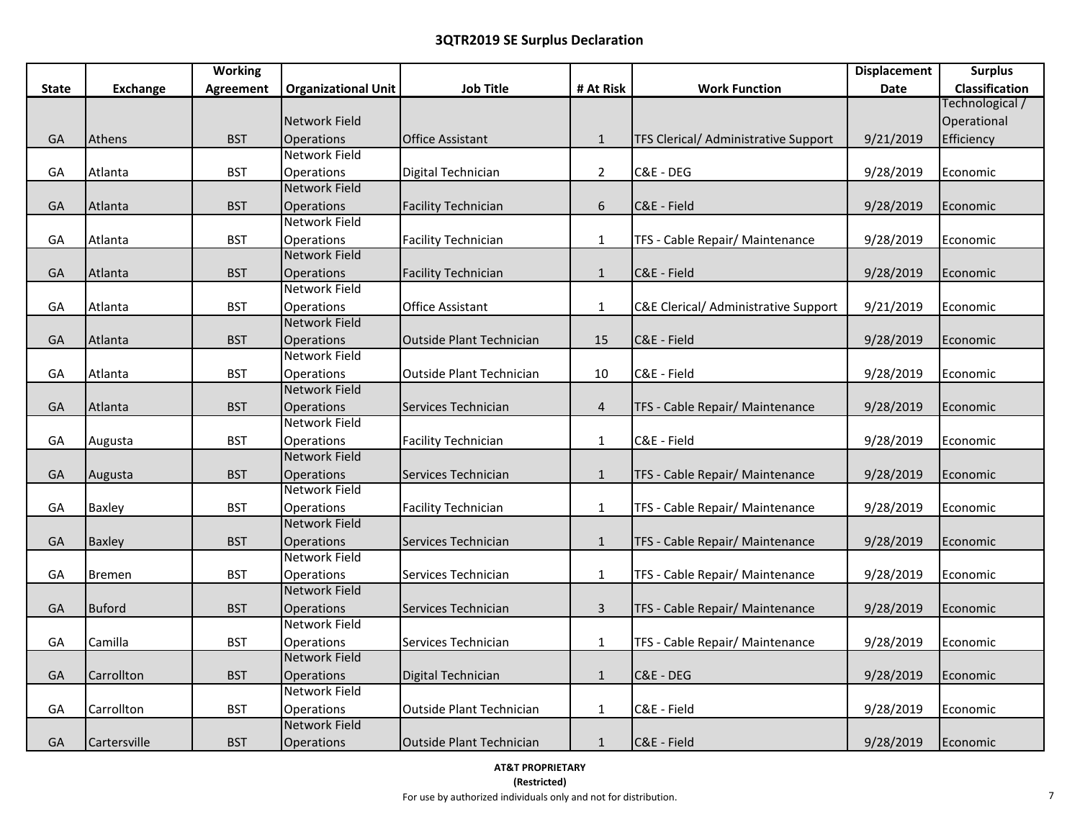|              |               | <b>Working</b> |                            |                                 |                |                                                 | <b>Displacement</b> | <b>Surplus</b>  |
|--------------|---------------|----------------|----------------------------|---------------------------------|----------------|-------------------------------------------------|---------------------|-----------------|
| <b>State</b> | Exchange      | Agreement      | <b>Organizational Unit</b> | <b>Job Title</b>                | # At Risk      | <b>Work Function</b>                            | Date                | Classification  |
|              |               |                |                            |                                 |                |                                                 |                     | Technological / |
|              |               |                | Network Field              |                                 |                |                                                 |                     | Operational     |
| GA           | Athens        | <b>BST</b>     | Operations                 | <b>Office Assistant</b>         | $\mathbf{1}$   | TFS Clerical/ Administrative Support            | 9/21/2019           | Efficiency      |
|              |               |                | Network Field              |                                 |                |                                                 |                     |                 |
| GA           | Atlanta       | <b>BST</b>     | Operations                 | Digital Technician              | $\overline{2}$ | C&E - DEG                                       | 9/28/2019           | Economic        |
|              |               |                | <b>Network Field</b>       |                                 |                |                                                 |                     |                 |
| GA           | Atlanta       | <b>BST</b>     | <b>Operations</b>          | <b>Facility Technician</b>      | $\sqrt{6}$     | C&E - Field                                     | 9/28/2019           | Economic        |
|              |               |                | Network Field              |                                 |                |                                                 |                     |                 |
| GA           | Atlanta       | <b>BST</b>     | Operations                 | <b>Facility Technician</b>      | $\mathbf{1}$   | TFS - Cable Repair/ Maintenance                 | 9/28/2019           | Economic        |
|              |               |                | <b>Network Field</b>       |                                 |                |                                                 |                     |                 |
| GA           | Atlanta       | <b>BST</b>     | <b>Operations</b>          | <b>Facility Technician</b>      | $\mathbf{1}$   | C&E - Field                                     | 9/28/2019           | Economic        |
|              |               |                | Network Field              |                                 |                |                                                 |                     |                 |
| GA           | Atlanta       | <b>BST</b>     | Operations                 | <b>Office Assistant</b>         | $\mathbf{1}$   | <b>C&amp;E Clerical/ Administrative Support</b> | 9/21/2019           | Economic        |
|              |               |                | Network Field              |                                 |                |                                                 |                     |                 |
| GA           | Atlanta       | <b>BST</b>     | <b>Operations</b>          | Outside Plant Technician        | 15             | C&E - Field                                     | 9/28/2019           | Economic        |
|              |               |                | Network Field              |                                 |                |                                                 |                     |                 |
| GA           | Atlanta       | <b>BST</b>     | Operations                 | <b>Outside Plant Technician</b> | 10             | C&E - Field                                     | 9/28/2019           | Economic        |
|              |               |                | Network Field              |                                 |                |                                                 |                     |                 |
| GA           | Atlanta       | <b>BST</b>     | <b>Operations</b>          | Services Technician             | $\overline{4}$ | TFS - Cable Repair/ Maintenance                 | 9/28/2019           | Economic        |
|              |               |                | Network Field              |                                 |                |                                                 |                     |                 |
| GA           | Augusta       | <b>BST</b>     | Operations                 | <b>Facility Technician</b>      | $\mathbf 1$    | C&E - Field                                     | 9/28/2019           | Economic        |
|              |               |                | Network Field              |                                 |                |                                                 |                     |                 |
| GA           | Augusta       | <b>BST</b>     | <b>Operations</b>          | Services Technician             | $\mathbf{1}$   | TFS - Cable Repair/ Maintenance                 | 9/28/2019           | Economic        |
|              |               |                | Network Field              |                                 |                |                                                 |                     |                 |
| GA           | <b>Baxley</b> | <b>BST</b>     | Operations                 | <b>Facility Technician</b>      | $\mathbf{1}$   | TFS - Cable Repair/ Maintenance                 | 9/28/2019           | Economic        |
|              |               |                | Network Field              |                                 |                |                                                 |                     |                 |
| GA           | <b>Baxley</b> | <b>BST</b>     | Operations                 | Services Technician             | $\mathbf{1}$   | TFS - Cable Repair/ Maintenance                 | 9/28/2019           | Economic        |
|              |               |                | Network Field              |                                 |                |                                                 |                     |                 |
| GA           | <b>Bremen</b> | <b>BST</b>     | Operations                 | Services Technician             | $\mathbf{1}$   | TFS - Cable Repair/ Maintenance                 | 9/28/2019           | Economic        |
|              |               |                | Network Field              |                                 |                |                                                 |                     |                 |
| GA           | <b>Buford</b> | <b>BST</b>     | Operations                 | Services Technician             | $\mathsf{3}$   | TFS - Cable Repair/ Maintenance                 | 9/28/2019           | Economic        |
|              |               |                | <b>Network Field</b>       |                                 |                |                                                 |                     |                 |
| GA           | Camilla       | <b>BST</b>     | Operations                 | Services Technician             | $\mathbf{1}$   | TFS - Cable Repair/ Maintenance                 | 9/28/2019           | Economic        |
|              |               |                | <b>Network Field</b>       |                                 |                |                                                 |                     |                 |
| GA           | Carrollton    | <b>BST</b>     | <b>Operations</b>          | Digital Technician              | $\mathbf{1}$   | C&E - DEG                                       | 9/28/2019           | Economic        |
|              |               |                | Network Field              |                                 |                |                                                 |                     |                 |
| GA           | Carrollton    | <b>BST</b>     | <b>Operations</b>          | Outside Plant Technician        | $\mathbf{1}$   | C&E - Field                                     | 9/28/2019           | Economic        |
|              |               |                | <b>Network Field</b>       |                                 |                |                                                 |                     |                 |
| GA           | Cartersville  | <b>BST</b>     | <b>Operations</b>          | Outside Plant Technician        | $\mathbf{1}$   | C&E - Field                                     | 9/28/2019           | Economic        |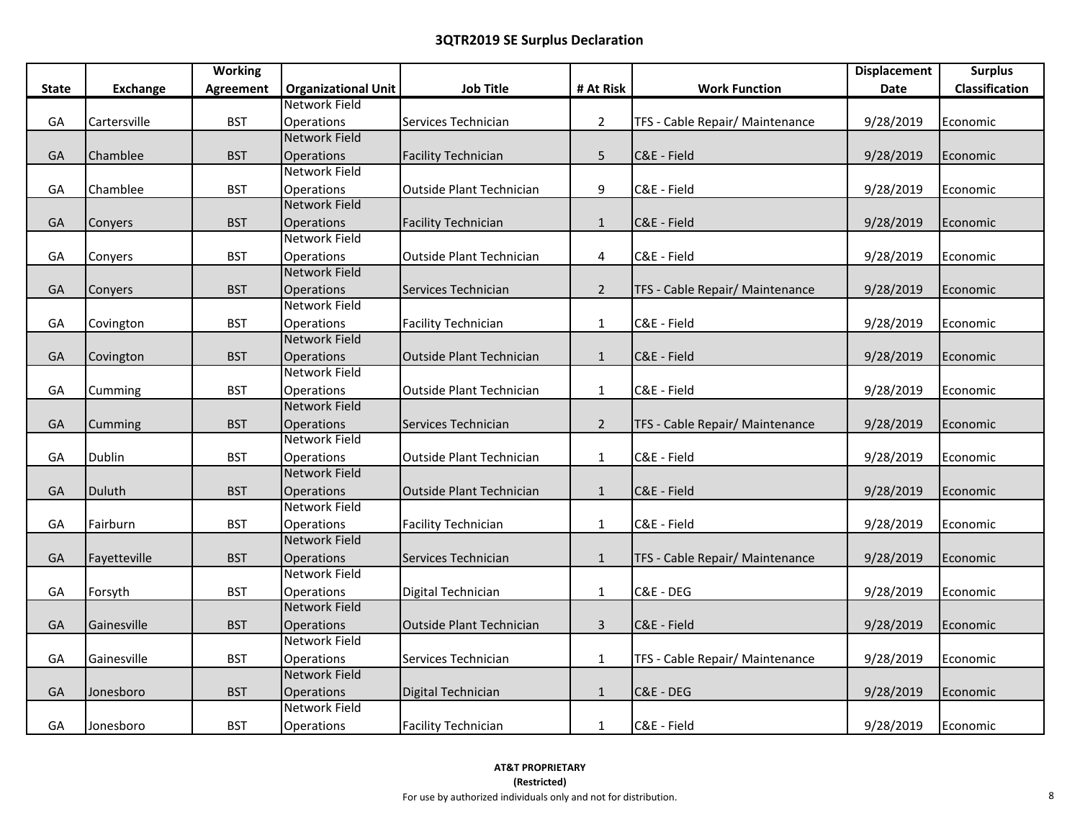|              |                 | <b>Working</b>   |                            |                                 |                |                                 | <b>Displacement</b> | <b>Surplus</b>        |
|--------------|-----------------|------------------|----------------------------|---------------------------------|----------------|---------------------------------|---------------------|-----------------------|
| <b>State</b> | <b>Exchange</b> | <b>Agreement</b> | <b>Organizational Unit</b> | <b>Job Title</b>                | # At Risk      | <b>Work Function</b>            | Date                | <b>Classification</b> |
|              |                 |                  | Network Field              |                                 |                |                                 |                     |                       |
| GA           | Cartersville    | <b>BST</b>       | Operations                 | Services Technician             | $\overline{2}$ | TFS - Cable Repair/ Maintenance | 9/28/2019           | Economic              |
|              |                 |                  | <b>Network Field</b>       |                                 |                |                                 |                     |                       |
| GA           | Chamblee        | <b>BST</b>       | Operations                 | <b>Facility Technician</b>      | 5              | C&E - Field                     | 9/28/2019           | Economic              |
|              |                 |                  | <b>Network Field</b>       |                                 |                |                                 |                     |                       |
| GA           | Chamblee        | <b>BST</b>       | Operations                 | <b>Outside Plant Technician</b> | 9              | C&E - Field                     | 9/28/2019           | Economic              |
|              |                 |                  | Network Field              |                                 |                |                                 |                     |                       |
| GA           | Conyers         | <b>BST</b>       | Operations                 | <b>Facility Technician</b>      | $\mathbf{1}$   | C&E - Field                     | 9/28/2019           | Economic              |
|              |                 |                  | <b>Network Field</b>       |                                 |                |                                 |                     |                       |
| GA           | Conyers         | <b>BST</b>       | Operations                 | <b>Outside Plant Technician</b> | 4              | C&E - Field                     | 9/28/2019           | Economic              |
|              |                 |                  | <b>Network Field</b>       |                                 |                |                                 |                     |                       |
| GA           | Conyers         | <b>BST</b>       | Operations                 | Services Technician             | $2^{\circ}$    | TFS - Cable Repair/ Maintenance | 9/28/2019           | Economic              |
|              |                 |                  | Network Field              |                                 |                |                                 |                     |                       |
| GA           | Covington       | <b>BST</b>       | <b>Operations</b>          | <b>Facility Technician</b>      | $\mathbf{1}$   | C&E - Field                     | 9/28/2019           | Economic              |
|              |                 |                  | <b>Network Field</b>       |                                 |                |                                 |                     |                       |
| GA           | Covington       | <b>BST</b>       | Operations                 | Outside Plant Technician        | 1              | C&E - Field                     | 9/28/2019           | Economic              |
|              |                 |                  | Network Field              |                                 |                |                                 |                     |                       |
| GA           | Cumming         | <b>BST</b>       | Operations                 | Outside Plant Technician        | $\mathbf{1}$   | C&E - Field                     | 9/28/2019           | Economic              |
|              |                 |                  | Network Field              |                                 |                |                                 |                     |                       |
| GA           | Cumming         | <b>BST</b>       | Operations                 | Services Technician             | $\overline{2}$ | TFS - Cable Repair/ Maintenance | 9/28/2019           | Economic              |
|              |                 |                  | Network Field              |                                 |                |                                 |                     |                       |
| GA           | Dublin          | <b>BST</b>       | Operations                 | Outside Plant Technician        | $\mathbf{1}$   | C&E - Field                     | 9/28/2019           | Economic              |
|              |                 |                  | <b>Network Field</b>       |                                 |                |                                 |                     |                       |
| GA           | Duluth          | <b>BST</b>       | Operations                 | Outside Plant Technician        | $\mathbf{1}$   | C&E - Field                     | 9/28/2019           | Economic              |
|              |                 |                  | <b>Network Field</b>       |                                 |                |                                 |                     |                       |
| GA           | Fairburn        | <b>BST</b>       | Operations                 | <b>Facility Technician</b>      | $\mathbf{1}$   | C&E - Field                     | 9/28/2019           | Economic              |
|              |                 |                  | <b>Network Field</b>       |                                 |                |                                 |                     |                       |
| GA           | Fayetteville    | <b>BST</b>       | Operations                 | Services Technician             | $\mathbf{1}$   | TFS - Cable Repair/ Maintenance | 9/28/2019           | Economic              |
|              |                 |                  | Network Field              |                                 |                |                                 |                     |                       |
| GA           | Forsyth         | <b>BST</b>       | Operations                 | Digital Technician              | $\mathbf{1}$   | C&E - DEG                       | 9/28/2019           | Economic              |
|              |                 |                  | <b>Network Field</b>       |                                 |                |                                 |                     |                       |
| GA           | Gainesville     | <b>BST</b>       | Operations                 | Outside Plant Technician        | $\mathbf{3}$   | C&E - Field                     | 9/28/2019           | Economic              |
|              |                 |                  | Network Field              |                                 |                |                                 |                     |                       |
| GA           | Gainesville     | <b>BST</b>       | Operations                 | Services Technician             | $\mathbf{1}$   | TFS - Cable Repair/ Maintenance | 9/28/2019           | Economic              |
|              |                 |                  | Network Field              |                                 |                |                                 |                     |                       |
| GA           | Jonesboro       | <b>BST</b>       | Operations                 | Digital Technician              | $\mathbf{1}$   | C&E - DEG                       | 9/28/2019           | Economic              |
|              |                 |                  | Network Field              |                                 |                |                                 |                     |                       |
| GA           | Jonesboro       | <b>BST</b>       | Operations                 | <b>Facility Technician</b>      | $\mathbf{1}$   | C&E - Field                     | 9/28/2019           | Economic              |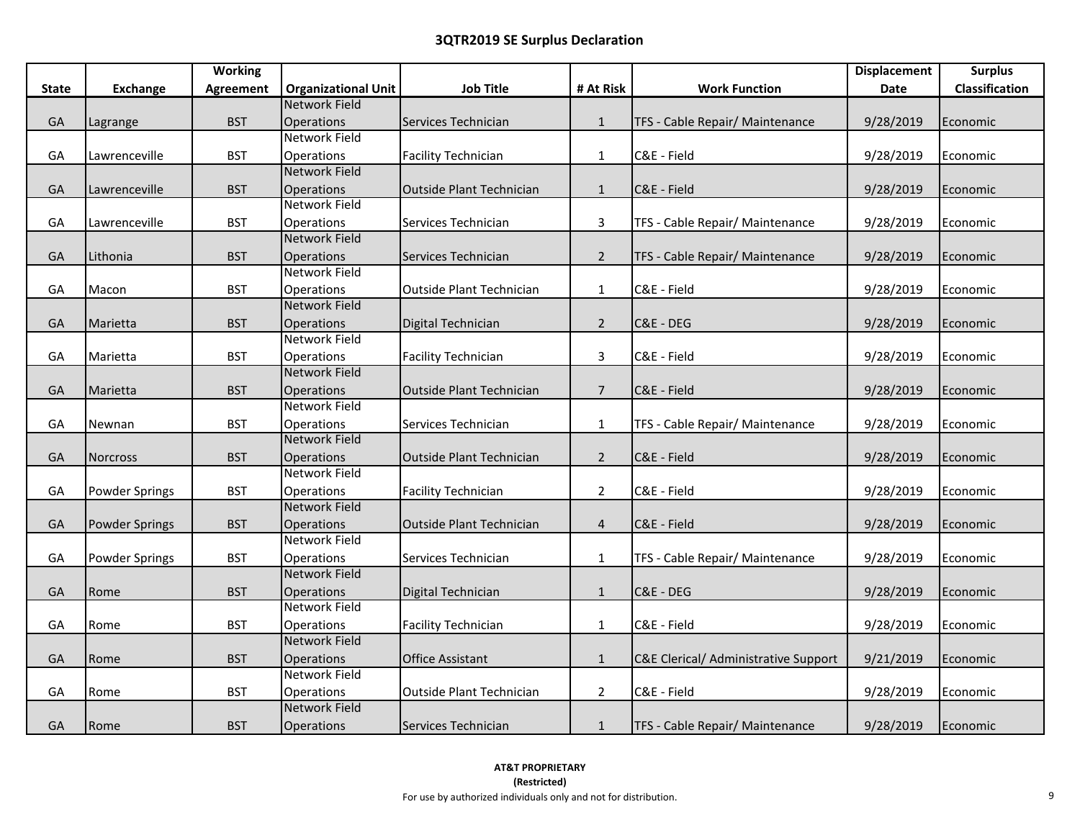|              |                       | <b>Working</b>   |                            |                                  |                 |                                      | <b>Displacement</b> | <b>Surplus</b> |
|--------------|-----------------------|------------------|----------------------------|----------------------------------|-----------------|--------------------------------------|---------------------|----------------|
| <b>State</b> | <b>Exchange</b>       | <b>Agreement</b> | <b>Organizational Unit</b> | <b>Job Title</b>                 | # At Risk       | <b>Work Function</b>                 | Date                | Classification |
|              |                       |                  | <b>Network Field</b>       |                                  |                 |                                      |                     |                |
| GA           | Lagrange              | <b>BST</b>       | Operations                 | Services Technician              | $\mathbf{1}$    | TFS - Cable Repair/ Maintenance      | 9/28/2019           | Economic       |
|              |                       |                  | <b>Network Field</b>       |                                  |                 |                                      |                     |                |
| GA           | Lawrenceville         | <b>BST</b>       | Operations                 | <b>Facility Technician</b>       | $\mathbf{1}$    | C&E - Field                          | 9/28/2019           | Economic       |
|              |                       |                  | <b>Network Field</b>       |                                  |                 |                                      |                     |                |
| GA           | Lawrenceville         | <b>BST</b>       | Operations                 | Outside Plant Technician         | $\mathbf{1}$    | C&E - Field                          | 9/28/2019           | Economic       |
|              |                       |                  | Network Field              |                                  |                 |                                      |                     |                |
| GA           | Lawrenceville         | <b>BST</b>       | Operations                 | Services Technician              | $\overline{3}$  | TFS - Cable Repair/ Maintenance      | 9/28/2019           | Economic       |
|              |                       |                  | <b>Network Field</b>       |                                  |                 |                                      |                     |                |
| GA           | Lithonia              | <b>BST</b>       | Operations                 | Services Technician              | $2^{\circ}$     | TFS - Cable Repair/ Maintenance      | 9/28/2019           | Economic       |
|              |                       |                  | Network Field              |                                  |                 |                                      |                     |                |
| GA           | Macon                 | <b>BST</b>       | Operations                 | <b>Outside Plant Technician</b>  | $\mathbf{1}$    | C&E - Field                          | 9/28/2019           | Economic       |
|              |                       |                  | <b>Network Field</b>       |                                  |                 |                                      |                     |                |
| GA           | Marietta              | <b>BST</b>       | Operations                 | Digital Technician               | $\overline{2}$  | C&E - DEG                            | 9/28/2019           | Economic       |
|              |                       |                  | Network Field              |                                  |                 |                                      |                     |                |
| GA           | Marietta              | <b>BST</b>       | Operations                 | <b>Facility Technician</b>       | $\overline{3}$  | C&E - Field                          | 9/28/2019           | Economic       |
|              |                       |                  | <b>Network Field</b>       |                                  |                 |                                      |                     |                |
| GA           | Marietta              | <b>BST</b>       | Operations                 | Outside Plant Technician         | $7\overline{ }$ | C&E - Field                          | 9/28/2019           | Economic       |
|              |                       |                  | Network Field              |                                  |                 |                                      |                     |                |
| GA           | Newnan                | <b>BST</b>       | Operations                 | Services Technician              | $\mathbf{1}$    | TFS - Cable Repair/ Maintenance      | 9/28/2019           | Economic       |
|              |                       |                  | <b>Network Field</b>       |                                  |                 |                                      |                     |                |
| GA           | Norcross              | <b>BST</b>       | Operations                 | Outside Plant Technician         | $\overline{2}$  | C&E - Field                          | 9/28/2019           | Economic       |
|              |                       |                  | Network Field              |                                  |                 |                                      |                     |                |
| GA           | <b>Powder Springs</b> | <b>BST</b>       | Operations                 | <b>Facility Technician</b>       | $\overline{2}$  | C&E - Field                          | 9/28/2019           | Economic       |
|              |                       |                  | <b>Network Field</b>       |                                  |                 |                                      |                     |                |
| GA           | Powder Springs        | <b>BST</b>       | Operations                 | <b>IOutside Plant Technician</b> | $\overline{4}$  | C&E - Field                          | 9/28/2019           | Economic       |
|              |                       |                  | <b>Network Field</b>       |                                  |                 |                                      |                     |                |
| GA           | Powder Springs        | <b>BST</b>       | Operations                 | Services Technician              | $\mathbf{1}$    | TFS - Cable Repair/ Maintenance      | 9/28/2019           | Economic       |
|              |                       |                  | <b>Network Field</b>       |                                  |                 |                                      |                     |                |
| GA           | Rome                  | <b>BST</b>       | Operations                 | Digital Technician               | $\mathbf{1}$    | C&E - DEG                            | 9/28/2019           | Economic       |
|              |                       |                  | <b>Network Field</b>       |                                  |                 |                                      |                     |                |
| GA           | Rome                  | <b>BST</b>       | Operations                 | <b>Facility Technician</b>       | $\mathbf{1}$    | C&E - Field                          | 9/28/2019           | Economic       |
|              |                       |                  | <b>Network Field</b>       |                                  |                 |                                      |                     |                |
| GA           | Rome                  | <b>BST</b>       | Operations                 | <b>Office Assistant</b>          | $\mathbf{1}$    | C&E Clerical/ Administrative Support | 9/21/2019           | Economic       |
|              |                       |                  | Network Field              |                                  |                 |                                      |                     |                |
| GA           | Rome                  | <b>BST</b>       | Operations                 | Outside Plant Technician         | $\overline{2}$  | C&E - Field                          | 9/28/2019           | Economic       |
|              |                       |                  | <b>Network Field</b>       |                                  |                 |                                      |                     |                |
| GA           | Rome                  | <b>BST</b>       | Operations                 | Services Technician              | $\mathbf{1}$    | TFS - Cable Repair/ Maintenance      | 9/28/2019           | Economic       |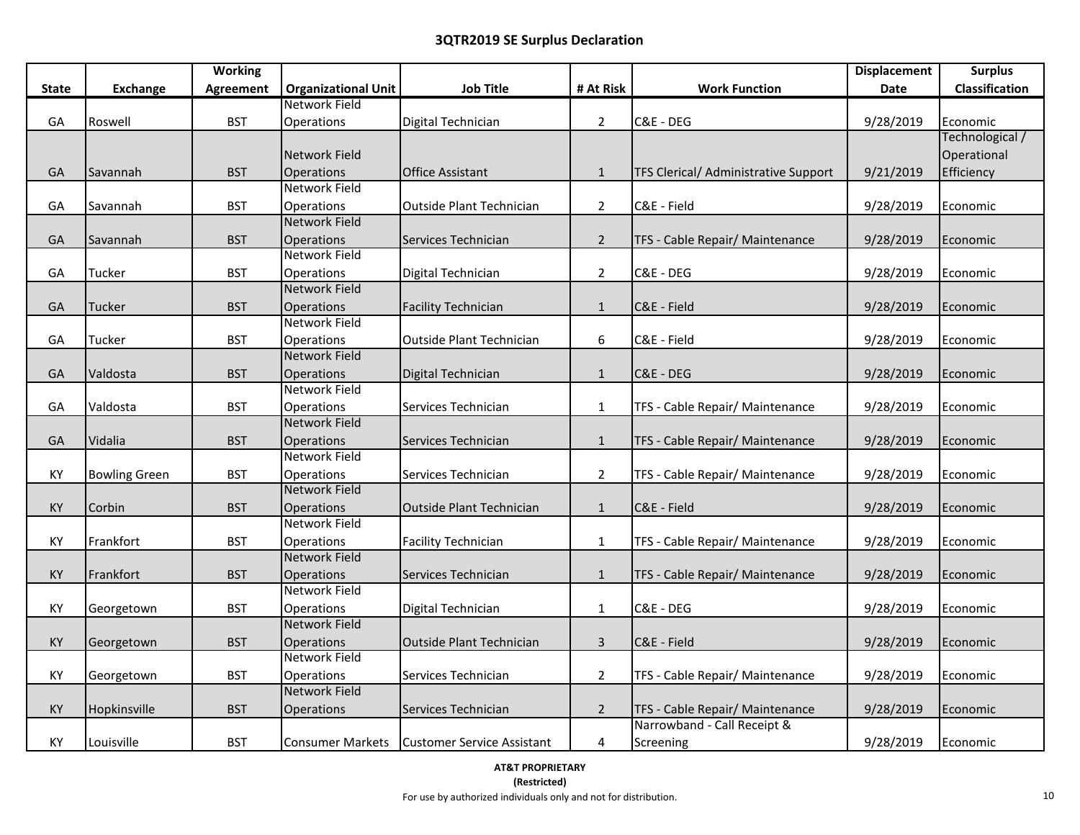|              |                      | <b>Working</b>   |                            |                                               |                |                                      | <b>Displacement</b> | <b>Surplus</b>        |
|--------------|----------------------|------------------|----------------------------|-----------------------------------------------|----------------|--------------------------------------|---------------------|-----------------------|
| <b>State</b> | <b>Exchange</b>      | <b>Agreement</b> | <b>Organizational Unit</b> | <b>Job Title</b>                              | # At Risk      | <b>Work Function</b>                 | Date                | <b>Classification</b> |
|              |                      |                  | Network Field              |                                               |                |                                      |                     |                       |
| GA           | Roswell              | <b>BST</b>       | Operations                 | Digital Technician                            | $\overline{2}$ | C&E - DEG                            | 9/28/2019           | Economic              |
|              |                      |                  |                            |                                               |                |                                      |                     | Technological /       |
|              |                      |                  | Network Field              |                                               |                |                                      |                     | Operational           |
| GA           | Savannah             | <b>BST</b>       | Operations                 | <b>Office Assistant</b>                       | $\mathbf{1}$   | TFS Clerical/ Administrative Support | 9/21/2019           | Efficiency            |
|              |                      |                  | <b>Network Field</b>       |                                               |                |                                      |                     |                       |
| GA           | Savannah             | <b>BST</b>       | Operations                 | Outside Plant Technician                      | $\overline{2}$ | C&E - Field                          | 9/28/2019           | Economic              |
|              |                      |                  | <b>Network Field</b>       |                                               |                |                                      |                     |                       |
| GA           | Savannah             | <b>BST</b>       | Operations                 | Services Technician                           | $\overline{2}$ | TFS - Cable Repair/ Maintenance      | 9/28/2019           | Economic              |
|              |                      |                  | <b>Network Field</b>       |                                               |                |                                      |                     |                       |
| GA           | Tucker               | <b>BST</b>       | Operations                 | Digital Technician                            | $\overline{2}$ | C&E - DEG                            | 9/28/2019           | Economic              |
|              |                      |                  | <b>Network Field</b>       |                                               |                |                                      |                     |                       |
| GA           | <b>Tucker</b>        | <b>BST</b>       | Operations                 | <b>Facility Technician</b>                    | $\mathbf{1}$   | C&E - Field                          | 9/28/2019           | Economic              |
|              |                      |                  | Network Field              |                                               |                |                                      |                     |                       |
| GA           | Tucker               | <b>BST</b>       | Operations                 | Outside Plant Technician                      | 6              | C&E - Field                          | 9/28/2019           | Economic              |
|              |                      |                  | <b>Network Field</b>       |                                               |                |                                      |                     |                       |
| GA           | Valdosta             | <b>BST</b>       | Operations                 | Digital Technician                            | $\mathbf{1}$   | C&E - DEG                            | 9/28/2019           | Economic              |
|              |                      |                  | <b>Network Field</b>       |                                               |                |                                      |                     |                       |
| GA           | Valdosta             | <b>BST</b>       | Operations                 | Services Technician                           | $\mathbf{1}$   | TFS - Cable Repair/ Maintenance      | 9/28/2019           | Economic              |
|              |                      |                  | <b>Network Field</b>       |                                               |                |                                      |                     |                       |
| GA           | Vidalia              | <b>BST</b>       | Operations                 | Services Technician                           | $\mathbf{1}$   | TFS - Cable Repair/ Maintenance      | 9/28/2019           | Economic              |
|              |                      |                  | <b>Network Field</b>       |                                               |                |                                      |                     |                       |
| KY           | <b>Bowling Green</b> | <b>BST</b>       | Operations                 | Services Technician                           | $\overline{2}$ | TFS - Cable Repair/ Maintenance      | 9/28/2019           | Economic              |
|              |                      |                  | <b>Network Field</b>       |                                               |                |                                      |                     |                       |
| KY           | Corbin               | <b>BST</b>       | Operations                 | Outside Plant Technician                      | $\mathbf{1}$   | C&E - Field                          | 9/28/2019           | Economic              |
|              |                      |                  | Network Field              |                                               |                |                                      |                     |                       |
| ΚY           | Frankfort            | <b>BST</b>       | Operations                 | <b>Facility Technician</b>                    | $\mathbf{1}$   | TFS - Cable Repair/ Maintenance      | 9/28/2019           | Economic              |
|              |                      |                  | <b>Network Field</b>       |                                               |                |                                      |                     |                       |
| KY           | Frankfort            | <b>BST</b>       | Operations                 | Services Technician                           | $\mathbf{1}$   | TFS - Cable Repair/ Maintenance      | 9/28/2019           | Economic              |
|              |                      |                  | <b>Network Field</b>       |                                               |                |                                      |                     |                       |
| KY           | Georgetown           | <b>BST</b>       | Operations                 | Digital Technician                            | $\mathbf{1}$   | C&E - DEG                            | 9/28/2019           | Economic              |
|              |                      |                  | <b>Network Field</b>       |                                               |                |                                      |                     |                       |
| KY           | Georgetown           | <b>BST</b>       | Operations                 | Outside Plant Technician                      | $\overline{3}$ | C&E - Field                          | 9/28/2019           | Economic              |
|              |                      |                  | <b>Network Field</b>       |                                               |                |                                      |                     |                       |
| KY           | Georgetown           | <b>BST</b>       | Operations                 | Services Technician                           | $\overline{2}$ | TFS - Cable Repair/ Maintenance      | 9/28/2019           | Economic              |
|              |                      |                  | <b>Network Field</b>       |                                               |                |                                      |                     |                       |
| KY           | Hopkinsville         | <b>BST</b>       | Operations                 | Services Technician                           | $\overline{2}$ | TFS - Cable Repair/ Maintenance      | 9/28/2019           | Economic              |
|              |                      |                  |                            |                                               |                | Narrowband - Call Receipt &          |                     |                       |
| ΚY           | Louisville           | <b>BST</b>       |                            | Consumer Markets   Customer Service Assistant | 4              | Screening                            | 9/28/2019           | Economic              |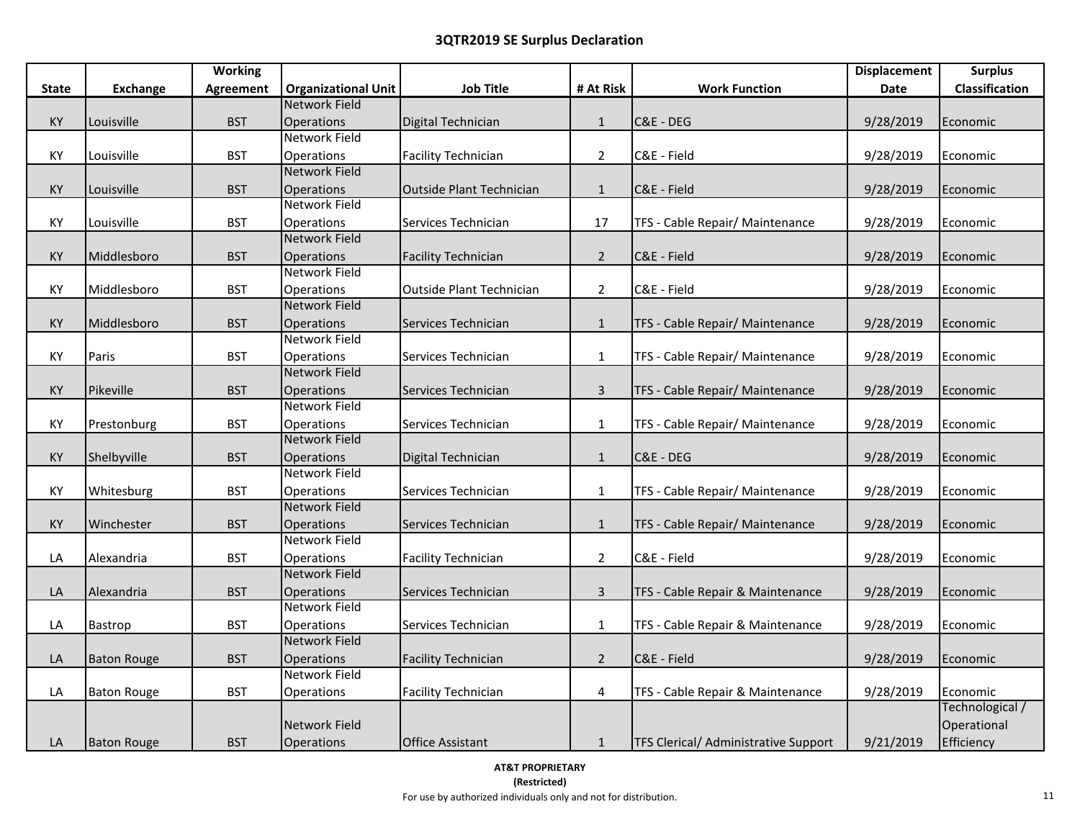|              |                    | <b>Working</b>   |                                    |                                 |                |                                      | <b>Displacement</b> | <b>Surplus</b>  |
|--------------|--------------------|------------------|------------------------------------|---------------------------------|----------------|--------------------------------------|---------------------|-----------------|
| <b>State</b> | <b>Exchange</b>    | <b>Agreement</b> | <b>Organizational Unit</b>         | <b>Job Title</b>                | # At Risk      | <b>Work Function</b>                 | Date                | Classification  |
|              |                    |                  | <b>Network Field</b>               |                                 |                |                                      |                     |                 |
| KY           | Louisville         | <b>BST</b>       | Operations                         | Digital Technician              | $\mathbf{1}$   | C&E - DEG                            | 9/28/2019           | Economic        |
|              |                    |                  | <b>Network Field</b>               |                                 |                |                                      |                     |                 |
| КY           | Louisville         | <b>BST</b>       | Operations                         | <b>Facility Technician</b>      | $\overline{2}$ | C&E - Field                          | 9/28/2019           | Economic        |
|              |                    |                  | <b>Network Field</b>               |                                 |                |                                      |                     |                 |
| KY           | Louisville         | <b>BST</b>       | Operations                         | Outside Plant Technician        | $\mathbf{1}$   | C&E - Field                          | 9/28/2019           | Economic        |
|              |                    |                  | <b>Network Field</b>               |                                 |                |                                      |                     |                 |
| КY           | Louisville         | <b>BST</b>       | Operations                         | Services Technician             | 17             | TFS - Cable Repair/ Maintenance      | 9/28/2019           | Economic        |
|              |                    |                  | <b>Network Field</b>               |                                 |                |                                      |                     |                 |
| KY           | Middlesboro        | <b>BST</b>       | Operations                         | <b>Facility Technician</b>      | $2^{\circ}$    | C&E - Field                          | 9/28/2019           | Economic        |
|              |                    |                  | Network Field                      |                                 |                |                                      |                     |                 |
| KY           | Middlesboro        | <b>BST</b>       | Operations                         | <b>Outside Plant Technician</b> | $\overline{2}$ | C&E - Field                          | 9/28/2019           | Economic        |
|              |                    |                  | <b>Network Field</b>               |                                 |                |                                      |                     |                 |
| KY           | Middlesboro        | <b>BST</b>       | Operations                         | Services Technician             | $\mathbf{1}$   | TFS - Cable Repair/ Maintenance      | 9/28/2019           | Economic        |
|              |                    |                  | <b>Network Field</b>               |                                 |                |                                      |                     |                 |
| КY           | Paris              | <b>BST</b>       | Operations                         | Services Technician             | $\mathbf{1}$   | TFS - Cable Repair/ Maintenance      | 9/28/2019           | Economic        |
|              |                    |                  | <b>Network Field</b>               |                                 |                |                                      |                     |                 |
| KY           | Pikeville          | <b>BST</b>       | <b>Operations</b>                  | Services Technician             | 3              | TFS - Cable Repair/ Maintenance      | 9/28/2019           | Economic        |
|              |                    |                  | <b>Network Field</b>               |                                 |                |                                      |                     |                 |
| КY           | Prestonburg        | <b>BST</b>       | Operations                         | Services Technician             | $\mathbf{1}$   | TFS - Cable Repair/ Maintenance      | 9/28/2019           | Economic        |
|              |                    |                  | <b>Network Field</b>               |                                 |                |                                      |                     |                 |
| KY           | Shelbyville        | <b>BST</b>       | Operations                         | Digital Technician              | $1\,$          | C&E - DEG                            | 9/28/2019           | Economic        |
|              |                    |                  | Network Field                      |                                 |                |                                      |                     |                 |
| KY           | Whitesburg         | <b>BST</b>       | Operations                         | Services Technician             | $\mathbf{1}$   | TFS - Cable Repair/ Maintenance      | 9/28/2019           | Economic        |
|              |                    |                  | <b>Network Field</b>               |                                 |                |                                      |                     |                 |
| KY           | Winchester         | <b>BST</b>       | Operations<br>Network Field        | Services Technician             | $\mathbf{1}$   | TFS - Cable Repair/ Maintenance      | 9/28/2019           | Economic        |
|              |                    |                  |                                    |                                 |                |                                      |                     |                 |
| LA           | Alexandria         | <b>BST</b>       | Operations<br><b>Network Field</b> | <b>Facility Technician</b>      | $\overline{2}$ | C&E - Field                          | 9/28/2019           | Economic        |
|              |                    |                  |                                    |                                 |                |                                      |                     |                 |
| LA           | Alexandria         | <b>BST</b>       | Operations<br>Network Field        | Services Technician             | $\mathbf{3}$   | TFS - Cable Repair & Maintenance     | 9/28/2019           | Economic        |
|              |                    |                  |                                    |                                 |                | TFS - Cable Repair & Maintenance     |                     |                 |
| LA           | Bastrop            | <b>BST</b>       | Operations<br><b>Network Field</b> | Services Technician             | $\mathbf{1}$   |                                      | 9/28/2019           | Economic        |
| LA           | <b>Baton Rouge</b> | <b>BST</b>       | Operations                         | <b>Facility Technician</b>      | $2^{\circ}$    | C&E - Field                          | 9/28/2019           |                 |
|              |                    |                  | Network Field                      |                                 |                |                                      |                     | Economic        |
| LA           | <b>Baton Rouge</b> | <b>BST</b>       | Operations                         | <b>Facility Technician</b>      | 4              | TFS - Cable Repair & Maintenance     | 9/28/2019           | Economic        |
|              |                    |                  |                                    |                                 |                |                                      |                     | Technological / |
|              |                    |                  | Network Field                      |                                 |                |                                      |                     | Operational     |
| LA           | <b>Baton Rouge</b> | <b>BST</b>       | Operations                         | <b>Office Assistant</b>         | $\mathbf{1}$   | TFS Clerical/ Administrative Support | 9/21/2019           | Efficiency      |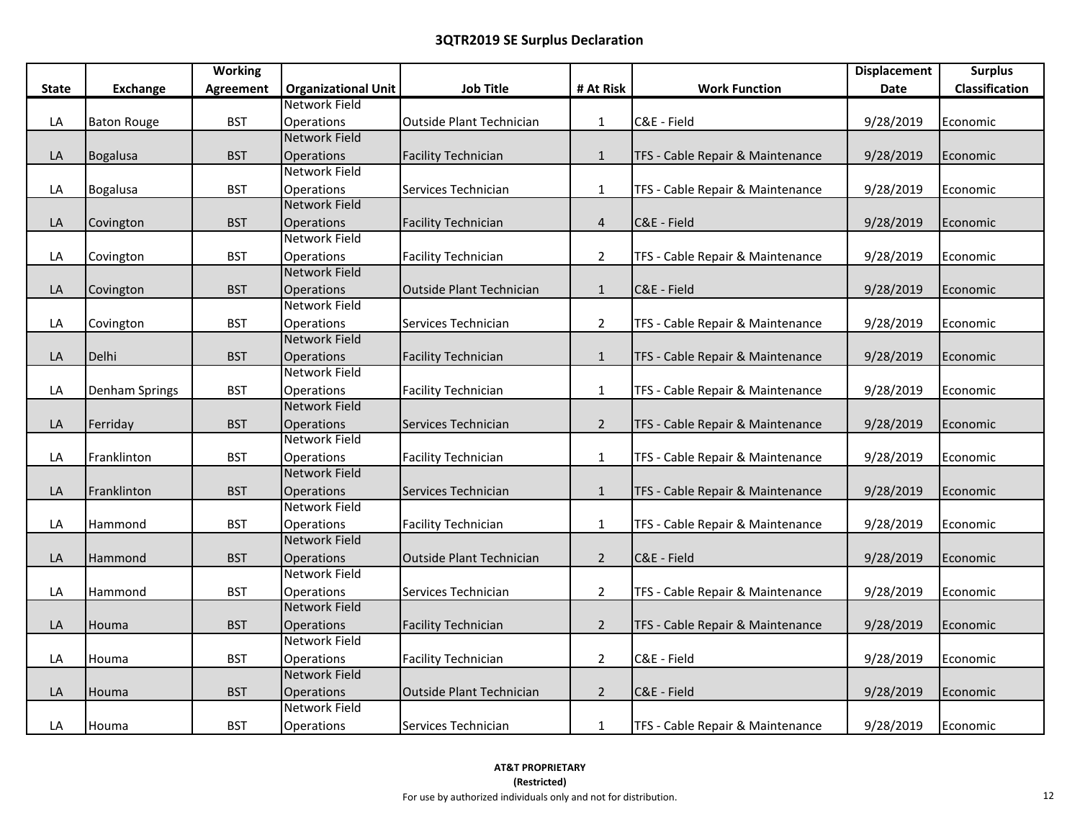|              |                       | <b>Working</b>   |                            |                                 |                |                                  | <b>Displacement</b> | <b>Surplus</b> |
|--------------|-----------------------|------------------|----------------------------|---------------------------------|----------------|----------------------------------|---------------------|----------------|
| <b>State</b> | <b>Exchange</b>       | <b>Agreement</b> | <b>Organizational Unit</b> | <b>Job Title</b>                | # At Risk      | <b>Work Function</b>             | Date                | Classification |
|              |                       |                  | Network Field              |                                 |                |                                  |                     |                |
| LA           | <b>Baton Rouge</b>    | <b>BST</b>       | Operations                 | <b>Outside Plant Technician</b> | $\mathbf{1}$   | C&E - Field                      | 9/28/2019           | Economic       |
|              |                       |                  | <b>Network Field</b>       |                                 |                |                                  |                     |                |
| LA           | Bogalusa              | <b>BST</b>       | Operations                 | <b>Facility Technician</b>      | $\mathbf{1}$   | TFS - Cable Repair & Maintenance | 9/28/2019           | Economic       |
|              |                       |                  | <b>Network Field</b>       |                                 |                |                                  |                     |                |
| LA           | <b>Bogalusa</b>       | <b>BST</b>       | Operations                 | Services Technician             | $\mathbf{1}$   | TFS - Cable Repair & Maintenance | 9/28/2019           | Economic       |
|              |                       |                  | <b>Network Field</b>       |                                 |                |                                  |                     |                |
| LA           | Covington             | <b>BST</b>       | Operations                 | <b>Facility Technician</b>      | $\overline{4}$ | C&E - Field                      | 9/28/2019           | Economic       |
|              |                       |                  | <b>Network Field</b>       |                                 |                |                                  |                     |                |
| LA           | Covington             | <b>BST</b>       | Operations                 | <b>Facility Technician</b>      | $\overline{2}$ | TFS - Cable Repair & Maintenance | 9/28/2019           | Economic       |
|              |                       |                  | <b>Network Field</b>       |                                 |                |                                  |                     |                |
| LA           | Covington             | <b>BST</b>       | Operations                 | Outside Plant Technician        | $\mathbf{1}$   | C&E - Field                      | 9/28/2019           | Economic       |
|              |                       |                  | Network Field              |                                 |                |                                  |                     |                |
| LA           | Covington             | <b>BST</b>       | Operations                 | Services Technician             | $\overline{2}$ | TFS - Cable Repair & Maintenance | 9/28/2019           | Economic       |
|              |                       |                  | <b>Network Field</b>       |                                 |                |                                  |                     |                |
| LA           | Delhi                 | <b>BST</b>       | Operations                 | <b>Facility Technician</b>      | $\mathbf{1}$   | TFS - Cable Repair & Maintenance | 9/28/2019           | Economic       |
|              |                       |                  | Network Field              |                                 |                |                                  |                     |                |
| LA           | <b>Denham Springs</b> | <b>BST</b>       | Operations                 | <b>Facility Technician</b>      | $\mathbf{1}$   | TFS - Cable Repair & Maintenance | 9/28/2019           | Economic       |
|              |                       |                  | <b>Network Field</b>       |                                 |                |                                  |                     |                |
| LA           | Ferriday              | <b>BST</b>       | Operations                 | Services Technician             | $2^{\circ}$    | TFS - Cable Repair & Maintenance | 9/28/2019           | Economic       |
|              |                       |                  | Network Field              |                                 |                |                                  |                     |                |
| LA           | Franklinton           | <b>BST</b>       | Operations                 | <b>Facility Technician</b>      | $\mathbf{1}$   | TFS - Cable Repair & Maintenance | 9/28/2019           | Economic       |
|              |                       |                  | <b>Network Field</b>       |                                 |                |                                  |                     |                |
| LA           | Franklinton           | <b>BST</b>       | Operations                 | Services Technician             | 1              | TFS - Cable Repair & Maintenance | 9/28/2019           | Economic       |
|              |                       |                  | Network Field              |                                 |                |                                  |                     |                |
| LA           | Hammond               | <b>BST</b>       | Operations                 | <b>Facility Technician</b>      | $\mathbf{1}$   | TFS - Cable Repair & Maintenance | 9/28/2019           | Economic       |
|              |                       |                  | <b>Network Field</b>       |                                 |                |                                  |                     |                |
| LA           | Hammond               | <b>BST</b>       | Operations                 | <b>Outside Plant Technician</b> | $2^{\circ}$    | C&E - Field                      | 9/28/2019           | Economic       |
|              |                       |                  | Network Field              |                                 |                |                                  |                     |                |
| LA           | Hammond               | <b>BST</b>       | Operations                 | Services Technician             | $\overline{2}$ | TFS - Cable Repair & Maintenance | 9/28/2019           | Economic       |
|              |                       |                  | <b>Network Field</b>       |                                 |                |                                  |                     |                |
| LA           | Houma                 | <b>BST</b>       | Operations                 | <b>Facility Technician</b>      | $2^{\circ}$    | TFS - Cable Repair & Maintenance | 9/28/2019           | Economic       |
|              |                       |                  | Network Field              |                                 |                |                                  |                     |                |
| LA           | Houma                 | <b>BST</b>       | Operations                 | <b>Facility Technician</b>      | $\overline{2}$ | C&E - Field                      | 9/28/2019           | Economic       |
|              |                       |                  | <b>Network Field</b>       |                                 |                |                                  |                     |                |
| LA           | Houma                 | <b>BST</b>       | Operations                 | Outside Plant Technician        | $2^{\circ}$    | C&E - Field                      | 9/28/2019           | Economic       |
|              |                       |                  | <b>Network Field</b>       |                                 |                |                                  |                     |                |
| LA           | Houma                 | <b>BST</b>       | Operations                 | Services Technician             | $\mathbf{1}$   | TFS - Cable Repair & Maintenance | 9/28/2019           | Economic       |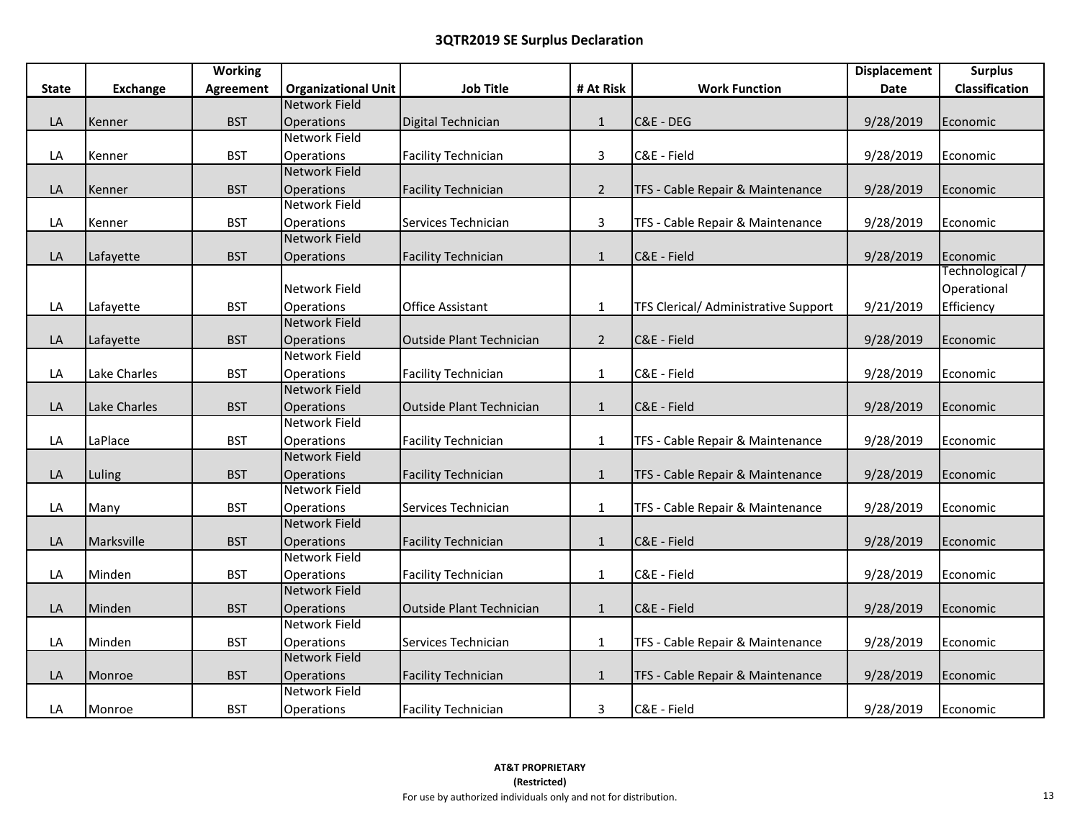|              |                 | <b>Working</b> |                            |                                 |              |                                      | <b>Displacement</b> | <b>Surplus</b>  |
|--------------|-----------------|----------------|----------------------------|---------------------------------|--------------|--------------------------------------|---------------------|-----------------|
| <b>State</b> | <b>Exchange</b> | Agreement      | <b>Organizational Unit</b> | <b>Job Title</b>                | # At Risk    | <b>Work Function</b>                 | Date                | Classification  |
|              |                 |                | Network Field              |                                 |              |                                      |                     |                 |
| LA           | Kenner          | <b>BST</b>     | <b>Operations</b>          | Digital Technician              | $\mathbf{1}$ | C&E - DEG                            | 9/28/2019           | Economic        |
|              |                 |                | <b>Network Field</b>       |                                 |              |                                      |                     |                 |
| LA           | Kenner          | <b>BST</b>     | Operations                 | <b>Facility Technician</b>      | $\mathbf{3}$ | C&E - Field                          | 9/28/2019           | Economic        |
|              |                 |                | Network Field              |                                 |              |                                      |                     |                 |
| LA           | Kenner          | <b>BST</b>     | Operations                 | <b>Facility Technician</b>      | $2^{\circ}$  | TFS - Cable Repair & Maintenance     | 9/28/2019           | Economic        |
|              |                 |                | <b>Network Field</b>       |                                 |              |                                      |                     |                 |
| LA           | Kenner          | <b>BST</b>     | Operations                 | Services Technician             | 3            | TFS - Cable Repair & Maintenance     | 9/28/2019           | Economic        |
|              |                 |                | <b>Network Field</b>       |                                 |              |                                      |                     |                 |
| LA           | Lafayette       | <b>BST</b>     | Operations                 | <b>Facility Technician</b>      | $\mathbf{1}$ | C&E - Field                          | 9/28/2019           | Economic        |
|              |                 |                |                            |                                 |              |                                      |                     | Technological / |
|              |                 |                | Network Field              |                                 |              |                                      |                     | Operational     |
| LA           | Lafayette       | <b>BST</b>     | Operations                 | <b>Office Assistant</b>         | $\mathbf{1}$ | TFS Clerical/ Administrative Support | 9/21/2019           | Efficiency      |
|              |                 |                | <b>Network Field</b>       |                                 |              |                                      |                     |                 |
| LA           | Lafayette       | <b>BST</b>     | Operations                 | Outside Plant Technician        | $2^{\circ}$  | C&E - Field                          | 9/28/2019           | Economic        |
|              |                 |                | <b>Network Field</b>       |                                 |              |                                      |                     |                 |
| LA           | Lake Charles    | <b>BST</b>     | Operations                 | <b>Facility Technician</b>      | $\mathbf{1}$ | C&E - Field                          | 9/28/2019           | Economic        |
|              |                 |                | <b>Network Field</b>       |                                 |              |                                      |                     |                 |
| LA           | Lake Charles    | <b>BST</b>     | Operations                 | <b>Outside Plant Technician</b> | $\mathbf{1}$ | C&E - Field                          | 9/28/2019           | Economic        |
|              |                 |                | <b>Network Field</b>       |                                 |              |                                      |                     |                 |
| LA           | LaPlace         | <b>BST</b>     | Operations                 | <b>Facility Technician</b>      | $\mathbf{1}$ | TFS - Cable Repair & Maintenance     | 9/28/2019           | Economic        |
|              |                 |                | <b>Network Field</b>       |                                 |              |                                      |                     |                 |
| LA           | Luling          | <b>BST</b>     | Operations                 | <b>Facility Technician</b>      | $\mathbf{1}$ | TFS - Cable Repair & Maintenance     | 9/28/2019           | Economic        |
|              |                 |                | Network Field              |                                 |              |                                      |                     |                 |
| LA           | Many            | <b>BST</b>     | Operations                 | Services Technician             | $\mathbf{1}$ | TFS - Cable Repair & Maintenance     | 9/28/2019           | Economic        |
|              |                 |                | <b>Network Field</b>       |                                 |              |                                      |                     |                 |
| LA           | Marksville      | <b>BST</b>     | Operations                 | <b>Facility Technician</b>      | $\mathbf{1}$ | C&E - Field                          | 9/28/2019           | Economic        |
|              |                 |                | <b>Network Field</b>       |                                 |              |                                      |                     |                 |
| LA           | Minden          | <b>BST</b>     | Operations                 | <b>Facility Technician</b>      | $\mathbf{1}$ | C&E - Field                          | 9/28/2019           | Economic        |
|              |                 |                | <b>Network Field</b>       |                                 |              |                                      |                     |                 |
| LA           | Minden          | <b>BST</b>     | Operations                 | Outside Plant Technician        | $\mathbf{1}$ | C&E - Field                          | 9/28/2019           | Economic        |
|              |                 |                | Network Field              |                                 |              |                                      |                     |                 |
| LA           | Minden          | <b>BST</b>     | Operations                 | Services Technician             | $\mathbf{1}$ | TFS - Cable Repair & Maintenance     | 9/28/2019           | Economic        |
|              |                 |                | <b>Network Field</b>       |                                 |              |                                      |                     |                 |
| LA           | Monroe          | <b>BST</b>     | Operations                 | <b>Facility Technician</b>      | $\mathbf 1$  | TFS - Cable Repair & Maintenance     | 9/28/2019           | Economic        |
|              |                 |                | Network Field              |                                 |              |                                      |                     |                 |
| LA           | Monroe          | <b>BST</b>     | Operations                 | <b>Facility Technician</b>      | 3            | C&E - Field                          | 9/28/2019           | Economic        |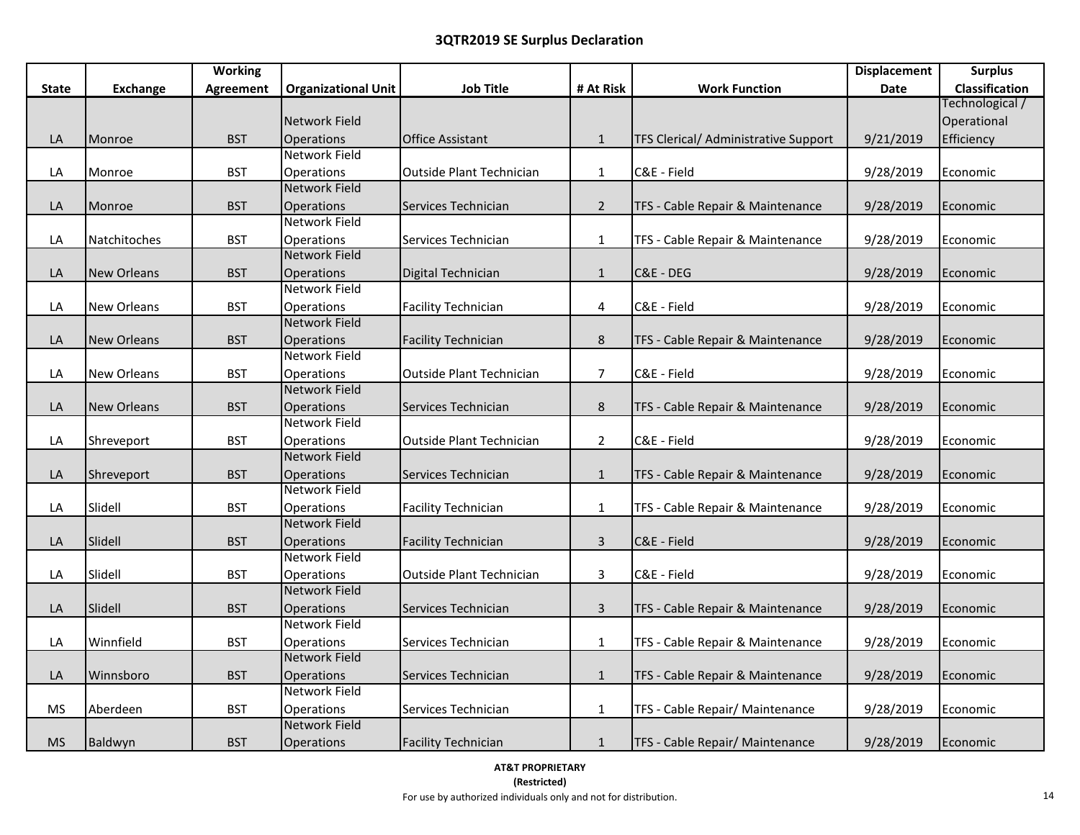|              |                    | <b>Working</b> |                            |                                 |                |                                      | <b>Displacement</b> | <b>Surplus</b>  |
|--------------|--------------------|----------------|----------------------------|---------------------------------|----------------|--------------------------------------|---------------------|-----------------|
| <b>State</b> | <b>Exchange</b>    | Agreement      | <b>Organizational Unit</b> | <b>Job Title</b>                | # At Risk      | <b>Work Function</b>                 | Date                | Classification  |
|              |                    |                |                            |                                 |                |                                      |                     | Technological / |
|              |                    |                | Network Field              |                                 |                |                                      |                     | Operational     |
| LA           | Monroe             | <b>BST</b>     | Operations                 | <b>Office Assistant</b>         | $\mathbf{1}$   | TFS Clerical/ Administrative Support | 9/21/2019           | Efficiency      |
|              |                    |                | <b>Network Field</b>       |                                 |                |                                      |                     |                 |
| LA           | Monroe             | <b>BST</b>     | <b>Operations</b>          | Outside Plant Technician        | $\mathbf{1}$   | C&E - Field                          | 9/28/2019           | Economic        |
|              |                    |                | Network Field              |                                 |                |                                      |                     |                 |
| LA           | Monroe             | <b>BST</b>     | <b>Operations</b>          | Services Technician             | $\overline{2}$ | TFS - Cable Repair & Maintenance     | 9/28/2019           | Economic        |
|              |                    |                | Network Field              |                                 |                |                                      |                     |                 |
| LA           | Natchitoches       | <b>BST</b>     | <b>Operations</b>          | Services Technician             | $\mathbf{1}$   | TFS - Cable Repair & Maintenance     | 9/28/2019           | Economic        |
|              |                    |                | <b>Network Field</b>       |                                 |                |                                      |                     |                 |
| LA           | <b>New Orleans</b> | <b>BST</b>     | Operations                 | Digital Technician              | $\mathbf{1}$   | C&E - DEG                            | 9/28/2019           | Economic        |
|              |                    |                | Network Field              |                                 |                |                                      |                     |                 |
| LA           | <b>New Orleans</b> | <b>BST</b>     | Operations                 | <b>Facility Technician</b>      | 4              | C&E - Field                          | 9/28/2019           | Economic        |
|              |                    |                | Network Field              |                                 |                |                                      |                     |                 |
| LA           | <b>New Orleans</b> | <b>BST</b>     | <b>Operations</b>          | <b>Facility Technician</b>      | $\bf 8$        | TFS - Cable Repair & Maintenance     | 9/28/2019           | Economic        |
|              |                    |                | Network Field              |                                 |                |                                      |                     |                 |
| LA           | <b>New Orleans</b> | <b>BST</b>     | Operations                 | <b>Outside Plant Technician</b> | $\overline{7}$ | C&E - Field                          | 9/28/2019           | Economic        |
|              |                    |                | Network Field              |                                 |                |                                      |                     |                 |
| LA           | <b>New Orleans</b> | <b>BST</b>     | <b>Operations</b>          | Services Technician             | $\bf 8$        | TFS - Cable Repair & Maintenance     | 9/28/2019           | Economic        |
|              |                    |                | Network Field              |                                 |                |                                      |                     |                 |
| LA           | Shreveport         | <b>BST</b>     | Operations                 | <b>Outside Plant Technician</b> | $\overline{2}$ | C&E - Field                          | 9/28/2019           | Economic        |
|              |                    |                | Network Field              |                                 |                |                                      |                     |                 |
| LA           | Shreveport         | <b>BST</b>     | <b>Operations</b>          | Services Technician             | $\mathbf{1}$   | TFS - Cable Repair & Maintenance     | 9/28/2019           | Economic        |
|              |                    |                | Network Field              |                                 |                |                                      |                     |                 |
| LA           | Slidell            | <b>BST</b>     | Operations                 | <b>Facility Technician</b>      | $\mathbf{1}$   | TFS - Cable Repair & Maintenance     | 9/28/2019           | Economic        |
|              |                    |                | Network Field              |                                 |                |                                      |                     |                 |
| LA           | Slidell            | <b>BST</b>     | Operations                 | <b>Facility Technician</b>      | $\overline{3}$ | C&E - Field                          | 9/28/2019           | Economic        |
|              |                    |                | <b>Network Field</b>       |                                 |                |                                      |                     |                 |
| LA           | Slidell            | <b>BST</b>     | Operations                 | Outside Plant Technician        | $\mathbf{3}$   | C&E - Field                          | 9/28/2019           | Economic        |
|              |                    |                | <b>Network Field</b>       |                                 |                |                                      |                     |                 |
| LA           | Slidell            | <b>BST</b>     | <b>Operations</b>          | Services Technician             | $\mathsf{3}$   | TFS - Cable Repair & Maintenance     | 9/28/2019           | Economic        |
|              |                    |                | <b>Network Field</b>       |                                 |                |                                      |                     |                 |
| LA           | Winnfield          | <b>BST</b>     | <b>Operations</b>          | Services Technician             | $\mathbf{1}$   | TFS - Cable Repair & Maintenance     | 9/28/2019           | Economic        |
|              |                    |                | <b>Network Field</b>       |                                 |                |                                      |                     |                 |
| LA           | Winnsboro          | <b>BST</b>     | Operations                 | Services Technician             | $\mathbf{1}$   | TFS - Cable Repair & Maintenance     | 9/28/2019           | Economic        |
|              |                    |                | Network Field              |                                 |                |                                      |                     |                 |
| <b>MS</b>    | Aberdeen           | <b>BST</b>     | <b>Operations</b>          | Services Technician             | $\mathbf{1}$   | TFS - Cable Repair/ Maintenance      | 9/28/2019           | Economic        |
|              |                    |                | <b>Network Field</b>       |                                 |                |                                      |                     |                 |
| <b>MS</b>    | Baldwyn            | <b>BST</b>     | <b>Operations</b>          | <b>Facility Technician</b>      | $\mathbf{1}$   | TFS - Cable Repair/ Maintenance      | 9/28/2019           | Economic        |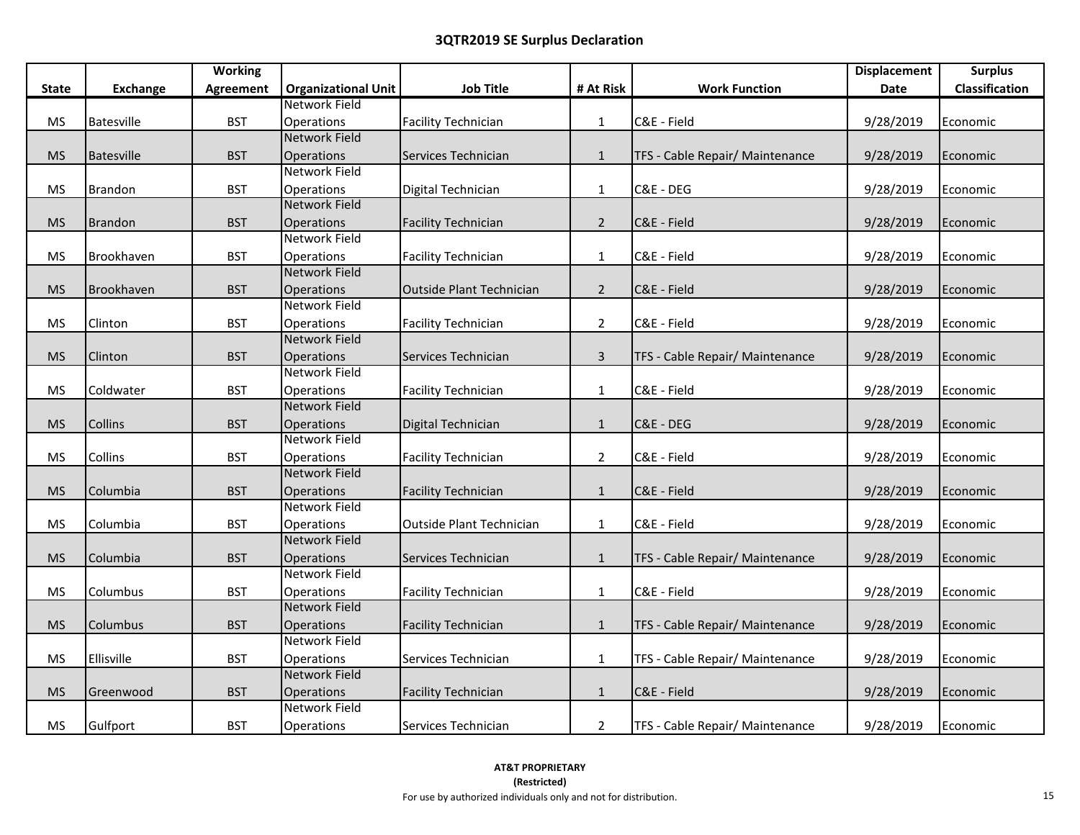|              |                   | <b>Working</b>   |                            |                                 |                |                                 | <b>Displacement</b> | <b>Surplus</b>        |
|--------------|-------------------|------------------|----------------------------|---------------------------------|----------------|---------------------------------|---------------------|-----------------------|
| <b>State</b> | <b>Exchange</b>   | <b>Agreement</b> | <b>Organizational Unit</b> | <b>Job Title</b>                | # At Risk      | <b>Work Function</b>            | Date                | <b>Classification</b> |
|              |                   |                  | Network Field              |                                 |                |                                 |                     |                       |
| <b>MS</b>    | <b>Batesville</b> | <b>BST</b>       | Operations                 | <b>Facility Technician</b>      | $\mathbf{1}$   | C&E - Field                     | 9/28/2019           | Economic              |
|              |                   |                  | <b>Network Field</b>       |                                 |                |                                 |                     |                       |
| <b>MS</b>    | Batesville        | <b>BST</b>       | Operations                 | Services Technician             | $\mathbf{1}$   | TFS - Cable Repair/ Maintenance | 9/28/2019           | Economic              |
|              |                   |                  | Network Field              |                                 |                |                                 |                     |                       |
| <b>MS</b>    | Brandon           | <b>BST</b>       | Operations                 | Digital Technician              | $\mathbf{1}$   | C&E - DEG                       | 9/28/2019           | Economic              |
|              |                   |                  | <b>Network Field</b>       |                                 |                |                                 |                     |                       |
| <b>MS</b>    | <b>Brandon</b>    | <b>BST</b>       | Operations                 | <b>Facility Technician</b>      | $\overline{2}$ | C&E - Field                     | 9/28/2019           | Economic              |
|              |                   |                  | <b>Network Field</b>       |                                 |                |                                 |                     |                       |
| <b>MS</b>    | Brookhaven        | <b>BST</b>       | <b>Operations</b>          | <b>Facility Technician</b>      | $\mathbf{1}$   | C&E - Field                     | 9/28/2019           | Economic              |
|              |                   |                  | <b>Network Field</b>       |                                 |                |                                 |                     |                       |
| <b>MS</b>    | Brookhaven        | <b>BST</b>       | Operations                 | <b>Outside Plant Technician</b> | $\overline{2}$ | C&E - Field                     | 9/28/2019           | Economic              |
|              |                   |                  | Network Field              |                                 |                |                                 |                     |                       |
| <b>MS</b>    | Clinton           | <b>BST</b>       | Operations                 | <b>Facility Technician</b>      | $\overline{2}$ | C&E - Field                     | 9/28/2019           | Economic              |
|              |                   |                  | <b>Network Field</b>       |                                 |                |                                 |                     |                       |
| <b>MS</b>    | Clinton           | <b>BST</b>       | Operations                 | Services Technician             | 3              | TFS - Cable Repair/ Maintenance | 9/28/2019           | Economic              |
|              |                   |                  | <b>Network Field</b>       |                                 |                |                                 |                     |                       |
| <b>MS</b>    | Coldwater         | <b>BST</b>       | Operations                 | <b>Facility Technician</b>      | $\mathbf{1}$   | C&E - Field                     | 9/28/2019           | Economic              |
|              |                   |                  | <b>Network Field</b>       |                                 |                |                                 |                     |                       |
| <b>MS</b>    | Collins           | <b>BST</b>       | Operations                 | Digital Technician              | $\mathbf{1}$   | C&E - DEG                       | 9/28/2019           | Economic              |
|              |                   |                  | Network Field              |                                 |                |                                 |                     |                       |
| <b>MS</b>    | Collins           | <b>BST</b>       | Operations                 | <b>Facility Technician</b>      | $\overline{2}$ | C&E - Field                     | 9/28/2019           | Economic              |
|              |                   |                  | <b>Network Field</b>       |                                 |                |                                 |                     |                       |
| <b>MS</b>    | Columbia          | <b>BST</b>       | Operations                 | <b>Facility Technician</b>      | $\mathbf{1}$   | C&E - Field                     | 9/28/2019           | Economic              |
|              |                   |                  | <b>Network Field</b>       |                                 |                |                                 |                     |                       |
| <b>MS</b>    | Columbia          | <b>BST</b>       | Operations                 | <b>Outside Plant Technician</b> | $\mathbf{1}$   | C&E - Field                     | 9/28/2019           | Economic              |
|              |                   |                  | <b>Network Field</b>       |                                 |                |                                 |                     |                       |
| <b>MS</b>    | Columbia          | <b>BST</b>       | Operations                 | Services Technician             | $\mathbf{1}$   | TFS - Cable Repair/ Maintenance | 9/28/2019           | Economic              |
|              |                   |                  | Network Field              |                                 |                |                                 |                     |                       |
| <b>MS</b>    | Columbus          | <b>BST</b>       | <b>Operations</b>          | <b>Facility Technician</b>      | $\mathbf{1}$   | C&E - Field                     | 9/28/2019           | Economic              |
|              |                   |                  | <b>Network Field</b>       |                                 |                |                                 |                     |                       |
| <b>MS</b>    | Columbus          | <b>BST</b>       | <b>Operations</b>          | <b>Facility Technician</b>      | $\mathbf{1}$   | TFS - Cable Repair/ Maintenance | 9/28/2019           | Economic              |
|              |                   |                  | <b>Network Field</b>       |                                 |                |                                 |                     |                       |
| <b>MS</b>    | Ellisville        | <b>BST</b>       | Operations                 | Services Technician             | $\mathbf{1}$   | TFS - Cable Repair/ Maintenance | 9/28/2019           | Economic              |
|              |                   |                  | <b>Network Field</b>       |                                 |                |                                 |                     |                       |
| <b>MS</b>    | Greenwood         | <b>BST</b>       | <b>Operations</b>          | <b>Facility Technician</b>      | $\mathbf{1}$   | C&E - Field                     | 9/28/2019           | Economic              |
|              |                   |                  | <b>Network Field</b>       |                                 |                |                                 |                     |                       |
| <b>MS</b>    | Gulfport          | <b>BST</b>       | Operations                 | Services Technician             | $\overline{2}$ | TFS - Cable Repair/ Maintenance | 9/28/2019           | Economic              |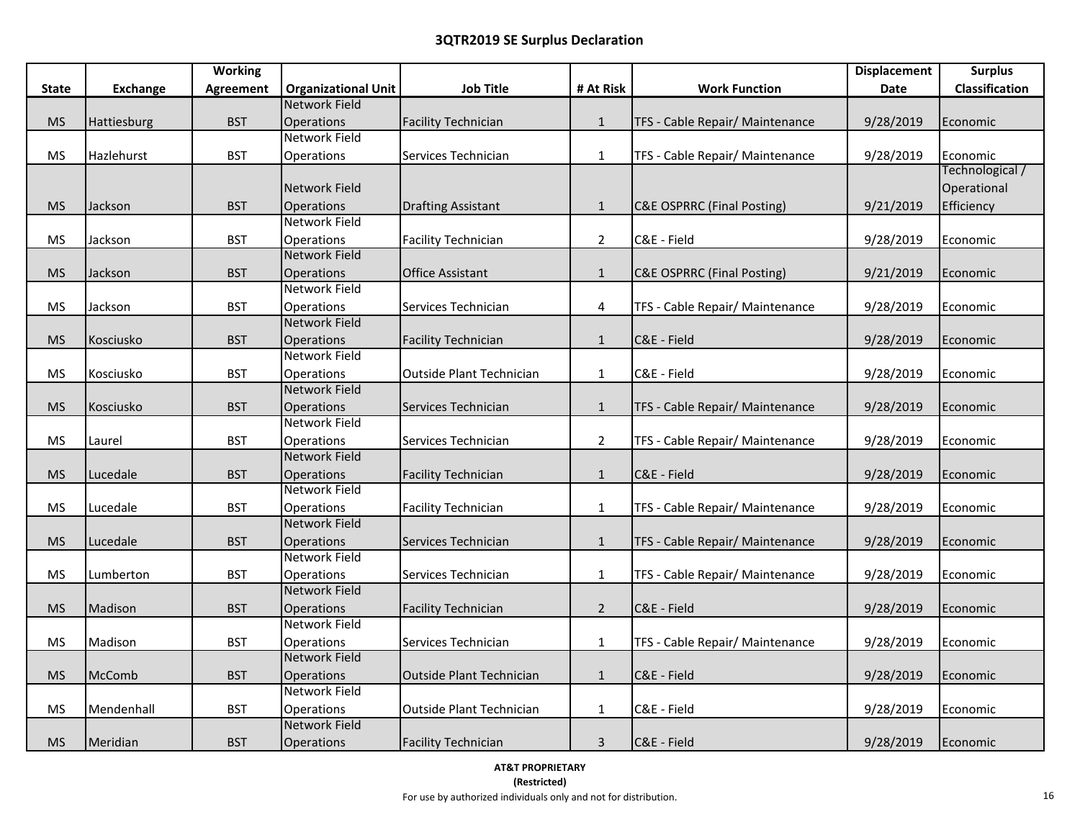|              |                 | <b>Working</b>   |                            |                                 |                         |                                       | <b>Displacement</b> | <b>Surplus</b>  |
|--------------|-----------------|------------------|----------------------------|---------------------------------|-------------------------|---------------------------------------|---------------------|-----------------|
| <b>State</b> | <b>Exchange</b> | <b>Agreement</b> | <b>Organizational Unit</b> | <b>Job Title</b>                | # At Risk               | <b>Work Function</b>                  | Date                | Classification  |
|              |                 |                  | <b>Network Field</b>       |                                 |                         |                                       |                     |                 |
| <b>MS</b>    | Hattiesburg     | <b>BST</b>       | Operations                 | <b>Facility Technician</b>      | $\mathbf{1}$            | TFS - Cable Repair/ Maintenance       | 9/28/2019           | Economic        |
|              |                 |                  | Network Field              |                                 |                         |                                       |                     |                 |
| <b>MS</b>    | Hazlehurst      | <b>BST</b>       | Operations                 | Services Technician             | $\mathbf{1}$            | TFS - Cable Repair/ Maintenance       | 9/28/2019           | Economic        |
|              |                 |                  |                            |                                 |                         |                                       |                     | Technological / |
|              |                 |                  | Network Field              |                                 |                         |                                       |                     | Operational     |
| <b>MS</b>    | Jackson         | <b>BST</b>       | Operations                 | <b>Drafting Assistant</b>       | $\mathbf{1}$            | C&E OSPRRC (Final Posting)            | 9/21/2019           | Efficiency      |
|              |                 |                  | Network Field              |                                 |                         |                                       |                     |                 |
| <b>MS</b>    | Jackson         | <b>BST</b>       | Operations                 | <b>Facility Technician</b>      | $\overline{2}$          | C&E - Field                           | 9/28/2019           | Economic        |
|              |                 |                  | <b>Network Field</b>       |                                 |                         |                                       |                     |                 |
| <b>MS</b>    | Jackson         | <b>BST</b>       | Operations                 | Office Assistant                | $\mathbf{1}$            | <b>C&amp;E OSPRRC (Final Posting)</b> | 9/21/2019           | Economic        |
|              |                 |                  | Network Field              |                                 |                         |                                       |                     |                 |
| <b>MS</b>    | Jackson         | <b>BST</b>       | Operations                 | Services Technician             | $\overline{\mathbf{4}}$ | TFS - Cable Repair/ Maintenance       | 9/28/2019           | Economic        |
|              |                 |                  | <b>Network Field</b>       |                                 |                         |                                       |                     |                 |
| <b>MS</b>    | Kosciusko       | <b>BST</b>       | Operations                 | <b>Facility Technician</b>      | $\mathbf{1}$            | C&E - Field                           | 9/28/2019           | Economic        |
|              |                 |                  | Network Field              |                                 |                         |                                       |                     |                 |
| <b>MS</b>    | Kosciusko       | <b>BST</b>       | Operations                 | <b>Outside Plant Technician</b> | $\mathbf{1}$            | C&E - Field                           | 9/28/2019           | Economic        |
|              |                 |                  | Network Field              |                                 |                         |                                       |                     |                 |
| <b>MS</b>    | Kosciusko       | <b>BST</b>       | Operations                 | Services Technician             | $\mathbf{1}$            | TFS - Cable Repair/ Maintenance       | 9/28/2019           | Economic        |
|              |                 |                  | Network Field              |                                 |                         |                                       |                     |                 |
| <b>MS</b>    | Laurel          | <b>BST</b>       | Operations                 | Services Technician             | $\overline{2}$          | TFS - Cable Repair/ Maintenance       | 9/28/2019           | Economic        |
|              |                 |                  | <b>Network Field</b>       |                                 |                         |                                       |                     |                 |
| <b>MS</b>    | Lucedale        | <b>BST</b>       | Operations                 | <b>Facility Technician</b>      | $\mathbf{1}$            | C&E - Field                           | 9/28/2019           | Economic        |
|              |                 |                  | Network Field              |                                 |                         |                                       |                     |                 |
| <b>MS</b>    | Lucedale        | <b>BST</b>       | Operations                 | <b>Facility Technician</b>      | $\mathbf{1}$            | TFS - Cable Repair/ Maintenance       | 9/28/2019           | Economic        |
|              |                 |                  | <b>Network Field</b>       |                                 |                         |                                       |                     |                 |
| <b>MS</b>    | Lucedale        | <b>BST</b>       | Operations                 | Services Technician             | $\mathbf{1}$            | TFS - Cable Repair/ Maintenance       | 9/28/2019           | Economic        |
|              |                 |                  | Network Field              |                                 |                         |                                       |                     |                 |
| <b>MS</b>    | Lumberton       | <b>BST</b>       | Operations                 | Services Technician             | $\mathbf{1}$            | TFS - Cable Repair/ Maintenance       | 9/28/2019           | Economic        |
|              |                 |                  | <b>Network Field</b>       |                                 |                         |                                       |                     |                 |
| <b>MS</b>    | Madison         | <b>BST</b>       | Operations                 | <b>Facility Technician</b>      | $\overline{2}$          | C&E - Field                           | 9/28/2019           | Economic        |
|              |                 |                  | Network Field              |                                 |                         |                                       |                     |                 |
| <b>MS</b>    | Madison         | <b>BST</b>       | <b>Operations</b>          | Services Technician             | $\mathbf{1}$            | TFS - Cable Repair/ Maintenance       | 9/28/2019           | Economic        |
|              |                 |                  | <b>Network Field</b>       |                                 |                         |                                       |                     |                 |
| <b>MS</b>    | McComb          | <b>BST</b>       | Operations                 | Outside Plant Technician        | $\mathbf{1}$            | C&E - Field                           | 9/28/2019           | Economic        |
|              |                 |                  | Network Field              |                                 |                         |                                       |                     |                 |
| <b>MS</b>    | Mendenhall      | <b>BST</b>       | Operations                 | Outside Plant Technician        | $\mathbf{1}$            | C&E - Field                           | 9/28/2019           | Economic        |
|              |                 |                  | <b>Network Field</b>       |                                 |                         |                                       |                     |                 |
| <b>MS</b>    | Meridian        | <b>BST</b>       | Operations                 | <b>Facility Technician</b>      | $\mathbf{3}$            | C&E - Field                           | 9/28/2019           | Economic        |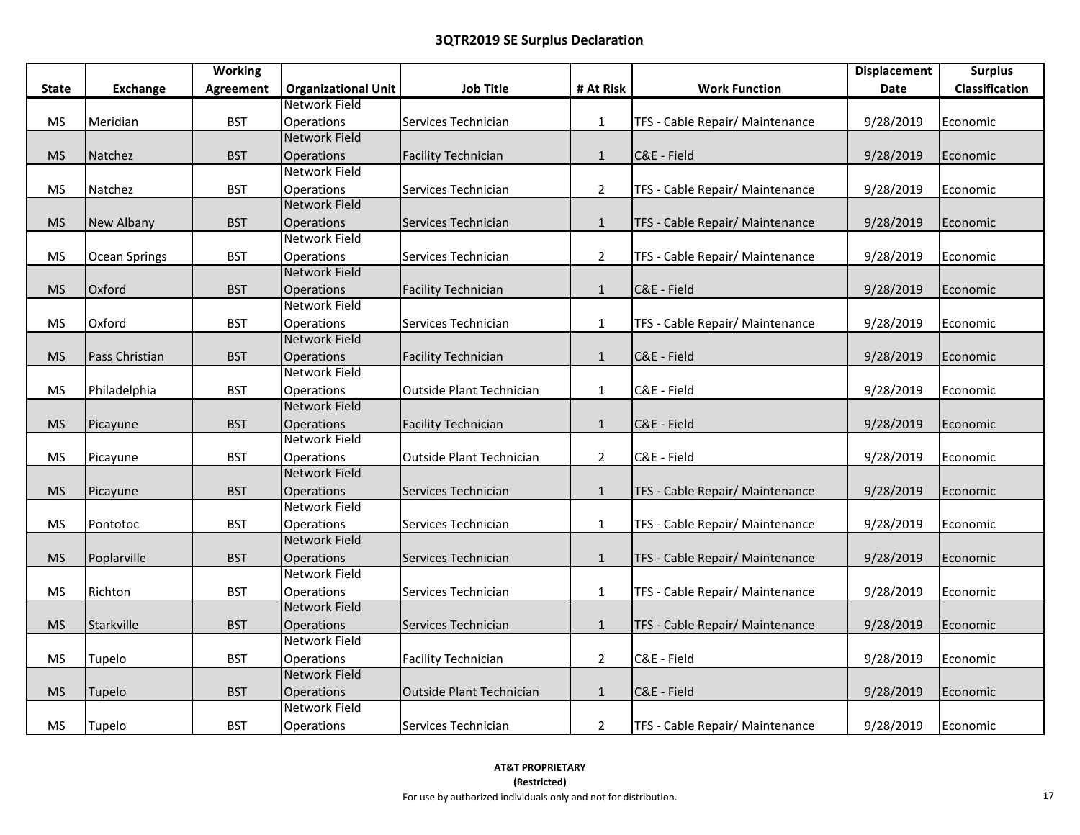|              |                 | <b>Working</b> |                            |                                 |                |                                 | <b>Displacement</b> | <b>Surplus</b> |
|--------------|-----------------|----------------|----------------------------|---------------------------------|----------------|---------------------------------|---------------------|----------------|
| <b>State</b> | <b>Exchange</b> | Agreement      | <b>Organizational Unit</b> | <b>Job Title</b>                | # At Risk      | <b>Work Function</b>            | Date                | Classification |
|              |                 |                | Network Field              |                                 |                |                                 |                     |                |
| <b>MS</b>    | Meridian        | <b>BST</b>     | Operations                 | Services Technician             | $\mathbf{1}$   | TFS - Cable Repair/ Maintenance | 9/28/2019           | Economic       |
|              |                 |                | <b>Network Field</b>       |                                 |                |                                 |                     |                |
| <b>MS</b>    | Natchez         | <b>BST</b>     | <b>Operations</b>          | <b>Facility Technician</b>      | $\mathbf{1}$   | C&E - Field                     | 9/28/2019           | Economic       |
|              |                 |                | Network Field              |                                 |                |                                 |                     |                |
| <b>MS</b>    | Natchez         | <b>BST</b>     | Operations                 | Services Technician             | $\overline{2}$ | TFS - Cable Repair/ Maintenance | 9/28/2019           | Economic       |
|              |                 |                | <b>Network Field</b>       |                                 |                |                                 |                     |                |
| <b>MS</b>    | New Albany      | <b>BST</b>     | Operations                 | Services Technician             | $\mathbf{1}$   | TFS - Cable Repair/ Maintenance | 9/28/2019           | Economic       |
|              |                 |                | <b>Network Field</b>       |                                 |                |                                 |                     |                |
| <b>MS</b>    | Ocean Springs   | <b>BST</b>     | <b>Operations</b>          | Services Technician             | $\overline{2}$ | TFS - Cable Repair/ Maintenance | 9/28/2019           | Economic       |
|              |                 |                | <b>Network Field</b>       |                                 |                |                                 |                     |                |
| <b>MS</b>    | Oxford          | <b>BST</b>     | Operations                 | <b>Facility Technician</b>      | $\mathbf{1}$   | C&E - Field                     | 9/28/2019           | Economic       |
|              |                 |                | Network Field              |                                 |                |                                 |                     |                |
| <b>MS</b>    | Oxford          | <b>BST</b>     | Operations                 | Services Technician             | $\mathbf{1}$   | TFS - Cable Repair/ Maintenance | 9/28/2019           | Economic       |
|              |                 |                | <b>Network Field</b>       |                                 |                |                                 |                     |                |
| <b>MS</b>    | Pass Christian  | <b>BST</b>     | Operations                 | <b>Facility Technician</b>      | $\mathbf{1}$   | C&E - Field                     | 9/28/2019           | Economic       |
|              |                 |                | <b>Network Field</b>       |                                 |                |                                 |                     |                |
| <b>MS</b>    | Philadelphia    | <b>BST</b>     | Operations                 | <b>Outside Plant Technician</b> | $\mathbf{1}$   | C&E - Field                     | 9/28/2019           | Economic       |
|              |                 |                | <b>Network Field</b>       |                                 |                |                                 |                     |                |
| <b>MS</b>    | Picayune        | <b>BST</b>     | Operations                 | <b>Facility Technician</b>      | $\mathbf{1}$   | C&E - Field                     | 9/28/2019           | Economic       |
|              |                 |                | <b>Network Field</b>       |                                 |                |                                 |                     |                |
| <b>MS</b>    | Picayune        | <b>BST</b>     | Operations                 | <b>Outside Plant Technician</b> | $\overline{2}$ | C&E - Field                     | 9/28/2019           | Economic       |
|              |                 |                | <b>Network Field</b>       |                                 |                |                                 |                     |                |
| <b>MS</b>    | Picayune        | <b>BST</b>     | Operations                 | Services Technician             | $\mathbf{1}$   | TFS - Cable Repair/ Maintenance | 9/28/2019           | Economic       |
|              |                 |                | <b>Network Field</b>       |                                 |                |                                 |                     |                |
| <b>MS</b>    | Pontotoc        | <b>BST</b>     | Operations                 | Services Technician             | $\mathbf{1}$   | TFS - Cable Repair/ Maintenance | 9/28/2019           | Economic       |
|              |                 |                | <b>Network Field</b>       |                                 |                |                                 |                     |                |
| <b>MS</b>    | Poplarville     | <b>BST</b>     | Operations                 | Services Technician             | $\mathbf{1}$   | TFS - Cable Repair/ Maintenance | 9/28/2019           | Economic       |
|              |                 |                | Network Field              |                                 |                |                                 |                     |                |
| <b>MS</b>    | Richton         | <b>BST</b>     | Operations                 | Services Technician             | $\mathbf{1}$   | TFS - Cable Repair/ Maintenance | 9/28/2019           | Economic       |
|              |                 |                | <b>Network Field</b>       |                                 |                |                                 |                     |                |
| <b>MS</b>    | Starkville      | <b>BST</b>     | <b>Operations</b>          | Services Technician             | $\mathbf{1}$   | TFS - Cable Repair/ Maintenance | 9/28/2019           | Economic       |
|              |                 |                | <b>Network Field</b>       |                                 |                |                                 |                     |                |
| <b>MS</b>    | Tupelo          | <b>BST</b>     | Operations                 | <b>Facility Technician</b>      | $\overline{2}$ | C&E - Field                     | 9/28/2019           | Economic       |
|              |                 |                | <b>Network Field</b>       |                                 |                |                                 |                     |                |
| <b>MS</b>    | Tupelo          | <b>BST</b>     | <b>Operations</b>          | Outside Plant Technician        | $\mathbf{1}$   | C&E - Field                     | 9/28/2019           | Economic       |
|              |                 |                | <b>Network Field</b>       |                                 |                |                                 |                     |                |
| <b>MS</b>    | Tupelo          | <b>BST</b>     | Operations                 | Services Technician             | $\overline{2}$ | TFS - Cable Repair/ Maintenance | 9/28/2019           | Economic       |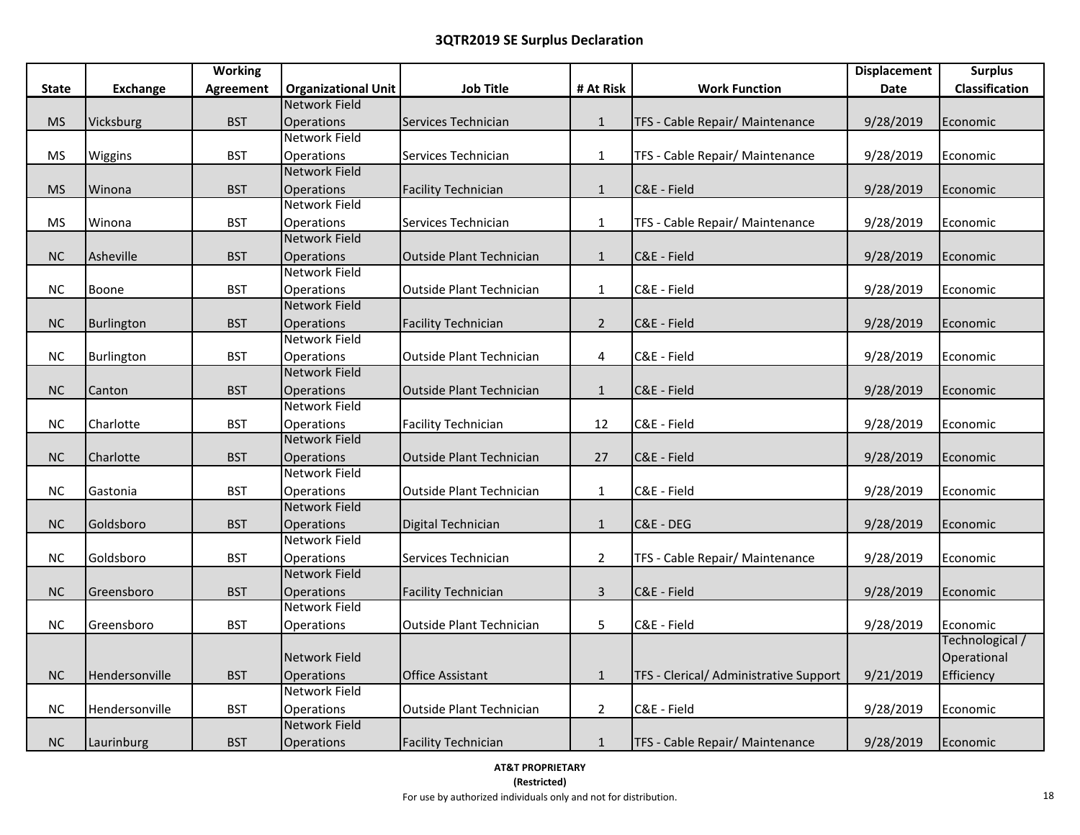|              |                   | <b>Working</b>   |                                    |                                 |                |                                        | <b>Displacement</b> | <b>Surplus</b>  |
|--------------|-------------------|------------------|------------------------------------|---------------------------------|----------------|----------------------------------------|---------------------|-----------------|
| <b>State</b> | <b>Exchange</b>   | <b>Agreement</b> | <b>Organizational Unit</b>         | <b>Job Title</b>                | # At Risk      | <b>Work Function</b>                   | Date                | Classification  |
|              |                   |                  | <b>Network Field</b>               |                                 |                |                                        |                     |                 |
| <b>MS</b>    | Vicksburg         | <b>BST</b>       | <b>Operations</b>                  | Services Technician             | $\mathbf{1}$   | TFS - Cable Repair/ Maintenance        | 9/28/2019           | Economic        |
|              |                   |                  | Network Field                      |                                 |                |                                        |                     |                 |
| <b>MS</b>    | Wiggins           | <b>BST</b>       | Operations                         | Services Technician             | $\mathbf{1}$   | TFS - Cable Repair/ Maintenance        | 9/28/2019           | Economic        |
|              |                   |                  | <b>Network Field</b>               |                                 |                |                                        |                     |                 |
| <b>MS</b>    | Winona            | <b>BST</b>       | Operations                         | <b>Facility Technician</b>      | $\mathbf{1}$   | C&E - Field                            | 9/28/2019           | Economic        |
|              |                   |                  | <b>Network Field</b>               |                                 |                |                                        |                     |                 |
| <b>MS</b>    | Winona            | <b>BST</b>       | Operations                         | Services Technician             | $\mathbf{1}$   | TFS - Cable Repair/ Maintenance        | 9/28/2019           | Economic        |
|              |                   |                  | <b>Network Field</b>               |                                 |                |                                        |                     |                 |
| NC           | Asheville         | <b>BST</b>       | <b>Operations</b>                  | Outside Plant Technician        | $\mathbf{1}$   | C&E - Field                            | 9/28/2019           | Economic        |
|              |                   |                  | <b>Network Field</b>               |                                 |                |                                        |                     |                 |
| $NC$         | Boone             | <b>BST</b>       | Operations                         | <b>Outside Plant Technician</b> | $\mathbf{1}$   | C&E - Field                            | 9/28/2019           | Economic        |
|              |                   |                  | <b>Network Field</b>               |                                 |                |                                        |                     |                 |
| NC           | <b>Burlington</b> | <b>BST</b>       | Operations                         | <b>Facility Technician</b>      | $\overline{2}$ | C&E - Field                            | 9/28/2019           | Economic        |
|              |                   |                  | Network Field                      |                                 |                |                                        |                     |                 |
| <b>NC</b>    | Burlington        | <b>BST</b>       | Operations                         | Outside Plant Technician        | 4              | C&E - Field                            | 9/28/2019           | Economic        |
|              |                   |                  | <b>Network Field</b>               |                                 |                |                                        |                     |                 |
| NC           | Canton            | <b>BST</b>       | <b>Operations</b>                  | Outside Plant Technician        | $\mathbf{1}$   | C&E - Field                            | 9/28/2019           | Economic        |
|              |                   |                  | <b>Network Field</b>               |                                 |                |                                        |                     |                 |
| NC           | Charlotte         | <b>BST</b>       | Operations                         | <b>Facility Technician</b>      | 12             | C&E - Field                            | 9/28/2019           | Economic        |
|              |                   |                  | <b>Network Field</b>               |                                 |                |                                        |                     |                 |
| <b>NC</b>    | Charlotte         | <b>BST</b>       | <b>Operations</b>                  | <b>Outside Plant Technician</b> | 27             | C&E - Field                            | 9/28/2019           | Economic        |
|              |                   |                  | <b>Network Field</b>               |                                 |                |                                        |                     |                 |
| $NC$         | Gastonia          | <b>BST</b>       | Operations                         | Outside Plant Technician        | $\mathbf{1}$   | C&E - Field                            | 9/28/2019           | Economic        |
|              |                   |                  | <b>Network Field</b>               |                                 |                |                                        |                     |                 |
| NC           | Goldsboro         | <b>BST</b>       | Operations<br><b>Network Field</b> | Digital Technician              | $\mathbf{1}$   | C&E - DEG                              | 9/28/2019           | Economic        |
|              |                   |                  |                                    |                                 |                |                                        |                     |                 |
| $NC$         | Goldsboro         | <b>BST</b>       | Operations<br><b>Network Field</b> | Services Technician             | $\overline{2}$ | TFS - Cable Repair/ Maintenance        | 9/28/2019           | Economic        |
|              |                   |                  | Operations                         |                                 |                | C&E - Field                            |                     |                 |
| NC           | Greensboro        | <b>BST</b>       | Network Field                      | <b>Facility Technician</b>      | $\mathbf{3}$   |                                        | 9/28/2019           | Economic        |
| $NC$         | Greensboro        | <b>BST</b>       | Operations                         | <b>Outside Plant Technician</b> | 5              | C&E - Field                            | 9/28/2019           | Economic        |
|              |                   |                  |                                    |                                 |                |                                        |                     | Technological / |
|              |                   |                  | Network Field                      |                                 |                |                                        |                     | Operational     |
| NC           | Hendersonville    | <b>BST</b>       | <b>Operations</b>                  | <b>Office Assistant</b>         | $\mathbf{1}$   | TFS - Clerical/ Administrative Support | 9/21/2019           | Efficiency      |
|              |                   |                  | <b>Network Field</b>               |                                 |                |                                        |                     |                 |
| NC           | Hendersonville    | <b>BST</b>       | Operations                         | Outside Plant Technician        | $\overline{2}$ | C&E - Field                            | 9/28/2019           | Economic        |
|              |                   |                  | <b>Network Field</b>               |                                 |                |                                        |                     |                 |
| NC           | Laurinburg        | <b>BST</b>       | Operations                         | <b>Facility Technician</b>      | $\mathbf{1}$   | TFS - Cable Repair/ Maintenance        | 9/28/2019           | Economic        |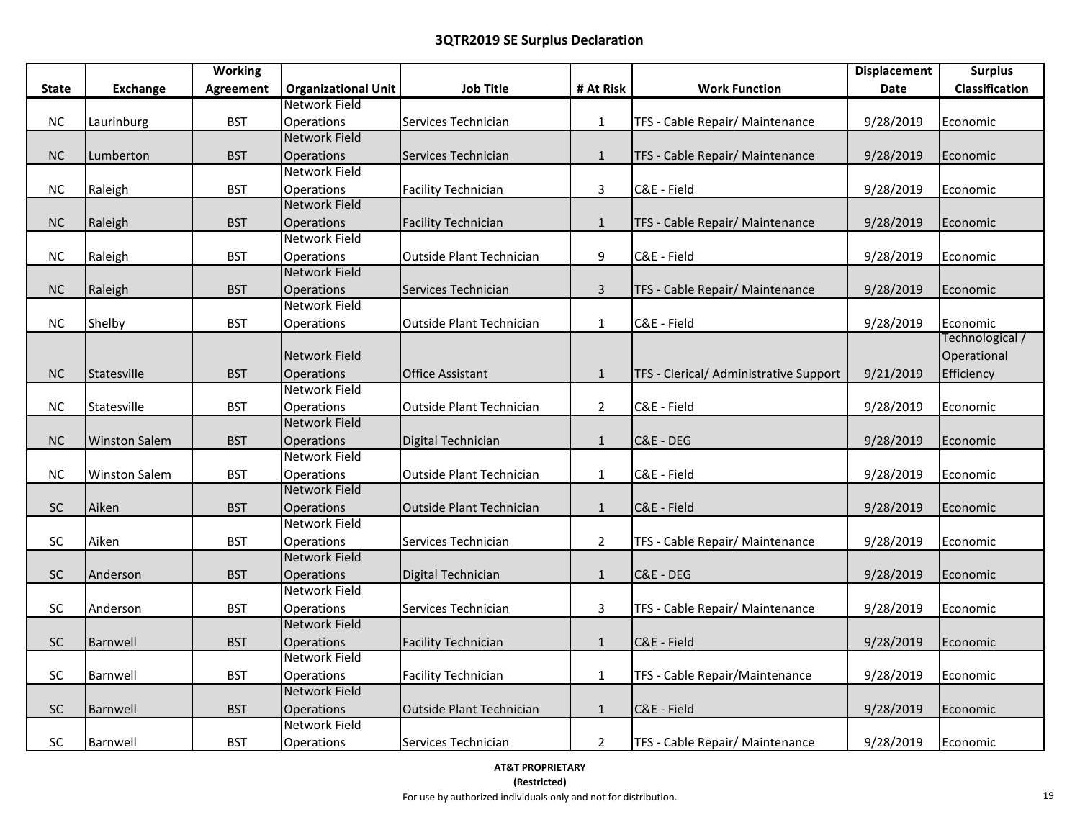|              |                      | <b>Working</b>   |                            |                                 |                |                                        | <b>Displacement</b> | <b>Surplus</b>        |
|--------------|----------------------|------------------|----------------------------|---------------------------------|----------------|----------------------------------------|---------------------|-----------------------|
| <b>State</b> | <b>Exchange</b>      | <b>Agreement</b> | <b>Organizational Unit</b> | <b>Job Title</b>                | # At Risk      | <b>Work Function</b>                   | <b>Date</b>         | <b>Classification</b> |
|              |                      |                  | Network Field              |                                 |                |                                        |                     |                       |
| NC           | Laurinburg           | <b>BST</b>       | Operations                 | Services Technician             | $\mathbf{1}$   | TFS - Cable Repair/ Maintenance        | 9/28/2019           | Economic              |
|              |                      |                  | Network Field              |                                 |                |                                        |                     |                       |
| NC           | Lumberton            | <b>BST</b>       | Operations                 | Services Technician             | $\mathbf{1}$   | TFS - Cable Repair/ Maintenance        | 9/28/2019           | Economic              |
|              |                      |                  | Network Field              |                                 |                |                                        |                     |                       |
| <b>NC</b>    | Raleigh              | <b>BST</b>       | Operations                 | <b>Facility Technician</b>      | 3              | C&E - Field                            | 9/28/2019           | Economic              |
|              |                      |                  | <b>Network Field</b>       |                                 |                |                                        |                     |                       |
| NC           | Raleigh              | <b>BST</b>       | Operations                 | <b>Facility Technician</b>      | $\mathbf{1}$   | TFS - Cable Repair/ Maintenance        | 9/28/2019           | Economic              |
|              |                      |                  | Network Field              |                                 |                |                                        |                     |                       |
| <b>NC</b>    | Raleigh              | <b>BST</b>       | <b>Operations</b>          | <b>Outside Plant Technician</b> | 9              | C&E - Field                            | 9/28/2019           | Economic              |
|              |                      |                  | <b>Network Field</b>       |                                 |                |                                        |                     |                       |
| NC           | Raleigh              | <b>BST</b>       | Operations                 | Services Technician             | $\overline{3}$ | TFS - Cable Repair/ Maintenance        | 9/28/2019           | Economic              |
|              |                      |                  | Network Field              |                                 |                |                                        |                     |                       |
| <b>NC</b>    | Shelby               | <b>BST</b>       | Operations                 | Outside Plant Technician        | $\mathbf{1}$   | C&E - Field                            | 9/28/2019           | Economic              |
|              |                      |                  |                            |                                 |                |                                        |                     | Technological /       |
|              |                      |                  | Network Field              |                                 |                |                                        |                     | Operational           |
| <b>NC</b>    | Statesville          | <b>BST</b>       | Operations                 | <b>Office Assistant</b>         | $\mathbf{1}$   | TFS - Clerical/ Administrative Support | 9/21/2019           | Efficiency            |
|              |                      |                  | Network Field              |                                 |                |                                        |                     |                       |
| NC           | Statesville          | <b>BST</b>       | Operations                 | Outside Plant Technician        | $\overline{2}$ | C&E - Field                            | 9/28/2019           | Economic              |
|              |                      |                  | <b>Network Field</b>       |                                 |                |                                        |                     |                       |
| NC           | <b>Winston Salem</b> | <b>BST</b>       | Operations                 | Digital Technician              | $\mathbf{1}$   | C&E - DEG                              | 9/28/2019           | Economic              |
|              |                      |                  | Network Field              |                                 |                |                                        |                     |                       |
| <b>NC</b>    | <b>Winston Salem</b> | <b>BST</b>       | Operations                 | Outside Plant Technician        | $\mathbf{1}$   | C&E - Field                            | 9/28/2019           | Economic              |
|              |                      |                  | <b>Network Field</b>       |                                 |                |                                        |                     |                       |
| SC           | Aiken                | <b>BST</b>       | Operations                 | <b>Outside Plant Technician</b> | $\mathbf{1}$   | C&E - Field                            | 9/28/2019           | Economic              |
|              |                      |                  | Network Field              |                                 |                |                                        |                     |                       |
| SC           | Aiken                | <b>BST</b>       | Operations                 | Services Technician             | $\overline{2}$ | TFS - Cable Repair/ Maintenance        | 9/28/2019           | Economic              |
|              |                      |                  | <b>Network Field</b>       |                                 |                |                                        |                     |                       |
| SC           | Anderson             | <b>BST</b>       | <b>Operations</b>          | Digital Technician              | $\mathbf{1}$   | C&E - DEG                              | 9/28/2019           | Economic              |
|              |                      |                  | Network Field              |                                 |                |                                        |                     |                       |
| <b>SC</b>    | Anderson             | <b>BST</b>       | Operations                 | Services Technician             | 3              | TFS - Cable Repair/ Maintenance        | 9/28/2019           | Economic              |
|              |                      |                  | <b>Network Field</b>       |                                 |                |                                        |                     |                       |
| SC           | Barnwell             | <b>BST</b>       | Operations                 | <b>Facility Technician</b>      | $1\,$          | C&E - Field                            | 9/28/2019           | Economic              |
|              |                      |                  | Network Field              |                                 |                |                                        |                     |                       |
| SC           | Barnwell             | <b>BST</b>       | Operations                 | <b>Facility Technician</b>      | $\mathbf{1}$   | TFS - Cable Repair/Maintenance         | 9/28/2019           | Economic              |
|              |                      |                  | <b>Network Field</b>       |                                 |                |                                        |                     |                       |
| SC           | Barnwell             | <b>BST</b>       | Operations                 | Outside Plant Technician        | $\mathbf{1}$   | C&E - Field                            | 9/28/2019           | Economic              |
|              |                      |                  | Network Field              |                                 |                |                                        |                     |                       |
| SC           | Barnwell             | <b>BST</b>       | Operations                 | Services Technician             | $\overline{2}$ | TFS - Cable Repair/ Maintenance        | 9/28/2019           | Economic              |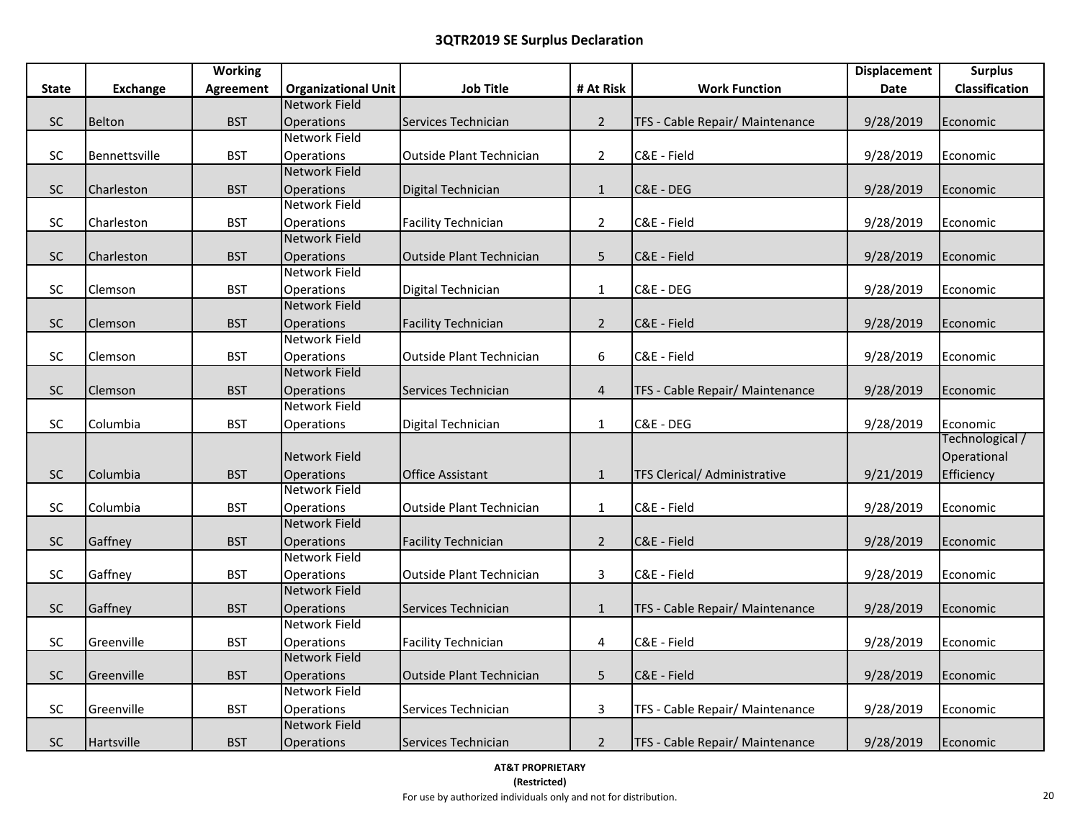|              |                 | <b>Working</b>   |                                    |                                 |                |                                     | <b>Displacement</b> | <b>Surplus</b>  |
|--------------|-----------------|------------------|------------------------------------|---------------------------------|----------------|-------------------------------------|---------------------|-----------------|
| <b>State</b> | <b>Exchange</b> | <b>Agreement</b> | <b>Organizational Unit</b>         | <b>Job Title</b>                | # At Risk      | <b>Work Function</b>                | Date                | Classification  |
|              |                 |                  | <b>Network Field</b>               |                                 |                |                                     |                     |                 |
| SC           | Belton          | <b>BST</b>       | Operations                         | Services Technician             | $2^{\circ}$    | TFS - Cable Repair/ Maintenance     | 9/28/2019           | Economic        |
|              |                 |                  | <b>Network Field</b>               |                                 |                |                                     |                     |                 |
| SC           | Bennettsville   | <b>BST</b>       | <b>Operations</b>                  | <b>Outside Plant Technician</b> | $\overline{2}$ | C&E - Field                         | 9/28/2019           | Economic        |
|              |                 |                  | <b>Network Field</b>               |                                 |                |                                     |                     |                 |
| SC           | Charleston      | <b>BST</b>       | Operations                         | Digital Technician              | $\mathbf{1}$   | C&E - DEG                           | 9/28/2019           | Economic        |
|              |                 |                  | Network Field                      |                                 |                |                                     |                     |                 |
| <b>SC</b>    | Charleston      | <b>BST</b>       | Operations                         | <b>Facility Technician</b>      | $\overline{2}$ | C&E - Field                         | 9/28/2019           | Economic        |
|              |                 |                  | <b>Network Field</b>               |                                 |                |                                     |                     |                 |
| SC           | Charleston      | <b>BST</b>       | Operations                         | Outside Plant Technician        | 5              | C&E - Field                         | 9/28/2019           | Economic        |
|              |                 |                  | Network Field                      |                                 |                |                                     |                     |                 |
| SC           | Clemson         | <b>BST</b>       | Operations                         | Digital Technician              | $\mathbf{1}$   | C&E - DEG                           | 9/28/2019           | Economic        |
|              |                 |                  | <b>Network Field</b>               |                                 |                |                                     |                     |                 |
| <b>SC</b>    | Clemson         | <b>BST</b>       | Operations                         | <b>Facility Technician</b>      | $2^{\circ}$    | C&E - Field                         | 9/28/2019           | Economic        |
|              |                 |                  | Network Field                      |                                 |                |                                     |                     |                 |
| SC           | Clemson         | <b>BST</b>       | Operations                         | <b>Outside Plant Technician</b> | 6              | C&E - Field                         | 9/28/2019           | Economic        |
|              |                 |                  | <b>Network Field</b>               |                                 |                |                                     |                     |                 |
| SC           | Clemson         | <b>BST</b>       | Operations                         | Services Technician             | $\overline{4}$ | TFS - Cable Repair/ Maintenance     | 9/28/2019           | Economic        |
|              |                 |                  | <b>Network Field</b>               |                                 |                |                                     |                     |                 |
| SC           | Columbia        | <b>BST</b>       | Operations                         | Digital Technician              | $\mathbf{1}$   | C&E - DEG                           | 9/28/2019           | Economic        |
|              |                 |                  |                                    |                                 |                |                                     |                     | Technological / |
|              |                 |                  | Network Field                      |                                 |                |                                     |                     | Operational     |
| SC           | Columbia        | <b>BST</b>       | Operations                         | <b>Office Assistant</b>         | $\mathbf{1}$   | <b>TFS Clerical/ Administrative</b> | 9/21/2019           | Efficiency      |
|              |                 |                  | <b>Network Field</b>               |                                 |                |                                     |                     |                 |
| SC           | Columbia        | <b>BST</b>       | Operations                         | Outside Plant Technician        | $\mathbf{1}$   | C&E - Field                         | 9/28/2019           | Economic        |
|              |                 |                  | <b>Network Field</b>               |                                 |                |                                     |                     |                 |
| SC           | Gaffney         | <b>BST</b>       | Operations<br><b>Network Field</b> | <b>Facility Technician</b>      | $2^{\circ}$    | C&E - Field                         | 9/28/2019           | Economic        |
|              |                 |                  |                                    |                                 |                |                                     |                     |                 |
| <b>SC</b>    | Gaffney         | <b>BST</b>       | Operations<br><b>Network Field</b> | <b>Outside Plant Technician</b> | 3              | C&E - Field                         | 9/28/2019           | Economic        |
|              |                 |                  |                                    |                                 |                |                                     |                     |                 |
| SC           | Gaffney         | <b>BST</b>       | Operations<br>Network Field        | Services Technician             | $\mathbf{1}$   | TFS - Cable Repair/ Maintenance     | 9/28/2019           | Economic        |
| SC           | Greenville      | <b>BST</b>       |                                    | <b>Facility Technician</b>      | 4              | C&E - Field                         | 9/28/2019           | Economic        |
|              |                 |                  | Operations<br><b>Network Field</b> |                                 |                |                                     |                     |                 |
| $\sf SC$     | Greenville      | <b>BST</b>       | Operations                         | Outside Plant Technician        | 5              | C&E - Field                         | 9/28/2019           | Economic        |
|              |                 |                  | Network Field                      |                                 |                |                                     |                     |                 |
| SC           | Greenville      | <b>BST</b>       | Operations                         | Services Technician             | 3              | TFS - Cable Repair/ Maintenance     | 9/28/2019           | Economic        |
|              |                 |                  | <b>Network Field</b>               |                                 |                |                                     |                     |                 |
| SC           | Hartsville      | <b>BST</b>       | Operations                         | Services Technician             | $2^{\circ}$    | TFS - Cable Repair/ Maintenance     | 9/28/2019           | Economic        |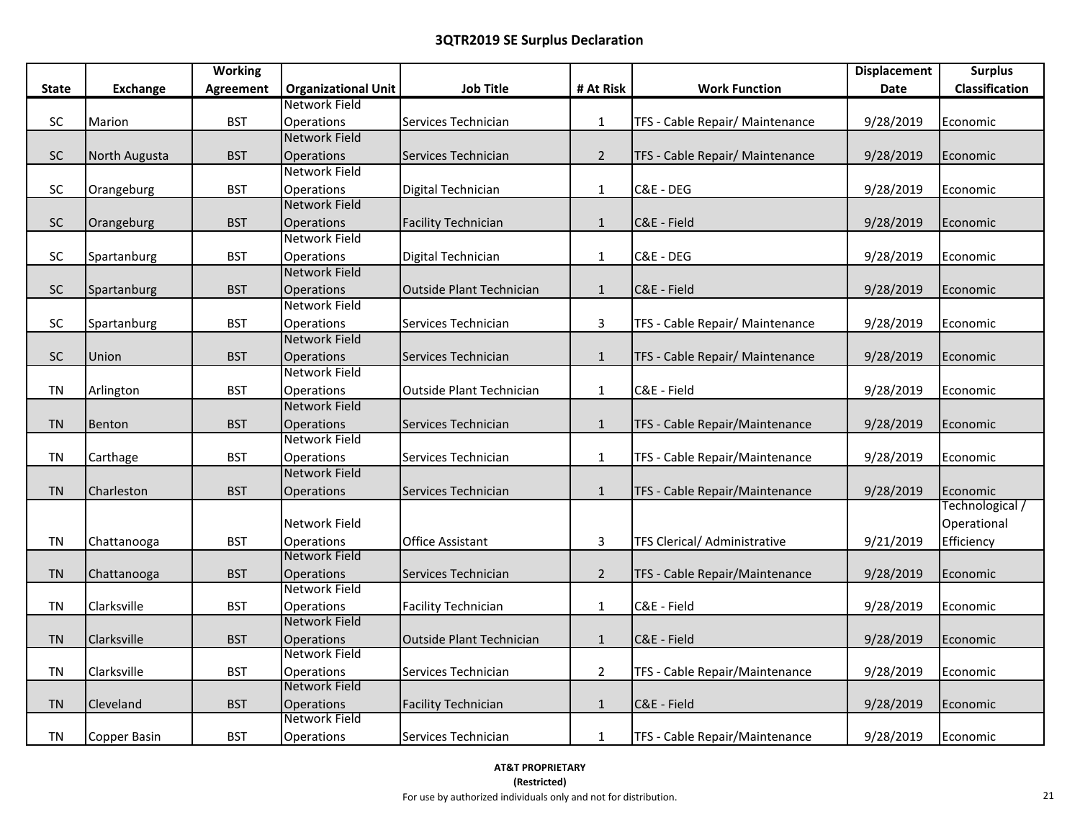|              |                 | <b>Working</b>   |                                    |                            |                |                                 | <b>Displacement</b> | <b>Surplus</b>  |
|--------------|-----------------|------------------|------------------------------------|----------------------------|----------------|---------------------------------|---------------------|-----------------|
| <b>State</b> | <b>Exchange</b> | <b>Agreement</b> | <b>Organizational Unit</b>         | <b>Job Title</b>           | # At Risk      | <b>Work Function</b>            | Date                | Classification  |
|              |                 |                  | Network Field                      |                            |                |                                 |                     |                 |
| SC           | Marion          | <b>BST</b>       | Operations                         | Services Technician        | $\mathbf{1}$   | TFS - Cable Repair/ Maintenance | 9/28/2019           | Economic        |
|              |                 |                  | <b>Network Field</b>               |                            |                |                                 |                     |                 |
| SC           | North Augusta   | <b>BST</b>       | Operations                         | Services Technician        | $2^{\circ}$    | TFS - Cable Repair/ Maintenance | 9/28/2019           | Economic        |
|              |                 |                  | Network Field                      |                            |                |                                 |                     |                 |
| SC           | Orangeburg      | <b>BST</b>       | Operations                         | Digital Technician         | $\mathbf{1}$   | C&E - DEG                       | 9/28/2019           | Economic        |
|              |                 |                  | <b>Network Field</b>               |                            |                |                                 |                     |                 |
| SC           | Orangeburg      | <b>BST</b>       | <b>Operations</b>                  | <b>Facility Technician</b> | $\mathbf{1}$   | C&E - Field                     | 9/28/2019           | Economic        |
|              |                 |                  | Network Field                      |                            |                |                                 |                     |                 |
| SC           | Spartanburg     | <b>BST</b>       | Operations                         | Digital Technician         | $\mathbf{1}$   | C&E - DEG                       | 9/28/2019           | Economic        |
|              |                 |                  | <b>Network Field</b>               |                            |                |                                 |                     |                 |
| SC           | Spartanburg     | <b>BST</b>       | Operations                         | Outside Plant Technician   | $\mathbf{1}$   | C&E - Field                     | 9/28/2019           | Economic        |
|              |                 |                  | <b>Network Field</b>               |                            |                |                                 |                     |                 |
| <b>SC</b>    | Spartanburg     | <b>BST</b>       | <b>Operations</b>                  | Services Technician        | $\mathbf{3}$   | TFS - Cable Repair/ Maintenance | 9/28/2019           | Economic        |
|              |                 |                  | <b>Network Field</b>               |                            |                |                                 |                     |                 |
| ${\sf SC}$   | Union           | <b>BST</b>       | Operations                         | Services Technician        | $\mathbf{1}$   | TFS - Cable Repair/ Maintenance | 9/28/2019           | Economic        |
|              |                 |                  | Network Field                      |                            |                |                                 |                     |                 |
| <b>TN</b>    | Arlington       | <b>BST</b>       | Operations                         | Outside Plant Technician   | $\mathbf{1}$   | C&E - Field                     | 9/28/2019           | Economic        |
|              |                 |                  | <b>Network Field</b>               |                            |                |                                 |                     |                 |
| <b>TN</b>    | Benton          | <b>BST</b>       | <b>Operations</b>                  | Services Technician        | $\mathbf{1}$   | TFS - Cable Repair/Maintenance  | 9/28/2019           | Economic        |
|              |                 |                  | Network Field                      |                            |                |                                 |                     |                 |
| <b>TN</b>    | Carthage        | <b>BST</b>       | Operations                         | Services Technician        | $\mathbf{1}$   | TFS - Cable Repair/Maintenance  | 9/28/2019           | Economic        |
|              |                 |                  | <b>Network Field</b>               |                            |                |                                 |                     |                 |
| <b>TN</b>    | Charleston      | <b>BST</b>       | Operations                         | Services Technician        | $\mathbf{1}$   | TFS - Cable Repair/Maintenance  | 9/28/2019           | Economic        |
|              |                 |                  |                                    |                            |                |                                 |                     | Technological / |
|              |                 |                  | Network Field                      |                            |                |                                 |                     | Operational     |
| <b>TN</b>    | Chattanooga     | <b>BST</b>       | Operations                         | <b>Office Assistant</b>    | 3              | TFS Clerical/ Administrative    | 9/21/2019           | Efficiency      |
|              |                 |                  | Network Field                      |                            |                |                                 |                     |                 |
| <b>TN</b>    | Chattanooga     | <b>BST</b>       | Operations                         | Services Technician        | $\overline{2}$ | TFS - Cable Repair/Maintenance  | 9/28/2019           | Economic        |
|              |                 |                  | Network Field                      |                            |                |                                 |                     |                 |
| TN           | Clarksville     | <b>BST</b>       | <b>Operations</b><br>Network Field | <b>Facility Technician</b> | $\mathbf{1}$   | C&E - Field                     | 9/28/2019           | Economic        |
|              |                 |                  |                                    |                            |                |                                 |                     |                 |
| <b>TN</b>    | Clarksville     | <b>BST</b>       | Operations<br>Network Field        | Outside Plant Technician   | $\mathbf{1}$   | C&E - Field                     | 9/28/2019           | Economic        |
| <b>TN</b>    | Clarksville     | <b>BST</b>       | Operations                         | Services Technician        | $\overline{2}$ | TFS - Cable Repair/Maintenance  | 9/28/2019           | Economic        |
|              |                 |                  | Network Field                      |                            |                |                                 |                     |                 |
| <b>TN</b>    | Cleveland       | <b>BST</b>       | Operations                         | <b>Facility Technician</b> | $\mathbf{1}$   | C&E - Field                     | 9/28/2019           | Economic        |
|              |                 |                  | Network Field                      |                            |                |                                 |                     |                 |
| TN           | Copper Basin    | <b>BST</b>       | Operations                         | Services Technician        | $\mathbf{1}$   | TFS - Cable Repair/Maintenance  | 9/28/2019           | Economic        |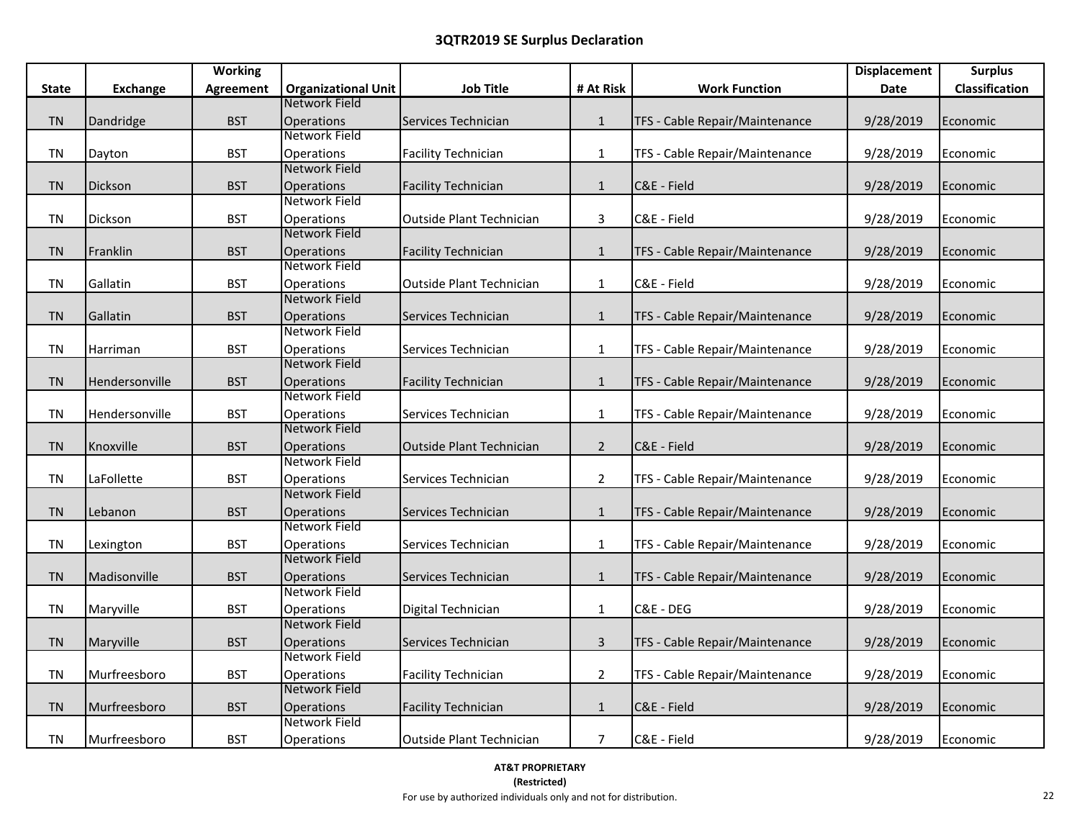|              |                 | <b>Working</b>   |                             |                                 |                |                                | <b>Displacement</b> | <b>Surplus</b> |
|--------------|-----------------|------------------|-----------------------------|---------------------------------|----------------|--------------------------------|---------------------|----------------|
| <b>State</b> | <b>Exchange</b> | <b>Agreement</b> | <b>Organizational Unit</b>  | <b>Job Title</b>                | # At Risk      | <b>Work Function</b>           | Date                | Classification |
|              |                 |                  | Network Field               |                                 |                |                                |                     |                |
| <b>TN</b>    | Dandridge       | <b>BST</b>       | <b>Operations</b>           | Services Technician             | $\mathbf{1}$   | TFS - Cable Repair/Maintenance | 9/28/2019           | Economic       |
|              |                 |                  | <b>Network Field</b>        |                                 |                |                                |                     |                |
| <b>TN</b>    | Dayton          | <b>BST</b>       | Operations                  | <b>Facility Technician</b>      | $\mathbf{1}$   | TFS - Cable Repair/Maintenance | 9/28/2019           | Economic       |
|              |                 |                  | Network Field               |                                 |                |                                |                     |                |
| <b>TN</b>    | Dickson         | <b>BST</b>       | <b>Operations</b>           | <b>Facility Technician</b>      | $\mathbf{1}$   | C&E - Field                    | 9/28/2019           | Economic       |
|              |                 |                  | Network Field               |                                 |                |                                |                     |                |
| <b>TN</b>    | Dickson         | <b>BST</b>       | <b>Operations</b>           | <b>Outside Plant Technician</b> | 3              | C&E - Field                    | 9/28/2019           | Economic       |
|              |                 |                  | Network Field               |                                 |                |                                |                     |                |
| <b>TN</b>    | Franklin        | <b>BST</b>       | <b>Operations</b>           | <b>Facility Technician</b>      | $\mathbf{1}$   | TFS - Cable Repair/Maintenance | 9/28/2019           | Economic       |
|              |                 |                  | Network Field               |                                 |                |                                |                     |                |
| <b>TN</b>    | Gallatin        | <b>BST</b>       | <b>Operations</b>           | <b>Outside Plant Technician</b> | $\mathbf{1}$   | C&E - Field                    | 9/28/2019           | Economic       |
|              |                 |                  | Network Field               |                                 |                |                                |                     |                |
| <b>TN</b>    | Gallatin        | <b>BST</b>       | <b>Operations</b>           | Services Technician             | $\mathbf{1}$   | TFS - Cable Repair/Maintenance | 9/28/2019           | Economic       |
|              |                 |                  | Network Field               |                                 |                |                                |                     |                |
| TN           | Harriman        | <b>BST</b>       | Operations                  | Services Technician             | $\mathbf{1}$   | TFS - Cable Repair/Maintenance | 9/28/2019           | Economic       |
|              |                 |                  | Network Field               |                                 |                |                                |                     |                |
| <b>TN</b>    | Hendersonville  | <b>BST</b>       | <b>Operations</b>           | <b>Facility Technician</b>      | $\mathbf{1}$   | TFS - Cable Repair/Maintenance | 9/28/2019           | Economic       |
|              |                 |                  | Network Field               |                                 |                |                                |                     |                |
| <b>TN</b>    | Hendersonville  | <b>BST</b>       | Operations<br>Network Field | Services Technician             | $\mathbf{1}$   | TFS - Cable Repair/Maintenance | 9/28/2019           | Economic       |
|              |                 |                  |                             |                                 |                |                                |                     |                |
| <b>TN</b>    | Knoxville       | <b>BST</b>       | Operations<br>Network Field | <b>Outside Plant Technician</b> | $\overline{2}$ | C&E - Field                    | 9/28/2019           | Economic       |
|              |                 |                  |                             |                                 |                |                                |                     |                |
| TN           | LaFollette      | <b>BST</b>       | Operations<br>Network Field | Services Technician             | $\overline{2}$ | TFS - Cable Repair/Maintenance | 9/28/2019           | Economic       |
| <b>TN</b>    | Lebanon         | <b>BST</b>       | <b>Operations</b>           | Services Technician             | $\mathbf{1}$   | TFS - Cable Repair/Maintenance | 9/28/2019           | Economic       |
|              |                 |                  | Network Field               |                                 |                |                                |                     |                |
| <b>TN</b>    | Lexington       | <b>BST</b>       | Operations                  | Services Technician             | $\mathbf{1}$   | TFS - Cable Repair/Maintenance | 9/28/2019           | Economic       |
|              |                 |                  | Network Field               |                                 |                |                                |                     |                |
| <b>TN</b>    | Madisonville    | <b>BST</b>       | <b>Operations</b>           | Services Technician             | $\mathbf{1}$   | TFS - Cable Repair/Maintenance | 9/28/2019           | Economic       |
|              |                 |                  | Network Field               |                                 |                |                                |                     |                |
| <b>TN</b>    | Maryville       | <b>BST</b>       | Operations                  | Digital Technician              | $\mathbf{1}$   | C&E - DEG                      | 9/28/2019           | Economic       |
|              |                 |                  | Network Field               |                                 |                |                                |                     |                |
| <b>TN</b>    | Maryville       | <b>BST</b>       | <b>Operations</b>           | Services Technician             | $\overline{3}$ | TFS - Cable Repair/Maintenance | 9/28/2019           | Economic       |
|              |                 |                  | Network Field               |                                 |                |                                |                     |                |
| <b>TN</b>    | Murfreesboro    | <b>BST</b>       | Operations                  | <b>Facility Technician</b>      | $\overline{2}$ | TFS - Cable Repair/Maintenance | 9/28/2019           | Economic       |
|              |                 |                  | Network Field               |                                 |                |                                |                     |                |
| <b>TN</b>    | Murfreesboro    | <b>BST</b>       | <b>Operations</b>           | <b>Facility Technician</b>      | $\mathbf{1}$   | C&E - Field                    | 9/28/2019           | Economic       |
|              |                 |                  | <b>Network Field</b>        |                                 |                |                                |                     |                |
| TN           | Murfreesboro    | <b>BST</b>       | Operations                  | <b>Outside Plant Technician</b> | $\overline{7}$ | C&E - Field                    | 9/28/2019           | Economic       |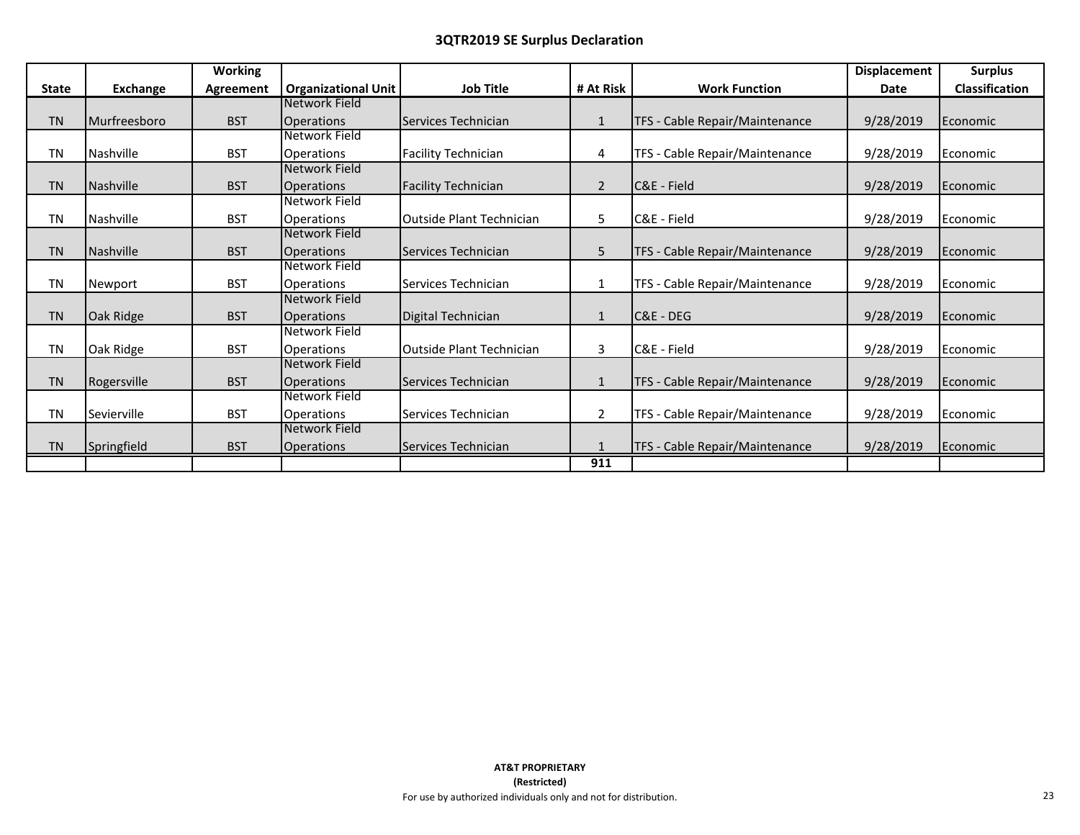|              |              | <b>Working</b> |                            |                                 |                |                                | <b>Displacement</b> | <b>Surplus</b> |
|--------------|--------------|----------------|----------------------------|---------------------------------|----------------|--------------------------------|---------------------|----------------|
| <b>State</b> | Exchange     | Agreement      | <b>Organizational Unit</b> | <b>Job Title</b>                | # At Risk      | <b>Work Function</b>           | <b>Date</b>         | Classification |
|              |              |                | Network Field              |                                 |                |                                |                     |                |
| <b>TN</b>    | Murfreesboro | <b>BST</b>     | <b>Operations</b>          | Services Technician             | $\mathbf{1}$   | TFS - Cable Repair/Maintenance | 9/28/2019           | Economic       |
|              |              |                | <b>Network Field</b>       |                                 |                |                                |                     |                |
| <b>TN</b>    | Nashville    | <b>BST</b>     | <b>Operations</b>          | <b>Facility Technician</b>      | 4              | TFS - Cable Repair/Maintenance | 9/28/2019           | Economic       |
|              |              |                | Network Field              |                                 |                |                                |                     |                |
| <b>TN</b>    | Nashville    | <b>BST</b>     | <b>Operations</b>          | <b>Facility Technician</b>      | 2              | C&E - Field                    | 9/28/2019           | Economic       |
|              |              |                | Network Field              |                                 |                |                                |                     |                |
| <b>TN</b>    | Nashville    | <b>BST</b>     | <b>Operations</b>          | <b>Outside Plant Technician</b> | 5              | C&E - Field                    | 9/28/2019           | Economic       |
|              |              |                | Network Field              |                                 |                |                                |                     |                |
| <b>TN</b>    | Nashville    | <b>BST</b>     | <b>Operations</b>          | Services Technician             | 5              | TFS - Cable Repair/Maintenance | 9/28/2019           | Economic       |
|              |              |                | Network Field              |                                 |                |                                |                     |                |
| <b>TN</b>    | Newport      | <b>BST</b>     | <b>Operations</b>          | Services Technician             | $\mathbf{1}$   | TFS - Cable Repair/Maintenance | 9/28/2019           | Economic       |
|              |              |                | Network Field              |                                 |                |                                |                     |                |
| <b>TN</b>    | Oak Ridge    | <b>BST</b>     | <b>Operations</b>          | Digital Technician              | $\mathbf{1}$   | C&E - DEG                      | 9/28/2019           | Economic       |
|              |              |                | Network Field              |                                 |                |                                |                     |                |
| <b>TN</b>    | Oak Ridge    | <b>BST</b>     | <b>Operations</b>          | <b>Outside Plant Technician</b> | 3              | C&E - Field                    | 9/28/2019           | Economic       |
|              |              |                | Network Field              |                                 |                |                                |                     |                |
| <b>TN</b>    | Rogersville  | <b>BST</b>     | <b>Operations</b>          | Services Technician             | $\mathbf{1}$   | TFS - Cable Repair/Maintenance | 9/28/2019           | Economic       |
|              |              |                | Network Field              |                                 |                |                                |                     |                |
| <b>TN</b>    | Sevierville  | <b>BST</b>     | <b>Operations</b>          | Services Technician             | $\overline{2}$ | TFS - Cable Repair/Maintenance | 9/28/2019           | Economic       |
|              |              |                | Network Field              |                                 |                |                                |                     |                |
| <b>TN</b>    | Springfield  | <b>BST</b>     | <b>Operations</b>          | Services Technician             |                | TFS - Cable Repair/Maintenance | 9/28/2019           | Economic       |
|              |              |                |                            |                                 | 911            |                                |                     |                |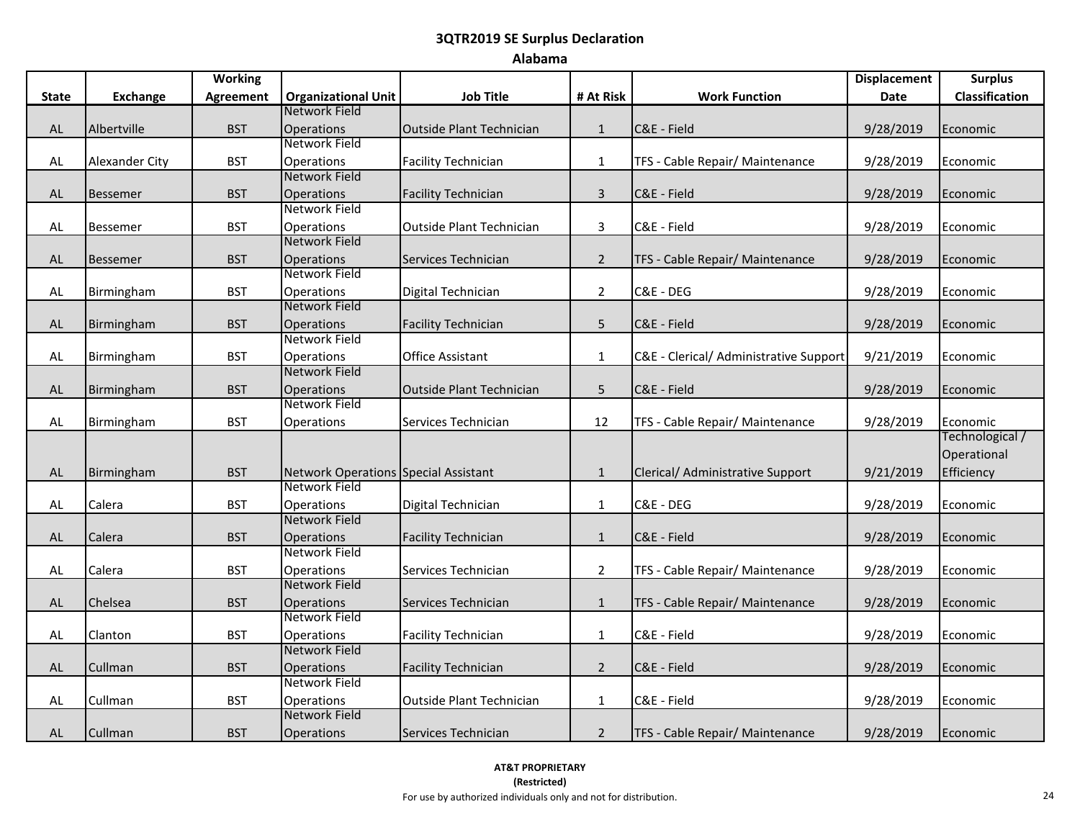# **Alabama**

|              |                       | <b>Working</b> |                                                                     |                                 |                |                                        | <b>Displacement</b> | <b>Surplus</b>              |
|--------------|-----------------------|----------------|---------------------------------------------------------------------|---------------------------------|----------------|----------------------------------------|---------------------|-----------------------------|
| <b>State</b> | <b>Exchange</b>       | Agreement      | <b>Organizational Unit</b>                                          | <b>Job Title</b>                | # At Risk      | <b>Work Function</b>                   | <b>Date</b>         | Classification              |
|              |                       |                | Network Field                                                       |                                 |                |                                        |                     |                             |
| <b>AL</b>    | Albertville           | <b>BST</b>     | <b>Operations</b>                                                   | <b>Outside Plant Technician</b> | $\mathbf{1}$   | C&E - Field                            | 9/28/2019           | Economic                    |
|              |                       |                | Network Field                                                       |                                 |                |                                        |                     |                             |
| AL           | <b>Alexander City</b> | <b>BST</b>     | <b>Operations</b>                                                   | <b>Facility Technician</b>      | $\mathbf{1}$   | TFS - Cable Repair/ Maintenance        | 9/28/2019           | Economic                    |
|              |                       |                | Network Field                                                       |                                 |                |                                        |                     |                             |
| AL           | <b>Bessemer</b>       | <b>BST</b>     | Operations                                                          | <b>Facility Technician</b>      | $\overline{3}$ | C&E - Field                            | 9/28/2019           | Economic                    |
|              |                       |                | Network Field                                                       |                                 |                |                                        |                     |                             |
| <b>AL</b>    | <b>Bessemer</b>       | <b>BST</b>     | Operations                                                          | Outside Plant Technician        | 3              | C&E - Field                            | 9/28/2019           | Economic                    |
|              |                       |                | <b>Network Field</b>                                                |                                 |                |                                        |                     |                             |
| <b>AL</b>    | <b>Bessemer</b>       | <b>BST</b>     | <b>Operations</b>                                                   | Services Technician             | $\overline{2}$ | TFS - Cable Repair/ Maintenance        | 9/28/2019           | Economic                    |
|              |                       |                | Network Field                                                       |                                 |                |                                        |                     |                             |
| AL           | Birmingham            | <b>BST</b>     | Operations                                                          | Digital Technician              | $\overline{2}$ | C&E - DEG                              | 9/28/2019           | Economic                    |
|              |                       |                | Network Field                                                       |                                 |                |                                        |                     |                             |
| AL           | Birmingham            | <b>BST</b>     | <b>Operations</b>                                                   | <b>Facility Technician</b>      | 5              | C&E - Field                            | 9/28/2019           | Economic                    |
|              |                       |                | Network Field                                                       |                                 |                |                                        |                     |                             |
| AL           | Birmingham            | <b>BST</b>     | Operations                                                          | <b>Office Assistant</b>         | $\mathbf 1$    | C&E - Clerical/ Administrative Support | 9/21/2019           | Economic                    |
|              |                       |                | <b>Network Field</b>                                                |                                 |                |                                        |                     |                             |
| <b>AL</b>    | Birmingham            | <b>BST</b>     | <b>Operations</b><br>Network Field                                  | Outside Plant Technician        | 5              | C&E - Field                            | 9/28/2019           | Economic                    |
|              |                       |                |                                                                     |                                 |                |                                        |                     |                             |
| <b>AL</b>    | Birmingham            | <b>BST</b>     | Operations                                                          | Services Technician             | 12             | TFS - Cable Repair/ Maintenance        | 9/28/2019           | Economic<br>Technological / |
|              |                       |                |                                                                     |                                 |                |                                        |                     | Operational                 |
|              |                       |                |                                                                     |                                 |                |                                        |                     |                             |
| <b>AL</b>    | Birmingham            | <b>BST</b>     | <b>Network Operations Special Assistant</b><br><b>Network Field</b> |                                 | $\mathbf{1}$   | Clerical/ Administrative Support       | 9/21/2019           | Efficiency                  |
|              | Calera                | <b>BST</b>     |                                                                     |                                 |                | C&E - DEG                              |                     |                             |
| AL           |                       |                | Operations<br>Network Field                                         | Digital Technician              | $\mathbf{1}$   |                                        | 9/28/2019           | Economic                    |
| <b>AL</b>    | Calera                | <b>BST</b>     | <b>Operations</b>                                                   | <b>Facility Technician</b>      | $\mathbf{1}$   | C&E - Field                            | 9/28/2019           | Economic                    |
|              |                       |                | Network Field                                                       |                                 |                |                                        |                     |                             |
| AL           | Calera                | <b>BST</b>     | Operations                                                          | Services Technician             | $\overline{2}$ | TFS - Cable Repair/ Maintenance        | 9/28/2019           | Economic                    |
|              |                       |                | Network Field                                                       |                                 |                |                                        |                     |                             |
| <b>AL</b>    | Chelsea               | <b>BST</b>     | <b>Operations</b>                                                   | Services Technician             | $\mathbf{1}$   | TFS - Cable Repair/ Maintenance        | 9/28/2019           | Economic                    |
|              |                       |                | <b>Network Field</b>                                                |                                 |                |                                        |                     |                             |
| AL           | Clanton               | <b>BST</b>     | Operations                                                          | <b>Facility Technician</b>      | $\mathbf{1}$   | C&E - Field                            | 9/28/2019           | Economic                    |
|              |                       |                | <b>Network Field</b>                                                |                                 |                |                                        |                     |                             |
| AL           | Cullman               | <b>BST</b>     | <b>Operations</b>                                                   | <b>Facility Technician</b>      | $\overline{2}$ | C&E - Field                            | 9/28/2019           | Economic                    |
|              |                       |                | Network Field                                                       |                                 |                |                                        |                     |                             |
| AL           | Cullman               | <b>BST</b>     | <b>Operations</b>                                                   | Outside Plant Technician        | $\mathbf{1}$   | C&E - Field                            | 9/28/2019           | Economic                    |
|              |                       |                | Network Field                                                       |                                 |                |                                        |                     |                             |
| AL           | Cullman               | <b>BST</b>     | <b>Operations</b>                                                   | Services Technician             | $\overline{2}$ | TFS - Cable Repair/ Maintenance        | 9/28/2019           | Economic                    |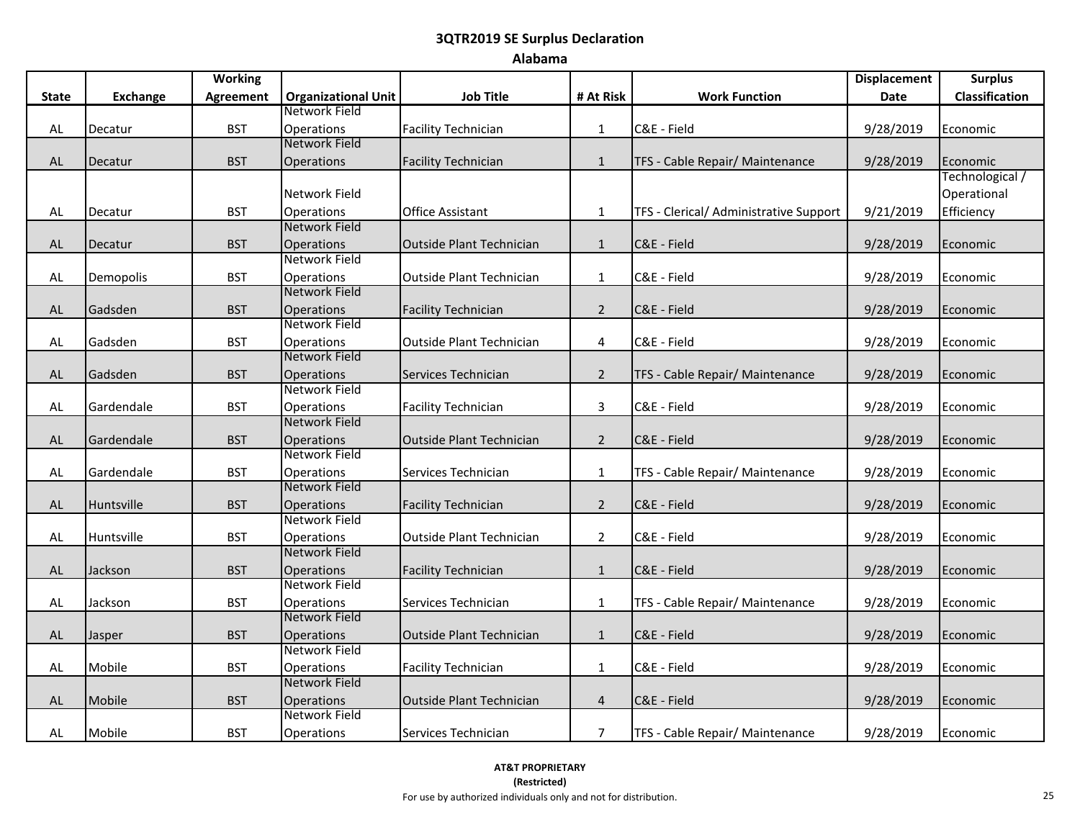### **Alabama**

|              |                 | <b>Working</b> |                                    |                                 |                |                                        | <b>Displacement</b> | <b>Surplus</b>  |
|--------------|-----------------|----------------|------------------------------------|---------------------------------|----------------|----------------------------------------|---------------------|-----------------|
| <b>State</b> | <b>Exchange</b> | Agreement      | <b>Organizational Unit</b>         | <b>Job Title</b>                | # At Risk      | <b>Work Function</b>                   | Date                | Classification  |
|              |                 |                | Network Field                      |                                 |                |                                        |                     |                 |
| AL           | Decatur         | <b>BST</b>     | Operations                         | <b>Facility Technician</b>      | $\mathbf{1}$   | C&E - Field                            | 9/28/2019           | Economic        |
|              |                 |                | <b>Network Field</b>               |                                 |                |                                        |                     |                 |
| AL           | Decatur         | <b>BST</b>     | Operations                         | <b>Facility Technician</b>      | $\mathbf{1}$   | TFS - Cable Repair/ Maintenance        | 9/28/2019           | Economic        |
|              |                 |                |                                    |                                 |                |                                        |                     | Technological / |
|              |                 |                | Network Field                      |                                 |                |                                        |                     | Operational     |
| AL           | Decatur         | <b>BST</b>     | <b>Operations</b>                  | <b>Office Assistant</b>         | $\mathbf{1}$   | TFS - Clerical/ Administrative Support | 9/21/2019           | Efficiency      |
|              |                 |                | Network Field                      |                                 |                |                                        |                     |                 |
| AL           | Decatur         | <b>BST</b>     | Operations                         | <b>Outside Plant Technician</b> | $\mathbf{1}$   | C&E - Field                            | 9/28/2019           | Economic        |
|              |                 |                | Network Field                      |                                 |                |                                        |                     |                 |
| <b>AL</b>    | Demopolis       | <b>BST</b>     | Operations                         | Outside Plant Technician        | $\mathbf{1}$   | C&E - Field                            | 9/28/2019           | Economic        |
|              |                 |                | <b>Network Field</b>               |                                 |                |                                        |                     |                 |
| AL           | Gadsden         | <b>BST</b>     | <b>Operations</b>                  | <b>Facility Technician</b>      | $\overline{2}$ | C&E - Field                            | 9/28/2019           | Economic        |
|              |                 |                | Network Field                      |                                 |                |                                        |                     |                 |
| AL           | Gadsden         | <b>BST</b>     | Operations                         | <b>Outside Plant Technician</b> | 4              | C&E - Field                            | 9/28/2019           | Economic        |
|              |                 |                | Network Field                      |                                 |                |                                        |                     |                 |
| <b>AL</b>    | Gadsden         | <b>BST</b>     | Operations                         | Services Technician             | $\sqrt{2}$     | TFS - Cable Repair/ Maintenance        | 9/28/2019           | Economic        |
|              |                 |                | Network Field                      |                                 |                |                                        |                     |                 |
| AL           | Gardendale      | <b>BST</b>     | Operations                         | <b>Facility Technician</b>      | 3              | C&E - Field                            | 9/28/2019           | Economic        |
|              |                 |                | Network Field                      |                                 |                |                                        |                     |                 |
| AL           | Gardendale      | <b>BST</b>     | Operations                         | Outside Plant Technician        | $\overline{2}$ | C&E - Field                            | 9/28/2019           | Economic        |
|              |                 |                | Network Field                      |                                 |                |                                        |                     |                 |
| AL           | Gardendale      | <b>BST</b>     | Operations                         | Services Technician             | $\mathbf{1}$   | TFS - Cable Repair/ Maintenance        | 9/28/2019           | Economic        |
|              |                 |                | <b>Network Field</b>               |                                 |                |                                        |                     |                 |
| AL           | Huntsville      | <b>BST</b>     | Operations                         | <b>Facility Technician</b>      | $\overline{2}$ | C&E - Field                            | 9/28/2019           | Economic        |
|              |                 |                | <b>Network Field</b>               |                                 |                |                                        |                     |                 |
| <b>AL</b>    | Huntsville      | <b>BST</b>     | Operations                         | Outside Plant Technician        | $\overline{2}$ | C&E - Field                            | 9/28/2019           | Economic        |
|              |                 |                | <b>Network Field</b>               |                                 |                |                                        |                     |                 |
| AL           | Jackson         | <b>BST</b>     | <b>Operations</b><br>Network Field | <b>Facility Technician</b>      | 1              | C&E - Field                            | 9/28/2019           | Economic        |
|              |                 |                |                                    |                                 |                |                                        |                     |                 |
| AL           | Jackson         | <b>BST</b>     | Operations<br><b>Network Field</b> | Services Technician             | $\mathbf{1}$   | TFS - Cable Repair/ Maintenance        | 9/28/2019           | Economic        |
|              |                 |                |                                    |                                 |                |                                        |                     |                 |
| AL           | Jasper          | <b>BST</b>     | <b>Operations</b><br>Network Field | Outside Plant Technician        | $\mathbf{1}$   | C&E - Field                            | 9/28/2019           | Economic        |
|              | Mobile          |                |                                    |                                 |                |                                        |                     |                 |
| AL           |                 | <b>BST</b>     | Operations<br>Network Field        | <b>Facility Technician</b>      | $\mathbf{1}$   | C&E - Field                            | 9/28/2019           | Economic        |
| AL           | Mobile          | <b>BST</b>     | Operations                         | Outside Plant Technician        | $\overline{4}$ | C&E - Field                            | 9/28/2019           | Economic        |
|              |                 |                | Network Field                      |                                 |                |                                        |                     |                 |
|              | Mobile          | <b>BST</b>     |                                    |                                 |                | TFS - Cable Repair/ Maintenance        | 9/28/2019           |                 |
| AL           |                 |                | Operations                         | Services Technician             | $\overline{7}$ |                                        |                     | Economic        |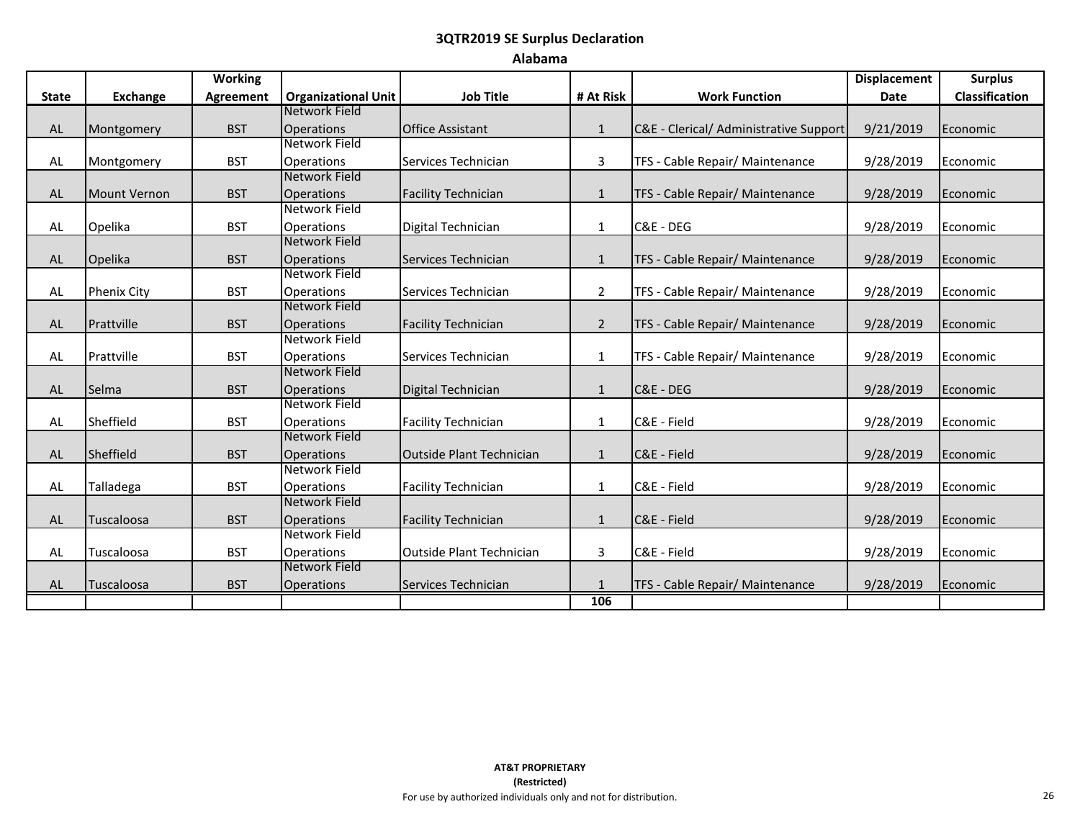### **Alabama**

|              |                     | <b>Working</b>   |                                    |                                 |                |                                        | <b>Displacement</b> | <b>Surplus</b>        |
|--------------|---------------------|------------------|------------------------------------|---------------------------------|----------------|----------------------------------------|---------------------|-----------------------|
| <b>State</b> | <b>Exchange</b>     | <b>Agreement</b> | <b>Organizational Unit</b>         | <b>Job Title</b>                | # At Risk      | <b>Work Function</b>                   | <b>Date</b>         | <b>Classification</b> |
|              |                     |                  | <b>Network Field</b>               |                                 |                |                                        |                     |                       |
| <b>AL</b>    | Montgomery          | <b>BST</b>       | Operations                         | <b>Office Assistant</b>         | $\mathbf{1}$   | C&E - Clerical/ Administrative Support | 9/21/2019           | Economic              |
|              |                     |                  | Network Field                      |                                 |                |                                        |                     |                       |
| AL           | Montgomery          | <b>BST</b>       | Operations                         | Services Technician             | 3              | TFS - Cable Repair/ Maintenance        | 9/28/2019           | Economic              |
|              |                     |                  | Network Field                      |                                 |                |                                        |                     |                       |
| <b>AL</b>    | <b>Mount Vernon</b> | <b>BST</b>       | <b>Operations</b>                  | <b>Facility Technician</b>      | $\mathbf{1}$   | TFS - Cable Repair/ Maintenance        | 9/28/2019           | Economic              |
|              |                     |                  | Network Field                      |                                 |                |                                        |                     |                       |
| AL           | Opelika             | <b>BST</b>       | <b>Operations</b>                  | Digital Technician              | $\mathbf{1}$   | C&E - DEG                              | 9/28/2019           | Economic              |
|              |                     |                  | <b>Network Field</b>               |                                 |                |                                        |                     |                       |
| <b>AL</b>    | Opelika             | <b>BST</b>       | <b>Operations</b>                  | Services Technician             | $\mathbf{1}$   | TFS - Cable Repair/ Maintenance        | 9/28/2019           | Economic              |
|              |                     |                  | Network Field                      |                                 |                |                                        |                     |                       |
| AL           | <b>Phenix City</b>  | <b>BST</b>       | Operations                         | Services Technician             | $\overline{2}$ | TFS - Cable Repair/ Maintenance        | 9/28/2019           | Economic              |
|              |                     |                  | <b>Network Field</b>               |                                 |                |                                        |                     |                       |
| AL           | Prattville          | <b>BST</b>       | <b>Operations</b>                  | <b>Facility Technician</b>      | $\overline{2}$ | TFS - Cable Repair/ Maintenance        | 9/28/2019           | Economic              |
|              |                     |                  | <b>Network Field</b>               |                                 |                |                                        |                     |                       |
| AL           | Prattville          | <b>BST</b>       | <b>Operations</b>                  | Services Technician             | $\mathbf{1}$   | TFS - Cable Repair/ Maintenance        | 9/28/2019           | Economic              |
|              |                     |                  | <b>Network Field</b>               |                                 |                |                                        |                     |                       |
| AL           | Selma               | <b>BST</b>       | <b>Operations</b><br>Network Field | Digital Technician              | $\mathbf{1}$   | C&E - DEG                              | 9/28/2019           | Economic              |
|              |                     |                  |                                    |                                 |                |                                        |                     |                       |
| AL           | Sheffield           | <b>BST</b>       | <b>Operations</b><br>Network Field | <b>Facility Technician</b>      | $\mathbf{1}$   | C&E - Field                            | 9/28/2019           | Economic              |
| AL           | Sheffield           | <b>BST</b>       | <b>Operations</b>                  | <b>Outside Plant Technician</b> | $\mathbf{1}$   | C&E - Field                            | 9/28/2019           | Economic              |
|              |                     |                  | Network Field                      |                                 |                |                                        |                     |                       |
| AL           | Talladega           | <b>BST</b>       | <b>Operations</b>                  | <b>Facility Technician</b>      | $\mathbf{1}$   | C&E - Field                            | 9/28/2019           | Economic              |
|              |                     |                  | <b>Network Field</b>               |                                 |                |                                        |                     |                       |
| <b>AL</b>    | Tuscaloosa          | <b>BST</b>       | <b>Operations</b>                  | <b>Facility Technician</b>      | $\mathbf{1}$   | C&E - Field                            | 9/28/2019           | Economic              |
|              |                     |                  | Network Field                      |                                 |                |                                        |                     |                       |
| AL           | Tuscaloosa          | <b>BST</b>       | <b>Operations</b>                  | <b>Outside Plant Technician</b> | 3              | C&E - Field                            | 9/28/2019           | Economic              |
|              |                     |                  | Network Field                      |                                 |                |                                        |                     |                       |
| AL           | Tuscaloosa          | <b>BST</b>       | <b>Operations</b>                  | Services Technician             | $\mathbf{1}$   | TFS - Cable Repair/ Maintenance        | 9/28/2019           | Economic              |
|              |                     |                  |                                    |                                 | 106            |                                        |                     |                       |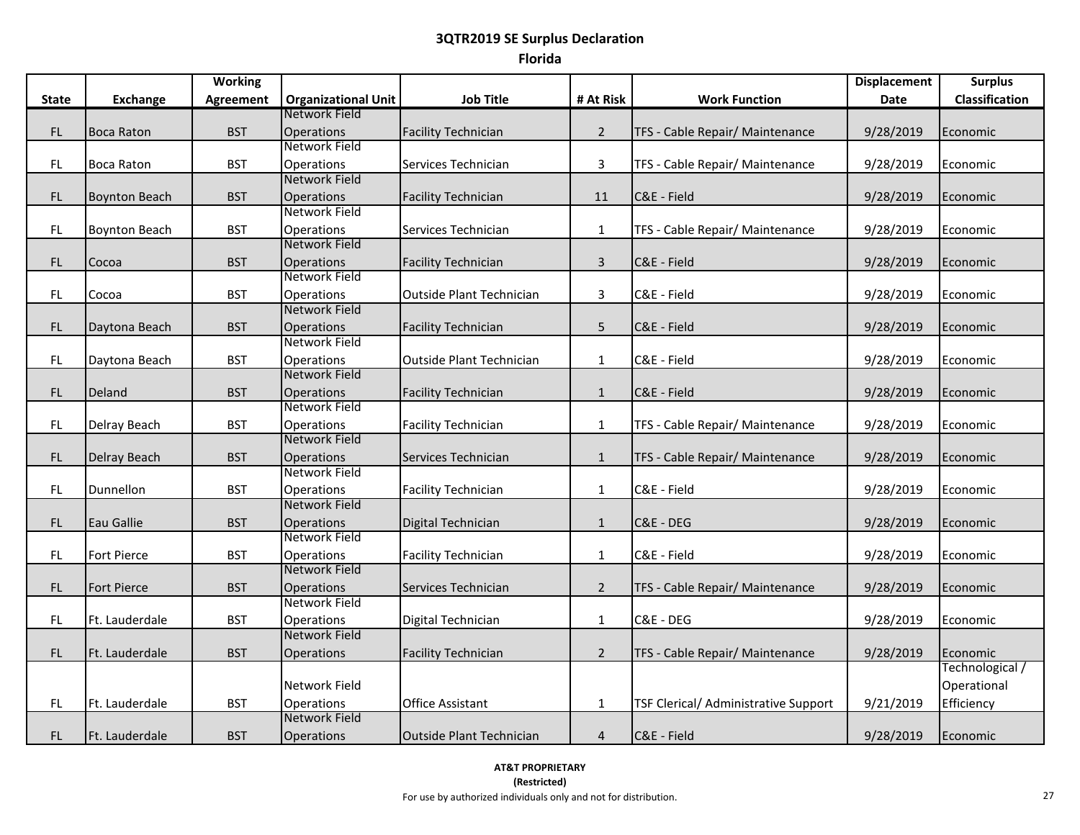|              |                      | <b>Working</b>   |                                    |                                 |                |                                      | <b>Displacement</b> | <b>Surplus</b>  |
|--------------|----------------------|------------------|------------------------------------|---------------------------------|----------------|--------------------------------------|---------------------|-----------------|
| <b>State</b> | <b>Exchange</b>      | <b>Agreement</b> | <b>Organizational Unit</b>         | <b>Job Title</b>                | # At Risk      | <b>Work Function</b>                 | Date                | Classification  |
|              |                      |                  | Network Field                      |                                 |                |                                      |                     |                 |
| FL.          | <b>Boca Raton</b>    | <b>BST</b>       | Operations                         | <b>Facility Technician</b>      | $\overline{2}$ | TFS - Cable Repair/ Maintenance      | 9/28/2019           | Economic        |
|              |                      |                  | Network Field                      |                                 |                |                                      |                     |                 |
| <b>FL</b>    | <b>Boca Raton</b>    | <b>BST</b>       | Operations                         | Services Technician             | 3              | TFS - Cable Repair/ Maintenance      | 9/28/2019           | Economic        |
|              |                      |                  | Network Field                      |                                 |                |                                      |                     |                 |
| FL           | <b>Boynton Beach</b> | <b>BST</b>       | Operations                         | <b>Facility Technician</b>      | 11             | C&E - Field                          | 9/28/2019           | Economic        |
|              |                      |                  | Network Field                      |                                 |                |                                      |                     |                 |
| FL           | <b>Boynton Beach</b> | <b>BST</b>       | Operations                         | Services Technician             | $\mathbf{1}$   | TFS - Cable Repair/ Maintenance      | 9/28/2019           | Economic        |
|              |                      |                  | Network Field                      |                                 |                |                                      |                     |                 |
| <b>FL</b>    | Cocoa                | <b>BST</b>       | <b>Operations</b>                  | <b>Facility Technician</b>      | $\mathsf 3$    | C&E - Field                          | 9/28/2019           | Economic        |
|              |                      |                  | Network Field                      |                                 |                |                                      |                     |                 |
| FL.          | Cocoa                | <b>BST</b>       | Operations                         | <b>Outside Plant Technician</b> | 3              | C&E - Field                          | 9/28/2019           | Economic        |
|              |                      |                  | Network Field                      |                                 |                |                                      |                     |                 |
| <b>FL</b>    | Daytona Beach        | <b>BST</b>       | Operations<br>Network Field        | <b>Facility Technician</b>      | 5              | C&E - Field                          | 9/28/2019           | Economic        |
|              |                      |                  |                                    |                                 |                |                                      |                     |                 |
| FL.          | Daytona Beach        | <b>BST</b>       | Operations<br><b>Network Field</b> | <b>Outside Plant Technician</b> | $\mathbf{1}$   | C&E - Field                          | 9/28/2019           | Economic        |
|              |                      |                  |                                    |                                 |                |                                      |                     |                 |
| FL.          | Deland               | <b>BST</b>       | Operations<br>Network Field        | <b>Facility Technician</b>      | $\mathbf{1}$   | C&E - Field                          | 9/28/2019           | Economic        |
| FL.          |                      | <b>BST</b>       | Operations                         | <b>Facility Technician</b>      | $\mathbf{1}$   | TFS - Cable Repair/ Maintenance      | 9/28/2019           | Economic        |
|              | Delray Beach         |                  | Network Field                      |                                 |                |                                      |                     |                 |
| FL           | Delray Beach         | <b>BST</b>       | Operations                         | Services Technician             | $\mathbf{1}$   | TFS - Cable Repair/ Maintenance      | 9/28/2019           | Economic        |
|              |                      |                  | Network Field                      |                                 |                |                                      |                     |                 |
| FL           | Dunnellon            | <b>BST</b>       | Operations                         | <b>Facility Technician</b>      | $\mathbf{1}$   | C&E - Field                          | 9/28/2019           | Economic        |
|              |                      |                  | Network Field                      |                                 |                |                                      |                     |                 |
| FL           | Eau Gallie           | <b>BST</b>       | Operations                         | Digital Technician              | $\mathbf{1}$   | C&E - DEG                            | 9/28/2019           | Economic        |
|              |                      |                  | Network Field                      |                                 |                |                                      |                     |                 |
| FL.          | Fort Pierce          | <b>BST</b>       | Operations                         | <b>Facility Technician</b>      | $\mathbf{1}$   | C&E - Field                          | 9/28/2019           | Economic        |
|              |                      |                  | Network Field                      |                                 |                |                                      |                     |                 |
| <b>FL</b>    | <b>Fort Pierce</b>   | <b>BST</b>       | Operations                         | Services Technician             | $\overline{2}$ | TFS - Cable Repair/ Maintenance      | 9/28/2019           | Economic        |
|              |                      |                  | Network Field                      |                                 |                |                                      |                     |                 |
| FL           | Ft. Lauderdale       | <b>BST</b>       | Operations                         | Digital Technician              | $\mathbf{1}$   | C&E - DEG                            | 9/28/2019           | Economic        |
|              |                      |                  | Network Field                      |                                 |                |                                      |                     |                 |
| FL           | Ft. Lauderdale       | <b>BST</b>       | Operations                         | <b>Facility Technician</b>      | $\overline{2}$ | TFS - Cable Repair/ Maintenance      | 9/28/2019           | Economic        |
|              |                      |                  |                                    |                                 |                |                                      |                     | Technological / |
|              |                      |                  | Network Field                      |                                 |                |                                      |                     | Operational     |
| FL.          | Ft. Lauderdale       | <b>BST</b>       | Operations                         | <b>Office Assistant</b>         | $\mathbf{1}$   | TSF Clerical/ Administrative Support | 9/21/2019           | Efficiency      |
|              |                      |                  | <b>Network Field</b>               |                                 |                |                                      |                     |                 |
| FL.          | Ft. Lauderdale       | <b>BST</b>       | Operations                         | <b>Outside Plant Technician</b> | $\overline{4}$ | C&E - Field                          | 9/28/2019           | Economic        |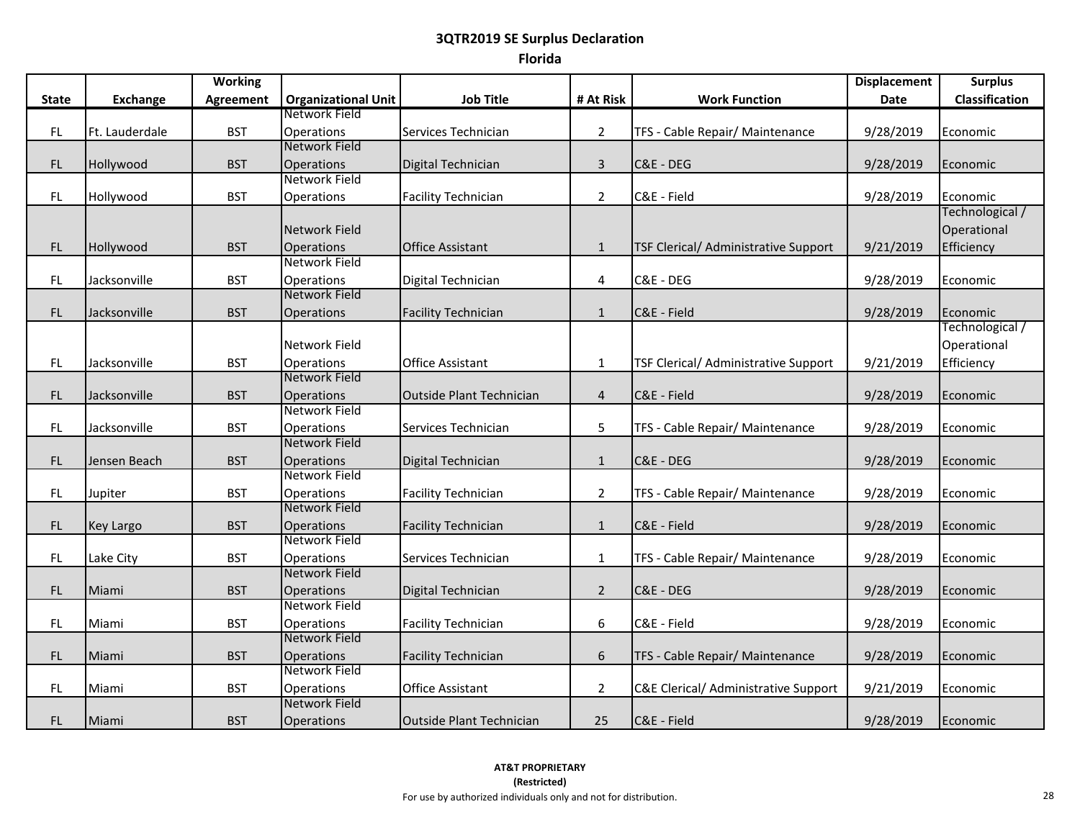|              |                  | <b>Working</b>   |                            |                                 |                  |                                                 | <b>Displacement</b> | <b>Surplus</b>  |
|--------------|------------------|------------------|----------------------------|---------------------------------|------------------|-------------------------------------------------|---------------------|-----------------|
| <b>State</b> | <b>Exchange</b>  | <b>Agreement</b> | <b>Organizational Unit</b> | <b>Job Title</b>                | # At Risk        | <b>Work Function</b>                            | Date                | Classification  |
|              |                  |                  | Network Field              |                                 |                  |                                                 |                     |                 |
| FL           | Ft. Lauderdale   | <b>BST</b>       | <b>Operations</b>          | Services Technician             | $\overline{2}$   | TFS - Cable Repair/ Maintenance                 | 9/28/2019           | Economic        |
|              |                  |                  | Network Field              |                                 |                  |                                                 |                     |                 |
| FL           | Hollywood        | <b>BST</b>       | Operations                 | Digital Technician              | $\mathbf{3}$     | C&E - DEG                                       | 9/28/2019           | Economic        |
|              |                  |                  | Network Field              |                                 |                  |                                                 |                     |                 |
| FL           | Hollywood        | <b>BST</b>       | Operations                 | <b>Facility Technician</b>      | $\overline{2}$   | C&E - Field                                     | 9/28/2019           | Economic        |
|              |                  |                  |                            |                                 |                  |                                                 |                     | Technological / |
|              |                  |                  | Network Field              |                                 |                  |                                                 |                     | Operational     |
| FL           | Hollywood        | <b>BST</b>       | <b>Operations</b>          | <b>Office Assistant</b>         | $\mathbf{1}$     | TSF Clerical/ Administrative Support            | 9/21/2019           | Efficiency      |
|              |                  |                  | Network Field              |                                 |                  |                                                 |                     |                 |
| FL           | Jacksonville     | <b>BST</b>       | Operations                 | Digital Technician              | 4                | C&E - DEG                                       | 9/28/2019           | Economic        |
|              |                  |                  | Network Field              |                                 |                  |                                                 |                     |                 |
| <b>FL</b>    | Jacksonville     | <b>BST</b>       | <b>Operations</b>          | <b>Facility Technician</b>      | $\mathbf{1}$     | C&E - Field                                     | 9/28/2019           | Economic        |
|              |                  |                  |                            |                                 |                  |                                                 |                     | Technological / |
|              |                  |                  | Network Field              |                                 |                  |                                                 |                     | Operational     |
| FL           | Jacksonville     | <b>BST</b>       | Operations                 | <b>Office Assistant</b>         | $\mathbf 1$      | TSF Clerical/ Administrative Support            | 9/21/2019           | Efficiency      |
|              |                  |                  | Network Field              |                                 |                  |                                                 |                     |                 |
| FL           | Jacksonville     | <b>BST</b>       | <b>Operations</b>          | <b>Outside Plant Technician</b> | $\overline{4}$   | C&E - Field                                     | 9/28/2019           | Economic        |
|              |                  |                  | Network Field              |                                 |                  |                                                 |                     |                 |
| FL           | Jacksonville     | <b>BST</b>       | Operations                 | Services Technician             | 5                | TFS - Cable Repair/ Maintenance                 | 9/28/2019           | Economic        |
|              |                  |                  | Network Field              |                                 |                  |                                                 |                     |                 |
| FL           | Jensen Beach     | <b>BST</b>       | <b>Operations</b>          | Digital Technician              | $\mathbf{1}$     | C&E - DEG                                       | 9/28/2019           | Economic        |
|              |                  |                  | Network Field              |                                 |                  |                                                 |                     |                 |
| FL           | Jupiter          | <b>BST</b>       | <b>Operations</b>          | <b>Facility Technician</b>      | $\overline{2}$   | TFS - Cable Repair/ Maintenance                 | 9/28/2019           | Economic        |
|              |                  |                  | Network Field              |                                 |                  |                                                 |                     |                 |
| FL.          | <b>Key Largo</b> | <b>BST</b>       | <b>Operations</b>          | <b>Facility Technician</b>      | $\mathbf{1}$     | C&E - Field                                     | 9/28/2019           | Economic        |
|              |                  |                  | Network Field              |                                 |                  |                                                 |                     |                 |
| FL           | Lake City        | <b>BST</b>       | Operations                 | Services Technician             | $\mathbf{1}$     | TFS - Cable Repair/ Maintenance                 | 9/28/2019           | Economic        |
|              |                  |                  | Network Field              |                                 |                  |                                                 |                     |                 |
| FL           | Miami            | <b>BST</b>       | <b>Operations</b>          | Digital Technician              | $\overline{2}$   | C&E - DEG                                       | 9/28/2019           | Economic        |
|              |                  |                  | Network Field              |                                 |                  |                                                 |                     |                 |
| FL           | Miami            | <b>BST</b>       | <b>Operations</b>          | <b>Facility Technician</b>      | 6                | C&E - Field                                     | 9/28/2019           | Economic        |
|              |                  |                  | Network Field              |                                 |                  |                                                 |                     |                 |
| FL           | Miami            | <b>BST</b>       | <b>Operations</b>          | <b>Facility Technician</b>      | $\boldsymbol{6}$ | TFS - Cable Repair/ Maintenance                 | 9/28/2019           | Economic        |
|              |                  |                  | Network Field              |                                 |                  |                                                 |                     |                 |
| FL           | Miami            | <b>BST</b>       | Operations                 | <b>Office Assistant</b>         | $\overline{2}$   | <b>C&amp;E Clerical/ Administrative Support</b> | 9/21/2019           | Economic        |
|              |                  |                  | <b>Network Field</b>       |                                 |                  |                                                 |                     |                 |
| FL.          | Miami            | <b>BST</b>       | <b>Operations</b>          | <b>Outside Plant Technician</b> | 25               | C&E - Field                                     | 9/28/2019           | Economic        |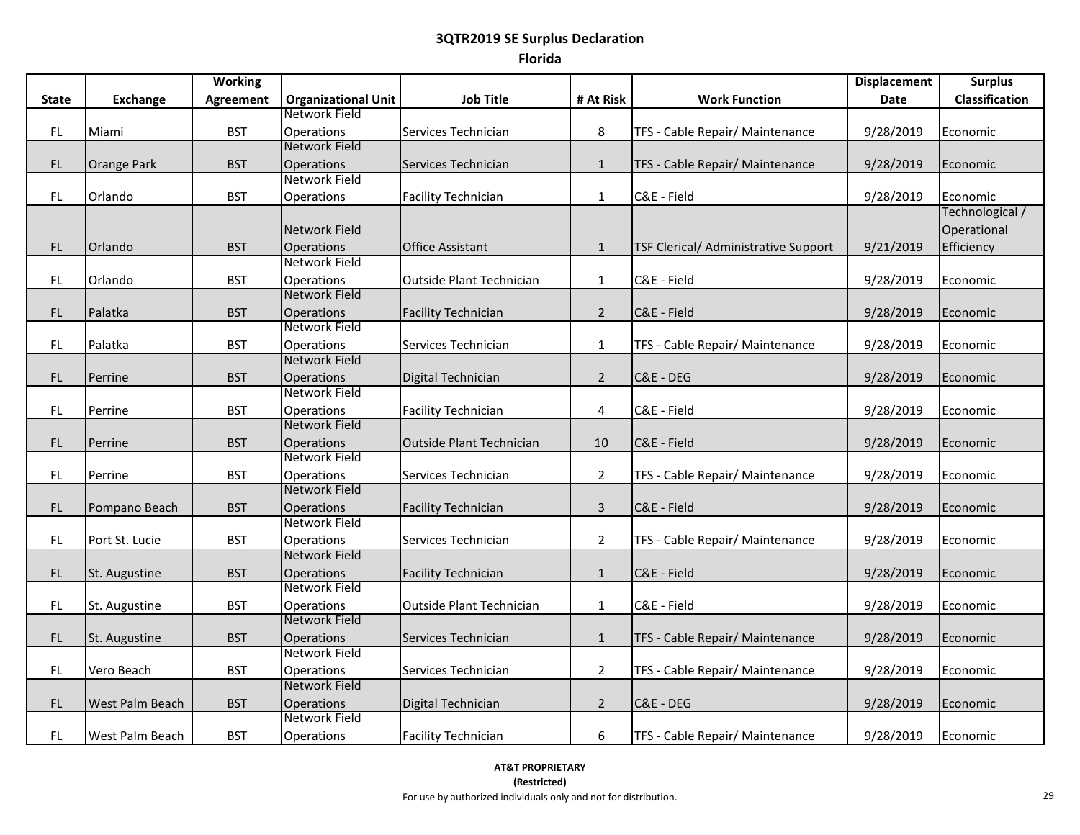|              |                    | <b>Working</b>   |                                           |                                 |                |                                      | <b>Displacement</b> | <b>Surplus</b>        |
|--------------|--------------------|------------------|-------------------------------------------|---------------------------------|----------------|--------------------------------------|---------------------|-----------------------|
| <b>State</b> | <b>Exchange</b>    | <b>Agreement</b> | <b>Organizational Unit</b>                | <b>Job Title</b>                | # At Risk      | <b>Work Function</b>                 | <b>Date</b>         | <b>Classification</b> |
|              |                    |                  | Network Field                             |                                 |                |                                      |                     |                       |
| FL           | Miami              | <b>BST</b>       | Operations                                | Services Technician             | 8              | TFS - Cable Repair/ Maintenance      | 9/28/2019           | Economic              |
|              |                    |                  | Network Field                             |                                 |                |                                      |                     |                       |
| <b>FL</b>    | <b>Orange Park</b> | <b>BST</b>       | <b>Operations</b>                         | Services Technician             | $\mathbf{1}$   | TFS - Cable Repair/ Maintenance      | 9/28/2019           | Economic              |
|              |                    |                  | Network Field                             |                                 |                |                                      |                     |                       |
| FL.          | Orlando            | <b>BST</b>       | Operations                                | <b>Facility Technician</b>      | $\mathbf{1}$   | C&E - Field                          | 9/28/2019           | Economic              |
|              |                    |                  |                                           |                                 |                |                                      |                     | Technological /       |
|              |                    |                  | Network Field                             |                                 |                |                                      |                     | Operational           |
| FL           | Orlando            | <b>BST</b>       | <b>Operations</b>                         | <b>Office Assistant</b>         | $\mathbf{1}$   | TSF Clerical/ Administrative Support | 9/21/2019           | Efficiency            |
|              |                    |                  | <b>Network Field</b>                      |                                 |                |                                      |                     |                       |
| FL           | Orlando            | <b>BST</b>       | <b>Operations</b>                         | <b>Outside Plant Technician</b> | $\mathbf{1}$   | C&E - Field                          | 9/28/2019           | Economic              |
|              |                    |                  | Network Field                             |                                 |                |                                      |                     |                       |
| FL           | Palatka            | <b>BST</b>       | Operations                                | <b>Facility Technician</b>      | $\overline{2}$ | C&E - Field                          | 9/28/2019           | Economic              |
|              |                    |                  | Network Field                             |                                 |                |                                      |                     |                       |
| FL           | Palatka            | <b>BST</b>       | Operations                                | Services Technician             | $\mathbf{1}$   | TFS - Cable Repair/ Maintenance      | 9/28/2019           | Economic              |
|              |                    |                  | Network Field                             |                                 |                |                                      |                     |                       |
| <b>FL</b>    | Perrine            | <b>BST</b>       | <b>Operations</b>                         | Digital Technician              | $\overline{2}$ | C&E - DEG                            | 9/28/2019           | Economic              |
|              |                    |                  | Network Field                             |                                 |                |                                      |                     |                       |
| FL.          | Perrine            | <b>BST</b>       | Operations                                | <b>Facility Technician</b>      | 4              | C&E - Field                          | 9/28/2019           | Economic              |
|              |                    |                  | Network Field                             |                                 |                |                                      |                     |                       |
| FL           | Perrine            | <b>BST</b>       | <b>Operations</b>                         | <b>Outside Plant Technician</b> | 10             | C&E - Field                          | 9/28/2019           | Economic              |
|              |                    |                  | Network Field                             |                                 |                |                                      |                     |                       |
| FL           | Perrine            | <b>BST</b>       | Operations                                | Services Technician             | $\overline{2}$ | TFS - Cable Repair/ Maintenance      | 9/28/2019           | Economic              |
|              |                    |                  | Network Field                             |                                 |                |                                      |                     |                       |
| FL           | Pompano Beach      | <b>BST</b>       | <b>Operations</b>                         | <b>Facility Technician</b>      | $\mathbf{3}$   | C&E - Field                          | 9/28/2019           | Economic              |
|              |                    |                  | Network Field                             |                                 |                |                                      |                     |                       |
| FL           | Port St. Lucie     | <b>BST</b>       | Operations                                | Services Technician             | $\overline{2}$ | TFS - Cable Repair/ Maintenance      | 9/28/2019           | Economic              |
|              |                    |                  | Network Field                             |                                 |                |                                      |                     |                       |
| <b>FL</b>    | St. Augustine      | <b>BST</b>       | <b>Operations</b><br><b>Network Field</b> | <b>Facility Technician</b>      | $\mathbf{1}$   | C&E - Field                          | 9/28/2019           | Economic              |
|              |                    |                  |                                           |                                 |                |                                      |                     |                       |
| FL           | St. Augustine      | <b>BST</b>       | Operations<br>Network Field               | <b>Outside Plant Technician</b> | $\mathbf{1}$   | C&E - Field                          | 9/28/2019           | Economic              |
|              |                    |                  |                                           |                                 |                |                                      |                     |                       |
| FL           | St. Augustine      | <b>BST</b>       | <b>Operations</b><br><b>Network Field</b> | Services Technician             | $\mathbf{1}$   | TFS - Cable Repair/ Maintenance      | 9/28/2019           | Economic              |
|              |                    |                  |                                           |                                 |                |                                      |                     |                       |
| FL           | Vero Beach         | <b>BST</b>       | Operations<br>Network Field               | Services Technician             | $\overline{2}$ | TFS - Cable Repair/ Maintenance      | 9/28/2019           | Economic              |
|              |                    |                  |                                           |                                 |                |                                      |                     |                       |
| FL           | West Palm Beach    | <b>BST</b>       | <b>Operations</b><br>Network Field        | Digital Technician              | $\overline{2}$ | C&E - DEG                            | 9/28/2019           | Economic              |
|              |                    |                  |                                           |                                 |                |                                      |                     |                       |
| FL.          | West Palm Beach    | <b>BST</b>       | Operations                                | <b>Facility Technician</b>      | 6              | TFS - Cable Repair/ Maintenance      | 9/28/2019           | Economic              |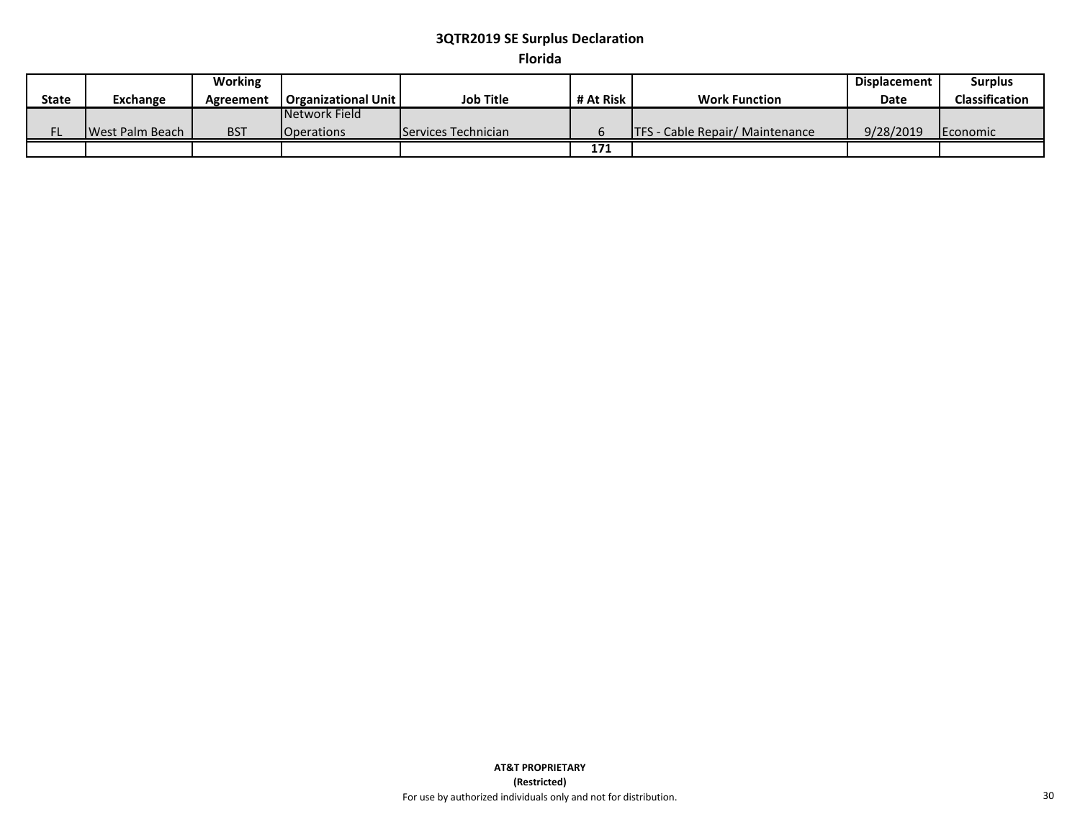## **Florida**

|              |                 | <b>Working</b> |                              |                     |           |                                         | <b>Displacement</b> | <b>Surplus</b>        |
|--------------|-----------------|----------------|------------------------------|---------------------|-----------|-----------------------------------------|---------------------|-----------------------|
| <b>State</b> | Exchange        | Agreement      | <b>Organizational Unit I</b> | <b>Job Title</b>    | # At Risk | <b>Work Function</b>                    | <b>Date</b>         | <b>Classification</b> |
|              |                 |                | Network Field                |                     |           |                                         |                     |                       |
| FL.          | West Palm Beach | <b>BST</b>     | <b>I</b> Operations          | Services Technician |           | <b>ITFS - Cable Repair/ Maintenance</b> | 9/28/2019           | Economic              |
|              |                 |                |                              |                     | 171       |                                         |                     |                       |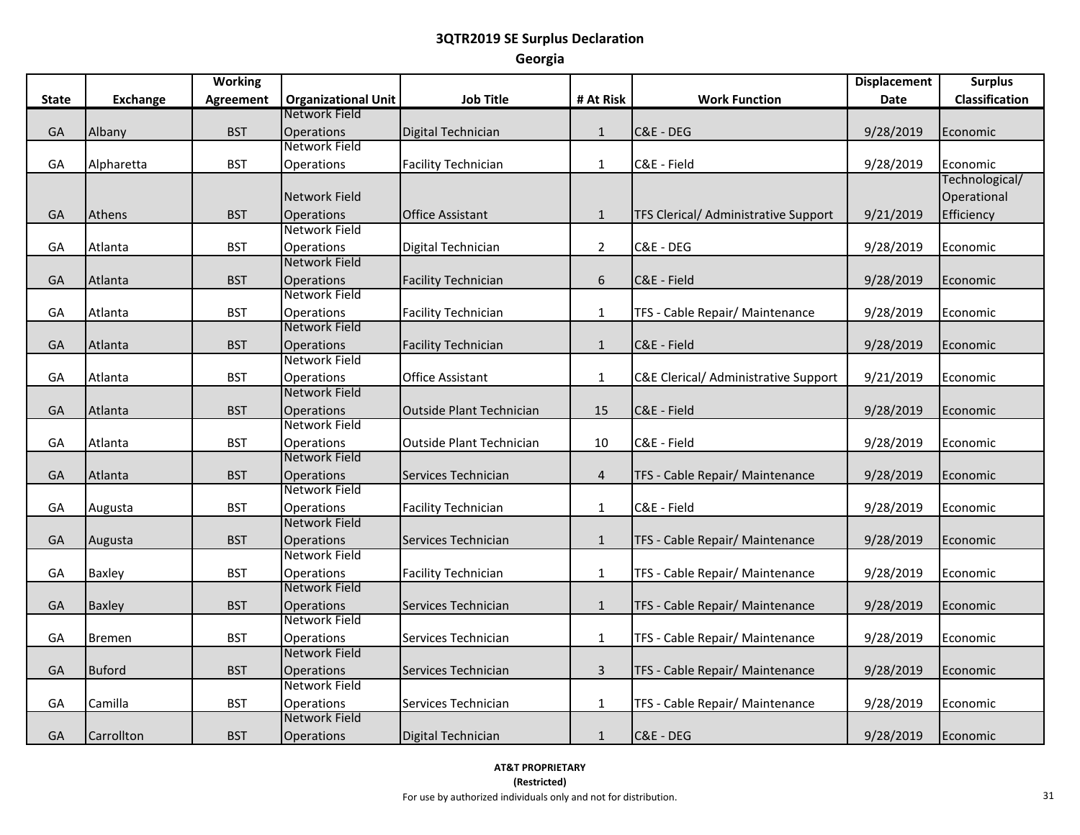|              |                 | <b>Working</b>   |                                    |                                 |                  |                                      | <b>Displacement</b> | <b>Surplus</b>        |
|--------------|-----------------|------------------|------------------------------------|---------------------------------|------------------|--------------------------------------|---------------------|-----------------------|
| <b>State</b> | <b>Exchange</b> | <b>Agreement</b> | <b>Organizational Unit</b>         | <b>Job Title</b>                | # At Risk        | <b>Work Function</b>                 | Date                | <b>Classification</b> |
|              |                 |                  | Network Field                      |                                 |                  |                                      |                     |                       |
| GA           | Albany          | <b>BST</b>       | Operations                         | Digital Technician              | $\mathbf{1}$     | C&E - DEG                            | 9/28/2019           | Economic              |
|              |                 |                  | Network Field                      |                                 |                  |                                      |                     |                       |
| GA           | Alpharetta      | <b>BST</b>       | Operations                         | <b>Facility Technician</b>      | $\mathbf{1}$     | C&E - Field                          | 9/28/2019           | Economic              |
|              |                 |                  |                                    |                                 |                  |                                      |                     | Technological/        |
|              |                 |                  | Network Field                      |                                 |                  |                                      |                     | Operational           |
| GA           | Athens          | <b>BST</b>       | Operations                         | <b>Office Assistant</b>         | $\mathbf{1}$     | TFS Clerical/ Administrative Support | 9/21/2019           | Efficiency            |
|              |                 |                  | Network Field                      |                                 |                  |                                      |                     |                       |
| GA           | Atlanta         | <b>BST</b>       | Operations                         | Digital Technician              | $\overline{2}$   | C&E - DEG                            | 9/28/2019           | Economic              |
|              |                 |                  | Network Field                      |                                 |                  |                                      |                     |                       |
| GA           | Atlanta         | <b>BST</b>       | Operations                         | <b>Facility Technician</b>      | $\boldsymbol{6}$ | C&E - Field                          | 9/28/2019           | Economic              |
|              |                 |                  | Network Field                      |                                 |                  |                                      |                     |                       |
| GA           | Atlanta         | <b>BST</b>       | Operations                         | <b>Facility Technician</b>      | $\mathbf{1}$     | TFS - Cable Repair/ Maintenance      | 9/28/2019           | Economic              |
|              |                 |                  | Network Field                      |                                 |                  |                                      |                     |                       |
| GA           | Atlanta         | <b>BST</b>       | Operations                         | <b>Facility Technician</b>      | $\mathbf{1}$     | C&E - Field                          | 9/28/2019           | Economic              |
|              |                 |                  | Network Field                      |                                 |                  |                                      |                     |                       |
| GA           | Atlanta         | <b>BST</b>       | Operations                         | <b>Office Assistant</b>         | $\mathbf{1}$     | C&E Clerical/ Administrative Support | 9/21/2019           | Economic              |
|              |                 |                  | Network Field                      |                                 |                  |                                      |                     |                       |
| GA           | Atlanta         | <b>BST</b>       | <b>Operations</b><br>Network Field | <b>Outside Plant Technician</b> | 15               | C&E - Field                          | 9/28/2019           | Economic              |
|              |                 |                  |                                    |                                 |                  |                                      |                     |                       |
| GA           | Atlanta         | <b>BST</b>       | Operations<br>Network Field        | Outside Plant Technician        | 10               | C&E - Field                          | 9/28/2019           | Economic              |
| GA           | Atlanta         | <b>BST</b>       | Operations                         | Services Technician             | $\overline{4}$   | TFS - Cable Repair/ Maintenance      | 9/28/2019           |                       |
|              |                 |                  | Network Field                      |                                 |                  |                                      |                     | Economic              |
| GA           | Augusta         | <b>BST</b>       | Operations                         | <b>Facility Technician</b>      | $\mathbf{1}$     | C&E - Field                          | 9/28/2019           | Economic              |
|              |                 |                  | Network Field                      |                                 |                  |                                      |                     |                       |
| GA           | Augusta         | <b>BST</b>       | Operations                         | Services Technician             | $\mathbf{1}$     | TFS - Cable Repair/ Maintenance      | 9/28/2019           | Economic              |
|              |                 |                  | Network Field                      |                                 |                  |                                      |                     |                       |
| GA           | <b>Baxley</b>   | <b>BST</b>       | Operations                         | <b>Facility Technician</b>      | $\mathbf{1}$     | TFS - Cable Repair/ Maintenance      | 9/28/2019           | Economic              |
|              |                 |                  | Network Field                      |                                 |                  |                                      |                     |                       |
| GA           | Baxley          | <b>BST</b>       | Operations                         | Services Technician             | $\mathbf{1}$     | TFS - Cable Repair/ Maintenance      | 9/28/2019           | Economic              |
|              |                 |                  | Network Field                      |                                 |                  |                                      |                     |                       |
| GA           | Bremen          | <b>BST</b>       | Operations                         | Services Technician             | $\mathbf{1}$     | TFS - Cable Repair/ Maintenance      | 9/28/2019           | Economic              |
|              |                 |                  | Network Field                      |                                 |                  |                                      |                     |                       |
| GA           | Buford          | <b>BST</b>       | Operations                         | Services Technician             | $\overline{3}$   | TFS - Cable Repair/ Maintenance      | 9/28/2019           | Economic              |
|              |                 |                  | Network Field                      |                                 |                  |                                      |                     |                       |
| GA           | Camilla         | <b>BST</b>       | Operations                         | Services Technician             | $\mathbf{1}$     | TFS - Cable Repair/ Maintenance      | 9/28/2019           | Economic              |
|              |                 |                  | Network Field                      |                                 |                  |                                      |                     |                       |
| GA           | Carrollton      | <b>BST</b>       | Operations                         | Digital Technician              | $\mathbf{1}$     | C&E - DEG                            | 9/28/2019           | Economic              |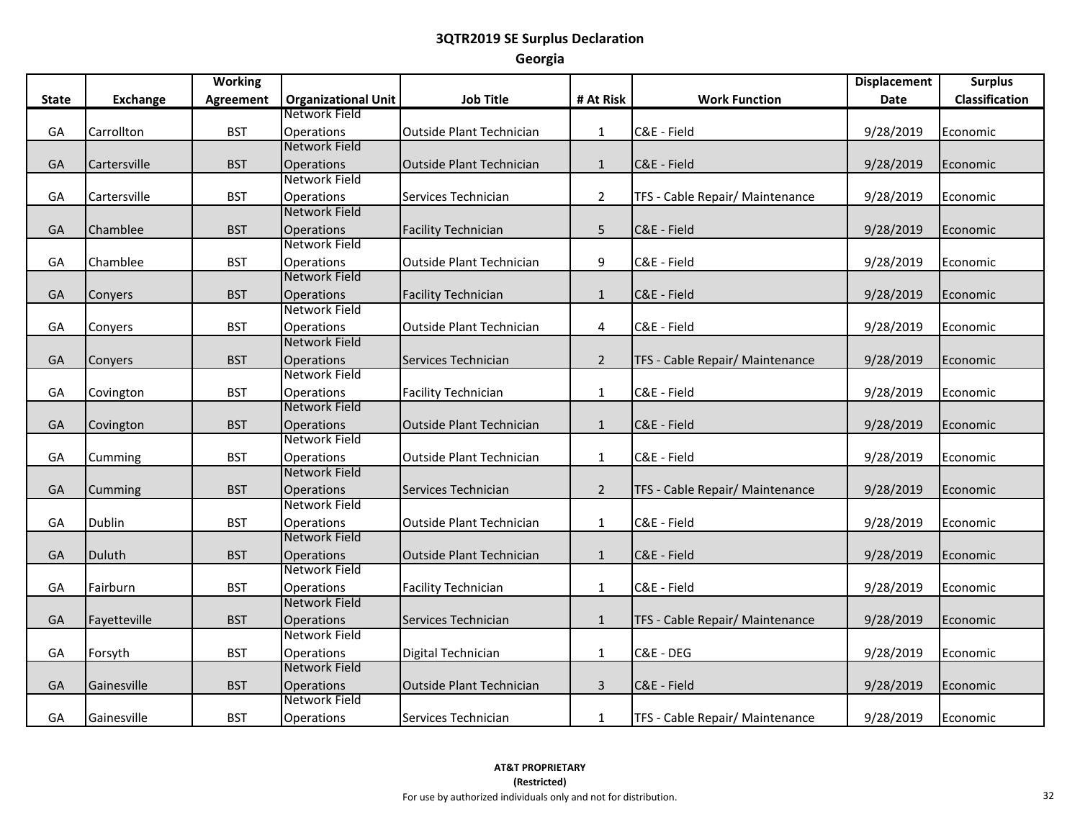|              |                | <b>Working</b>   |                                           |                                 |                |                                 | <b>Displacement</b> | <b>Surplus</b> |
|--------------|----------------|------------------|-------------------------------------------|---------------------------------|----------------|---------------------------------|---------------------|----------------|
| <b>State</b> | Exchange       | <b>Agreement</b> | <b>Organizational Unit</b>                | <b>Job Title</b>                | # At Risk      | <b>Work Function</b>            | Date                | Classification |
|              |                |                  | Network Field                             |                                 |                |                                 |                     |                |
| GA           | Carrollton     | <b>BST</b>       | Operations                                | <b>Outside Plant Technician</b> | $\mathbf{1}$   | C&E - Field                     | 9/28/2019           | Economic       |
|              |                |                  | Network Field                             |                                 |                |                                 |                     |                |
| GA           | Cartersville   | <b>BST</b>       | <b>Operations</b>                         | <b>Outside Plant Technician</b> | $\mathbf{1}$   | C&E - Field                     | 9/28/2019           | Economic       |
|              |                |                  | Network Field                             |                                 |                |                                 |                     |                |
| GA           | Cartersville   | <b>BST</b>       | <b>Operations</b>                         | Services Technician             | $\overline{2}$ | TFS - Cable Repair/ Maintenance | 9/28/2019           | Economic       |
|              |                |                  | Network Field                             |                                 |                |                                 |                     |                |
| GA           | Chamblee       | <b>BST</b>       | <b>Operations</b>                         | <b>Facility Technician</b>      | 5              | C&E - Field                     | 9/28/2019           | Economic       |
|              |                |                  | Network Field                             |                                 |                |                                 |                     |                |
| GA           | Chamblee       | <b>BST</b>       | Operations                                | <b>Outside Plant Technician</b> | 9              | C&E - Field                     | 9/28/2019           | Economic       |
|              |                |                  | Network Field                             |                                 |                |                                 |                     |                |
| GA           | <b>Convers</b> | <b>BST</b>       | <b>Operations</b>                         | <b>Facility Technician</b>      | $\mathbf{1}$   | C&E - Field                     | 9/28/2019           | Economic       |
|              |                |                  | Network Field                             |                                 |                |                                 |                     |                |
| GA           | Conyers        | <b>BST</b>       | Operations                                | <b>Outside Plant Technician</b> | 4              | C&E - Field                     | 9/28/2019           | Economic       |
|              |                |                  | Network Field                             |                                 |                |                                 |                     |                |
| GA           | Conyers        | <b>BST</b>       | <b>Operations</b>                         | Services Technician             | $\overline{2}$ | TFS - Cable Repair/ Maintenance | 9/28/2019           | Economic       |
|              |                |                  | Network Field                             |                                 |                |                                 |                     |                |
| GA           | Covington      | <b>BST</b>       | Operations                                | <b>Facility Technician</b>      | $\mathbf{1}$   | C&E - Field                     | 9/28/2019           | Economic       |
|              |                |                  | Network Field                             |                                 |                |                                 |                     |                |
| GA           | Covington      | <b>BST</b>       | <b>Operations</b>                         | <b>Outside Plant Technician</b> | $\mathbf{1}$   | C&E - Field                     | 9/28/2019           | Economic       |
|              |                |                  | Network Field                             |                                 |                |                                 |                     |                |
| GA           | Cumming        | <b>BST</b>       | Operations                                | <b>Outside Plant Technician</b> | $\mathbf{1}$   | C&E - Field                     | 9/28/2019           | Economic       |
|              |                |                  | Network Field                             |                                 |                |                                 |                     |                |
| GA           | Cumming        | <b>BST</b>       | <b>Operations</b>                         | Services Technician             | $\overline{2}$ | TFS - Cable Repair/ Maintenance | 9/28/2019           | Economic       |
|              |                |                  | <b>Network Field</b>                      |                                 |                |                                 |                     |                |
| GA           | Dublin         | <b>BST</b>       | Operations                                | <b>Outside Plant Technician</b> | $\mathbf{1}$   | C&E - Field                     | 9/28/2019           | Economic       |
|              |                |                  | Network Field                             |                                 |                |                                 |                     |                |
| GA           | Duluth         | <b>BST</b>       | <b>Operations</b><br>Network Field        | <b>Outside Plant Technician</b> | $\mathbf{1}$   | C&E - Field                     | 9/28/2019           | Economic       |
|              |                |                  |                                           |                                 |                |                                 |                     |                |
| GA           | Fairburn       | <b>BST</b>       | <b>Operations</b><br>Network Field        | <b>Facility Technician</b>      | $\mathbf{1}$   | C&E - Field                     | 9/28/2019           | Economic       |
|              |                |                  |                                           |                                 |                |                                 |                     |                |
| GA           | Fayetteville   | <b>BST</b>       | Operations<br>Network Field               | Services Technician             | $\mathbf{1}$   | TFS - Cable Repair/ Maintenance | 9/28/2019           | Economic       |
|              |                |                  |                                           |                                 |                |                                 |                     |                |
| GA           | Forsyth        | <b>BST</b>       | <b>Operations</b><br>Network Field        | Digital Technician              | $\mathbf{1}$   | C&E - DEG                       | 9/28/2019           | Economic       |
|              |                |                  |                                           |                                 |                |                                 |                     |                |
| GA           | Gainesville    | <b>BST</b>       | <b>Operations</b><br><b>Network Field</b> | <b>Outside Plant Technician</b> | $\overline{3}$ | C&E - Field                     | 9/28/2019           | Economic       |
|              |                |                  |                                           |                                 |                |                                 |                     |                |
| GА           | Gainesville    | <b>BST</b>       | Operations                                | Services Technician             | $\mathbf{1}$   | TFS - Cable Repair/ Maintenance | 9/28/2019           | Economic       |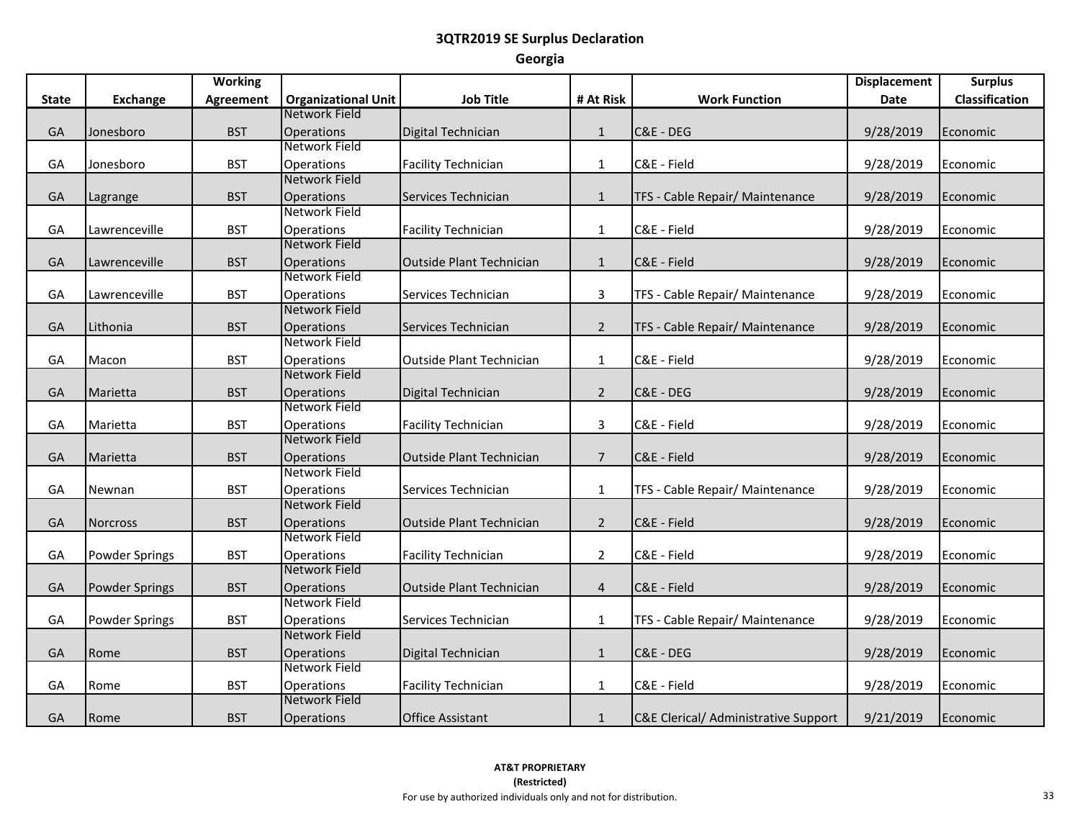|              |                       | <b>Working</b>   |                                    |                                 |                |                                      | <b>Displacement</b> | <b>Surplus</b> |
|--------------|-----------------------|------------------|------------------------------------|---------------------------------|----------------|--------------------------------------|---------------------|----------------|
| <b>State</b> | <b>Exchange</b>       | <b>Agreement</b> | <b>Organizational Unit</b>         | <b>Job Title</b>                | # At Risk      | <b>Work Function</b>                 | Date                | Classification |
|              |                       |                  | Network Field                      |                                 |                |                                      |                     |                |
| GA           | Jonesboro             | <b>BST</b>       | <b>Operations</b>                  | Digital Technician              | $\mathbf{1}$   | C&E - DEG                            | 9/28/2019           | Economic       |
|              |                       |                  | Network Field                      |                                 |                |                                      |                     |                |
| GA           | Jonesboro             | <b>BST</b>       | Operations                         | <b>Facility Technician</b>      | $\mathbf{1}$   | C&E - Field                          | 9/28/2019           | Economic       |
|              |                       |                  | Network Field                      |                                 |                |                                      |                     |                |
| GA           | Lagrange              | <b>BST</b>       | <b>Operations</b>                  | Services Technician             | $\mathbf{1}$   | TFS - Cable Repair/ Maintenance      | 9/28/2019           | Economic       |
|              |                       |                  | Network Field                      |                                 |                |                                      |                     |                |
| GA           | Lawrenceville         | <b>BST</b>       | Operations                         | <b>Facility Technician</b>      | $\mathbf{1}$   | C&E - Field                          | 9/28/2019           | Economic       |
|              |                       |                  | Network Field                      |                                 |                |                                      |                     |                |
| GA           | Lawrenceville         | <b>BST</b>       | <b>Operations</b>                  | Outside Plant Technician        | $\mathbf{1}$   | C&E - Field                          | 9/28/2019           | Economic       |
|              |                       |                  | Network Field                      |                                 |                |                                      |                     |                |
| GA           | Lawrenceville         | <b>BST</b>       | Operations                         | Services Technician             | $\overline{3}$ | TFS - Cable Repair/ Maintenance      | 9/28/2019           | Economic       |
|              |                       |                  | Network Field                      |                                 |                |                                      |                     |                |
| GA           | Lithonia              | <b>BST</b>       | Operations                         | Services Technician             | $\overline{2}$ | TFS - Cable Repair/ Maintenance      | 9/28/2019           | Economic       |
|              |                       |                  | Network Field                      |                                 |                |                                      |                     |                |
| GA           | Macon                 | <b>BST</b>       | Operations                         | <b>Outside Plant Technician</b> | $\mathbf{1}$   | C&E - Field                          | 9/28/2019           | Economic       |
|              |                       |                  | Network Field                      |                                 |                |                                      |                     |                |
| GA           | Marietta              | <b>BST</b>       | Operations                         | Digital Technician              | $\overline{2}$ | C&E - DEG                            | 9/28/2019           | Economic       |
|              |                       |                  | Network Field                      |                                 |                |                                      |                     |                |
| GA           | Marietta              | <b>BST</b>       | <b>Operations</b>                  | <b>Facility Technician</b>      | $\overline{3}$ | C&E - Field                          | 9/28/2019           | Economic       |
|              |                       |                  | Network Field                      |                                 |                |                                      |                     |                |
| GA           | Marietta              | <b>BST</b>       | Operations<br>Network Field        | <b>Outside Plant Technician</b> | $\overline{7}$ | C&E - Field                          | 9/28/2019           | Economic       |
|              |                       |                  |                                    |                                 |                |                                      |                     |                |
| GА           | Newnan                | <b>BST</b>       | <b>Operations</b><br>Network Field | Services Technician             | $\mathbf{1}$   | TFS - Cable Repair/ Maintenance      | 9/28/2019           | Economic       |
|              |                       |                  |                                    |                                 |                |                                      |                     |                |
| GA           | <b>Norcross</b>       | <b>BST</b>       | <b>Operations</b><br>Network Field | <b>Outside Plant Technician</b> | $\overline{2}$ | C&E - Field                          | 9/28/2019           | Economic       |
| GA           | <b>Powder Springs</b> | <b>BST</b>       | Operations                         | <b>Facility Technician</b>      | $\overline{2}$ | C&E - Field                          | 9/28/2019           | Economic       |
|              |                       |                  | Network Field                      |                                 |                |                                      |                     |                |
| GA           | <b>Powder Springs</b> | <b>BST</b>       | Operations                         | Outside Plant Technician        | $\overline{4}$ | C&E - Field                          | 9/28/2019           | Economic       |
|              |                       |                  | Network Field                      |                                 |                |                                      |                     |                |
| GA           | <b>Powder Springs</b> | <b>BST</b>       | <b>Operations</b>                  | Services Technician             | $\mathbf{1}$   | TFS - Cable Repair/ Maintenance      | 9/28/2019           | Economic       |
|              |                       |                  | Network Field                      |                                 |                |                                      |                     |                |
| GA           | Rome                  | <b>BST</b>       | Operations                         | Digital Technician              | $\mathbf 1$    | C&E - DEG                            | 9/28/2019           | Economic       |
|              |                       |                  | Network Field                      |                                 |                |                                      |                     |                |
| GA           | Rome                  | <b>BST</b>       | Operations                         | <b>Facility Technician</b>      | $\mathbf{1}$   | C&E - Field                          | 9/28/2019           | Economic       |
|              |                       |                  | Network Field                      |                                 |                |                                      |                     |                |
| GA           | Rome                  | <b>BST</b>       | <b>Operations</b>                  | <b>Office Assistant</b>         | $\mathbf{1}$   | C&E Clerical/ Administrative Support | 9/21/2019           | Economic       |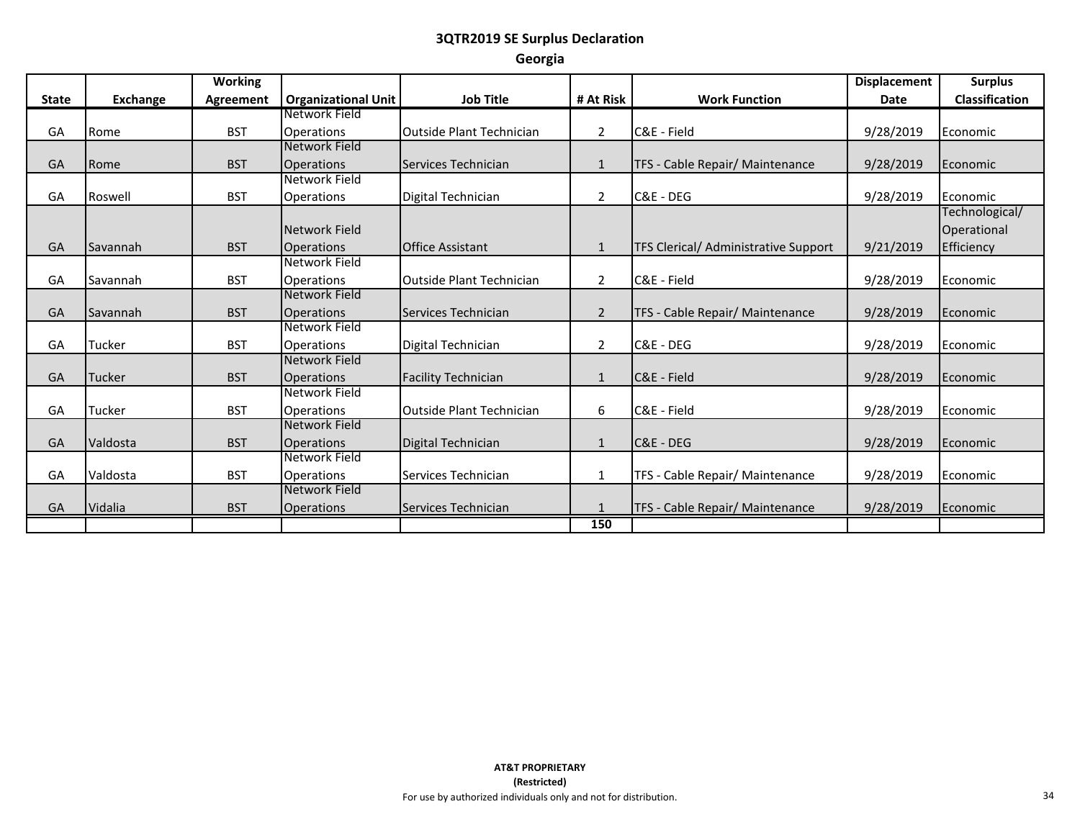|              |                 | <b>Working</b>   |                                    |                                 |                |                                      | <b>Displacement</b> | <b>Surplus</b>        |
|--------------|-----------------|------------------|------------------------------------|---------------------------------|----------------|--------------------------------------|---------------------|-----------------------|
| <b>State</b> | <b>Exchange</b> | <b>Agreement</b> | <b>Organizational Unit</b>         | <b>Job Title</b>                | # At Risk      | <b>Work Function</b>                 | <b>Date</b>         | <b>Classification</b> |
|              |                 |                  | Network Field                      |                                 |                |                                      |                     |                       |
| GA           | Rome            | <b>BST</b>       | Operations                         | Outside Plant Technician        | $\overline{2}$ | C&E - Field                          | 9/28/2019           | Economic              |
|              |                 |                  | Network Field                      |                                 |                |                                      |                     |                       |
| GA           | Rome            | <b>BST</b>       | <b>Operations</b>                  | Services Technician             | $\mathbf{1}$   | TFS - Cable Repair/ Maintenance      | 9/28/2019           | Economic              |
|              |                 |                  | Network Field                      |                                 |                |                                      |                     |                       |
| GA           | Roswell         | <b>BST</b>       | Operations                         | Digital Technician              | 2              | C&E - DEG                            | 9/28/2019           | Economic              |
|              |                 |                  |                                    |                                 |                |                                      |                     | Technological/        |
|              |                 |                  | Network Field                      |                                 |                |                                      |                     | Operational           |
| GA           | Savannah        | <b>BST</b>       | <b>Operations</b>                  | <b>Office Assistant</b>         | $\mathbf{1}$   | TFS Clerical/ Administrative Support | 9/21/2019           | Efficiency            |
|              |                 |                  | Network Field                      |                                 |                |                                      |                     |                       |
| GA           | Savannah        | <b>BST</b>       | Operations                         | <b>Outside Plant Technician</b> | $\overline{2}$ | C&E - Field                          | 9/28/2019           | Economic              |
|              |                 |                  | Network Field                      |                                 |                |                                      |                     |                       |
| GA           | Savannah        | <b>BST</b>       | <b>Operations</b>                  | Services Technician             | $\overline{2}$ | TFS - Cable Repair/ Maintenance      | 9/28/2019           | Economic              |
|              |                 |                  | Network Field                      |                                 |                |                                      |                     |                       |
| GA           | Tucker          | <b>BST</b>       | Operations                         | Digital Technician              | 2              | C&E - DEG                            | 9/28/2019           | Economic              |
|              |                 |                  | Network Field                      |                                 |                |                                      |                     |                       |
| GA           | Tucker          | <b>BST</b>       | <b>Operations</b>                  | <b>Facility Technician</b>      | $\mathbf{1}$   | C&E - Field                          | 9/28/2019           | Economic              |
|              |                 |                  | Network Field                      |                                 |                |                                      |                     |                       |
| GA           | Tucker          | <b>BST</b>       | <b>Operations</b>                  | <b>Outside Plant Technician</b> | 6              | C&E - Field                          | 9/28/2019           | Economic              |
|              |                 |                  | Network Field                      |                                 |                |                                      |                     |                       |
| GA           | Valdosta        | <b>BST</b>       | <b>Operations</b>                  | Digital Technician              | $\mathbf{1}$   | C&E - DEG                            | 9/28/2019           | Economic              |
|              |                 |                  | Network Field                      |                                 |                |                                      |                     |                       |
| GA           | Valdosta        | <b>BST</b>       | Operations<br><b>Network Field</b> | Services Technician             | 1              | TFS - Cable Repair/ Maintenance      | 9/28/2019           | Economic              |
|              |                 |                  |                                    |                                 |                |                                      |                     |                       |
| GA           | Vidalia         | <b>BST</b>       | <b>Operations</b>                  | Services Technician             |                | TFS - Cable Repair/ Maintenance      | 9/28/2019           | Economic              |
|              |                 |                  |                                    |                                 | 150            |                                      |                     |                       |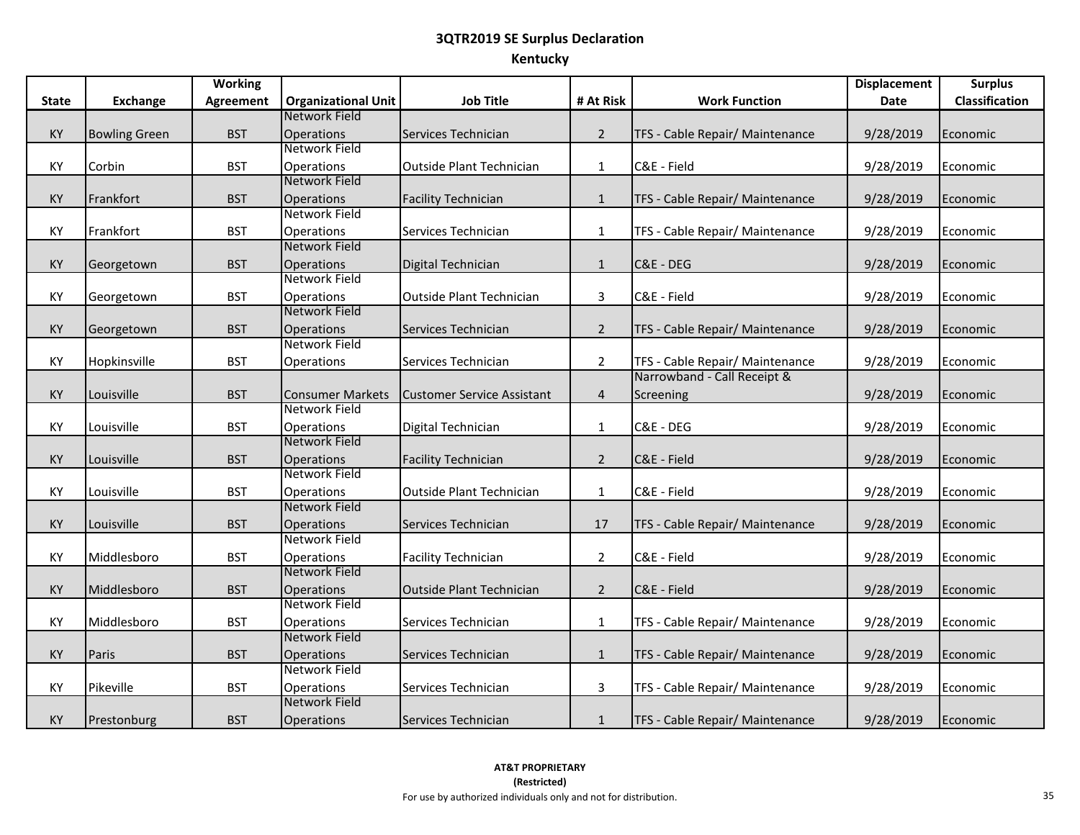# **3QTR2019 SE Surplus Declaration Kentucky**

|              |                      | <b>Working</b>   |                                          |                                   |                |                                 | <b>Displacement</b> | <b>Surplus</b> |
|--------------|----------------------|------------------|------------------------------------------|-----------------------------------|----------------|---------------------------------|---------------------|----------------|
| <b>State</b> | <b>Exchange</b>      | <b>Agreement</b> | <b>Organizational Unit</b>               | <b>Job Title</b>                  | # At Risk      | <b>Work Function</b>            | <b>Date</b>         | Classification |
|              |                      |                  | Network Field                            |                                   |                |                                 |                     |                |
| KY           | <b>Bowling Green</b> | <b>BST</b>       | Operations                               | Services Technician               | $\overline{2}$ | TFS - Cable Repair/ Maintenance | 9/28/2019           | Economic       |
|              |                      |                  | Network Field                            |                                   |                |                                 |                     |                |
| KY           | Corbin               | <b>BST</b>       | Operations                               | Outside Plant Technician          | $\mathbf{1}$   | C&E - Field                     | 9/28/2019           | Economic       |
|              |                      |                  | Network Field                            |                                   |                |                                 |                     |                |
| KY           | Frankfort            | <b>BST</b>       | Operations                               | <b>Facility Technician</b>        | $\mathbf{1}$   | TFS - Cable Repair/ Maintenance | 9/28/2019           | Economic       |
|              |                      |                  | Network Field                            |                                   |                |                                 |                     |                |
| KY           | Frankfort            | <b>BST</b>       | Operations                               | Services Technician               | $\mathbf{1}$   | TFS - Cable Repair/ Maintenance | 9/28/2019           | Economic       |
|              |                      |                  | Network Field                            |                                   |                |                                 |                     |                |
| KY           | Georgetown           | <b>BST</b>       | Operations                               | Digital Technician                | $\mathbf{1}$   | C&E - DEG                       | 9/28/2019           | Economic       |
|              |                      |                  | Network Field                            |                                   |                |                                 |                     |                |
| KY           | Georgetown           | <b>BST</b>       | Operations                               | <b>Outside Plant Technician</b>   | $\overline{3}$ | C&E - Field                     | 9/28/2019           | Economic       |
|              |                      |                  | <b>Network Field</b>                     |                                   |                |                                 |                     |                |
| KY           | Georgetown           | <b>BST</b>       | Operations                               | Services Technician               | $\overline{2}$ | TFS - Cable Repair/ Maintenance | 9/28/2019           | Economic       |
|              |                      |                  | Network Field                            |                                   |                |                                 |                     |                |
| KY           | Hopkinsville         | <b>BST</b>       | Operations                               | Services Technician               | $\overline{2}$ | TFS - Cable Repair/ Maintenance | 9/28/2019           | Economic       |
|              |                      |                  |                                          |                                   |                | Narrowband - Call Receipt &     |                     |                |
| KY           | Louisville           | <b>BST</b>       | <b>Consumer Markets</b><br>Network Field | <b>Customer Service Assistant</b> | $\overline{4}$ | Screening                       | 9/28/2019           | Economic       |
|              |                      |                  |                                          |                                   |                |                                 |                     |                |
| KY           | Louisville           | <b>BST</b>       | Operations<br>Network Field              | Digital Technician                | $\mathbf{1}$   | C&E - DEG                       | 9/28/2019           | Economic       |
| KY           | Louisville           | <b>BST</b>       | Operations                               |                                   | $\overline{2}$ | C&E - Field                     |                     |                |
|              |                      |                  | Network Field                            | <b>Facility Technician</b>        |                |                                 | 9/28/2019           | Economic       |
| KY           | Louisville           | <b>BST</b>       | Operations                               | Outside Plant Technician          | $\mathbf{1}$   | C&E - Field                     | 9/28/2019           | Economic       |
|              |                      |                  | Network Field                            |                                   |                |                                 |                     |                |
| KY           | Louisville           | <b>BST</b>       | Operations                               | Services Technician               | 17             | TFS - Cable Repair/ Maintenance | 9/28/2019           | Economic       |
|              |                      |                  | Network Field                            |                                   |                |                                 |                     |                |
| KY           | Middlesboro          | <b>BST</b>       | Operations                               | <b>Facility Technician</b>        | $\overline{2}$ | C&E - Field                     | 9/28/2019           | Economic       |
|              |                      |                  | <b>Network Field</b>                     |                                   |                |                                 |                     |                |
| KY           | Middlesboro          | <b>BST</b>       | Operations                               | <b>Outside Plant Technician</b>   | $\overline{2}$ | C&E - Field                     | 9/28/2019           | Economic       |
|              |                      |                  | Network Field                            |                                   |                |                                 |                     |                |
| KY           | Middlesboro          | <b>BST</b>       | Operations                               | Services Technician               | $\mathbf{1}$   | TFS - Cable Repair/ Maintenance | 9/28/2019           | Economic       |
|              |                      |                  | Network Field                            |                                   |                |                                 |                     |                |
| KY           | Paris                | <b>BST</b>       | Operations                               | Services Technician               | $\,1\,$        | TFS - Cable Repair/ Maintenance | 9/28/2019           | Economic       |
|              |                      |                  | Network Field                            |                                   |                |                                 |                     |                |
| KY           | Pikeville            | <b>BST</b>       | Operations                               | Services Technician               | $\overline{3}$ | TFS - Cable Repair/ Maintenance | 9/28/2019           | Economic       |
|              |                      |                  | Network Field                            |                                   |                |                                 |                     |                |
| KY           | Prestonburg          | <b>BST</b>       | Operations                               | Services Technician               | $\mathbf{1}$   | TFS - Cable Repair/ Maintenance | 9/28/2019           | Economic       |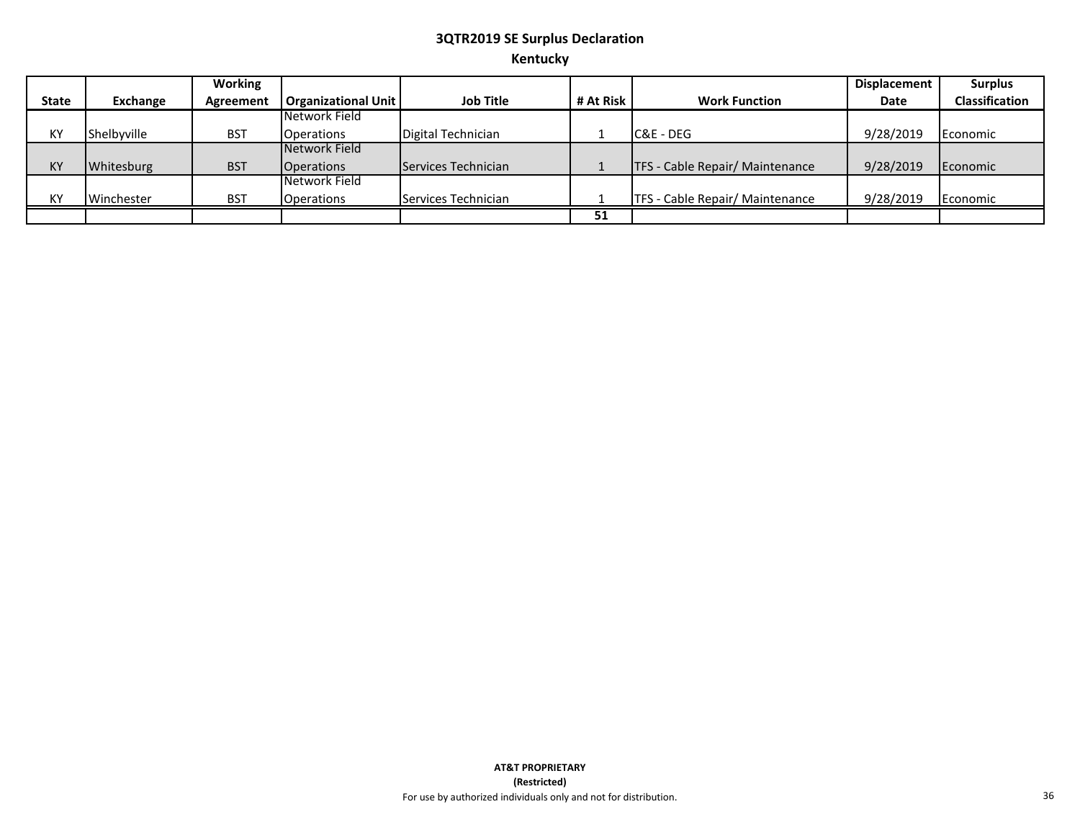# **3QTR2019 SE Surplus Declaration Kentucky**

|              |             | Working    |                            |                     |           |                                 | Displacement | <b>Surplus</b>        |
|--------------|-------------|------------|----------------------------|---------------------|-----------|---------------------------------|--------------|-----------------------|
| <b>State</b> | Exchange    | Agreement  | <b>Organizational Unit</b> | <b>Job Title</b>    | # At Risk | <b>Work Function</b>            | Date         | <b>Classification</b> |
|              |             |            | Network Field              |                     |           |                                 |              |                       |
| KY           | Shelbvville | <b>BST</b> | <b>Operations</b>          | Digital Technician  |           | C&E - DEG                       | 9/28/2019    | Economic              |
|              |             |            | Network Field              |                     |           |                                 |              |                       |
| KY           | Whitesburg  | <b>BST</b> | <b>Operations</b>          | Services Technician |           | TFS - Cable Repair/ Maintenance | 9/28/2019    | Economic              |
|              |             |            | Network Field              |                     |           |                                 |              |                       |
| KY           | Winchester  | <b>BST</b> | <b>Operations</b>          | Services Technician |           | TFS - Cable Repair/ Maintenance | 9/28/2019    | Economic              |
|              |             |            |                            |                     | 51        |                                 |              |                       |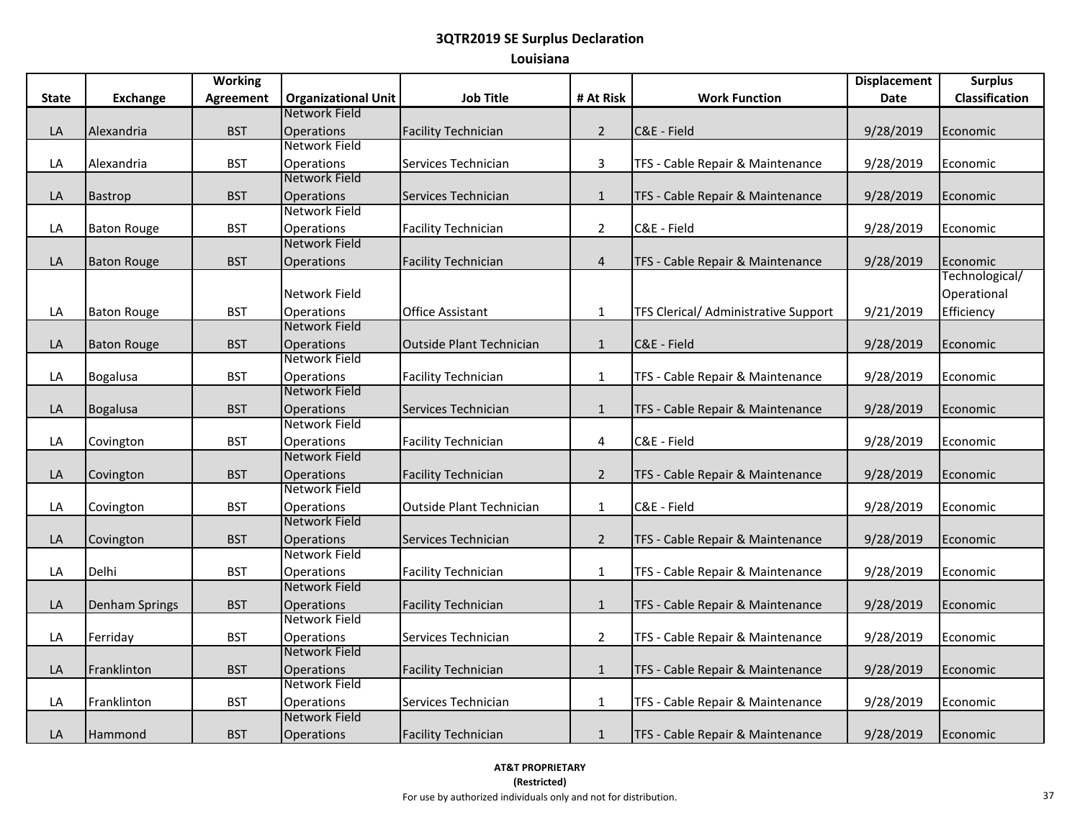|       |                       | <b>Working</b>   |                                    |                                 |                |                                      | <b>Displacement</b> | <b>Surplus</b>        |
|-------|-----------------------|------------------|------------------------------------|---------------------------------|----------------|--------------------------------------|---------------------|-----------------------|
| State | Exchange              | <b>Agreement</b> | <b>Organizational Unit</b>         | <b>Job Title</b>                | # At Risk      | <b>Work Function</b>                 | Date                | <b>Classification</b> |
|       |                       |                  | Network Field                      |                                 |                |                                      |                     |                       |
| LA    | Alexandria            | <b>BST</b>       | Operations                         | <b>Facility Technician</b>      | $\overline{2}$ | C&E - Field                          | 9/28/2019           | Economic              |
|       |                       |                  | Network Field                      |                                 |                |                                      |                     |                       |
| LA    | Alexandria            | <b>BST</b>       | Operations                         | Services Technician             | $\overline{3}$ | TFS - Cable Repair & Maintenance     | 9/28/2019           | Economic              |
|       |                       |                  | Network Field                      |                                 |                |                                      |                     |                       |
| LA    | <b>Bastrop</b>        | <b>BST</b>       | Operations                         | Services Technician             | $\mathbf{1}$   | TFS - Cable Repair & Maintenance     | 9/28/2019           | Economic              |
|       |                       |                  | Network Field                      |                                 |                |                                      |                     |                       |
| LA    | <b>Baton Rouge</b>    | <b>BST</b>       | Operations                         | <b>Facility Technician</b>      | $\overline{2}$ | C&E - Field                          | 9/28/2019           | Economic              |
|       |                       |                  | Network Field                      |                                 |                |                                      |                     |                       |
| LA    | <b>Baton Rouge</b>    | <b>BST</b>       | Operations                         | <b>Facility Technician</b>      | $\overline{4}$ | TFS - Cable Repair & Maintenance     | 9/28/2019           | Economic              |
|       |                       |                  |                                    |                                 |                |                                      |                     | Technological/        |
|       |                       |                  | Network Field                      |                                 |                |                                      |                     | Operational           |
| LA    | <b>Baton Rouge</b>    | <b>BST</b>       | Operations                         | <b>Office Assistant</b>         | $\mathbf{1}$   | TFS Clerical/ Administrative Support | 9/21/2019           | Efficiency            |
|       |                       |                  | Network Field                      |                                 |                |                                      |                     |                       |
| LA    | <b>Baton Rouge</b>    | <b>BST</b>       | <b>Operations</b>                  | <b>Outside Plant Technician</b> | $\mathbf 1$    | C&E - Field                          | 9/28/2019           | Economic              |
|       |                       |                  | Network Field                      |                                 |                |                                      |                     |                       |
| LA    | <b>Bogalusa</b>       | <b>BST</b>       | Operations                         | <b>Facility Technician</b>      | $\mathbf{1}$   | TFS - Cable Repair & Maintenance     | 9/28/2019           | Economic              |
|       |                       |                  | Network Field                      |                                 |                |                                      |                     |                       |
| LA    | Bogalusa              | <b>BST</b>       | Operations                         | Services Technician             | $\mathbf{1}$   | TFS - Cable Repair & Maintenance     | 9/28/2019           | Economic              |
|       |                       |                  | Network Field                      |                                 |                |                                      |                     |                       |
| LA    | Covington             | <b>BST</b>       | Operations                         | <b>Facility Technician</b>      | 4              | C&E - Field                          | 9/28/2019           | Economic              |
|       |                       |                  | Network Field                      |                                 |                |                                      |                     |                       |
| LA    | Covington             | <b>BST</b>       | <b>Operations</b><br>Network Field | <b>Facility Technician</b>      | $\overline{2}$ | TFS - Cable Repair & Maintenance     | 9/28/2019           | Economic              |
|       |                       |                  |                                    |                                 |                |                                      |                     |                       |
| LA    | Covington             | <b>BST</b>       | <b>Operations</b><br>Network Field | Outside Plant Technician        | $\mathbf{1}$   | C&E - Field                          | 9/28/2019           | Economic              |
|       |                       |                  |                                    |                                 |                |                                      |                     |                       |
| LA    | Covington             | <b>BST</b>       | Operations<br>Network Field        | Services Technician             | $\overline{2}$ | TFS - Cable Repair & Maintenance     | 9/28/2019           | Economic              |
| LA    | Delhi                 | <b>BST</b>       | <b>Operations</b>                  | <b>Facility Technician</b>      | $\mathbf{1}$   | TFS - Cable Repair & Maintenance     | 9/28/2019           | Economic              |
|       |                       |                  | Network Field                      |                                 |                |                                      |                     |                       |
| LA    | <b>Denham Springs</b> | <b>BST</b>       | <b>Operations</b>                  | <b>Facility Technician</b>      | $\mathbf{1}$   | TFS - Cable Repair & Maintenance     | 9/28/2019           | Economic              |
|       |                       |                  | Network Field                      |                                 |                |                                      |                     |                       |
| LA    | Ferriday              | <b>BST</b>       | Operations                         | Services Technician             | $2^{\circ}$    | TFS - Cable Repair & Maintenance     | 9/28/2019           | Economic              |
|       |                       |                  | Network Field                      |                                 |                |                                      |                     |                       |
| LA    | Franklinton           | <b>BST</b>       | Operations                         | <b>Facility Technician</b>      | $\mathbf{1}$   | TFS - Cable Repair & Maintenance     | 9/28/2019           | Economic              |
|       |                       |                  | Network Field                      |                                 |                |                                      |                     |                       |
| LA    | Franklinton           | <b>BST</b>       | Operations                         | Services Technician             | $\mathbf{1}$   | TFS - Cable Repair & Maintenance     | 9/28/2019           | Economic              |
|       |                       |                  | <b>Network Field</b>               |                                 |                |                                      |                     |                       |
| LA    | Hammond               | <b>BST</b>       | <b>Operations</b>                  | <b>Facility Technician</b>      | $\mathbf{1}$   | TFS - Cable Repair & Maintenance     | 9/28/2019           | Economic              |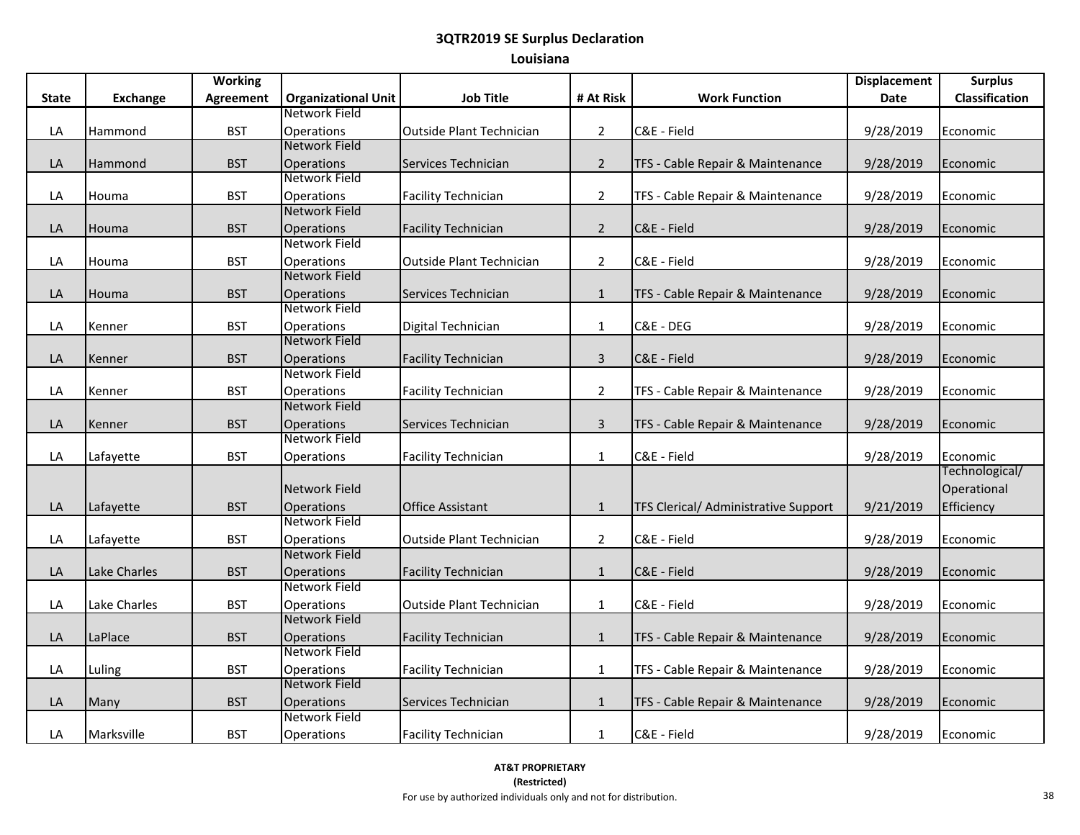|              |                 | <b>Working</b> |                                    |                                 |                |                                             | <b>Displacement</b> | <b>Surplus</b>             |
|--------------|-----------------|----------------|------------------------------------|---------------------------------|----------------|---------------------------------------------|---------------------|----------------------------|
| <b>State</b> | <b>Exchange</b> | Agreement      | <b>Organizational Unit</b>         | <b>Job Title</b>                | # At Risk      | <b>Work Function</b>                        | Date                | Classification             |
|              |                 |                | Network Field                      |                                 |                |                                             |                     |                            |
| LA           | Hammond         | <b>BST</b>     | <b>Operations</b>                  | <b>Outside Plant Technician</b> | $\overline{2}$ | C&E - Field                                 | 9/28/2019           | Economic                   |
|              |                 |                | Network Field                      |                                 |                |                                             |                     |                            |
| LA           | Hammond         | <b>BST</b>     | <b>Operations</b>                  | Services Technician             | $\overline{2}$ | TFS - Cable Repair & Maintenance            | 9/28/2019           | Economic                   |
|              |                 |                | Network Field                      |                                 |                |                                             |                     |                            |
| LA           | Houma           | <b>BST</b>     | Operations                         | <b>Facility Technician</b>      | $\overline{2}$ | TFS - Cable Repair & Maintenance            | 9/28/2019           | Economic                   |
|              |                 |                | Network Field                      |                                 |                |                                             |                     |                            |
| LA           | Houma           | <b>BST</b>     | <b>Operations</b>                  | <b>Facility Technician</b>      | $\overline{2}$ | C&E - Field                                 | 9/28/2019           | Economic                   |
|              |                 |                | Network Field                      |                                 |                |                                             |                     |                            |
| LA           | Houma           | <b>BST</b>     | Operations                         | <b>Outside Plant Technician</b> | $\overline{2}$ | C&E - Field                                 | 9/28/2019           | Economic                   |
|              |                 |                | Network Field                      |                                 |                |                                             |                     |                            |
| LA           | Houma           | <b>BST</b>     | <b>Operations</b>                  | Services Technician             | $\mathbf{1}$   | TFS - Cable Repair & Maintenance            | 9/28/2019           | Economic                   |
|              |                 |                | Network Field                      |                                 |                |                                             |                     |                            |
| LA           | Kenner          | <b>BST</b>     | Operations                         | Digital Technician              | $\mathbf{1}$   | C&E - DEG                                   | 9/28/2019           | Economic                   |
|              |                 |                | Network Field                      |                                 |                |                                             |                     |                            |
| LA           | Kenner          | <b>BST</b>     | <b>Operations</b>                  | <b>Facility Technician</b>      | $\overline{3}$ | C&E - Field                                 | 9/28/2019           | Economic                   |
|              |                 |                | Network Field                      |                                 |                |                                             |                     |                            |
| LA           | Kenner          | <b>BST</b>     | <b>Operations</b>                  | <b>Facility Technician</b>      | $\overline{2}$ | TFS - Cable Repair & Maintenance            | 9/28/2019           | Economic                   |
|              |                 |                | Network Field                      |                                 |                |                                             |                     |                            |
| LA           | Kenner          | <b>BST</b>     | <b>Operations</b><br>Network Field | Services Technician             | $\mathsf{3}$   | TFS - Cable Repair & Maintenance            | 9/28/2019           | Economic                   |
|              |                 |                |                                    |                                 |                |                                             |                     |                            |
| LA           | Lafayette       | <b>BST</b>     | Operations                         | <b>Facility Technician</b>      | $\mathbf{1}$   | C&E - Field                                 | 9/28/2019           | Economic<br>Technological/ |
|              |                 |                |                                    |                                 |                |                                             |                     |                            |
|              |                 |                | Network Field                      |                                 |                |                                             |                     | Operational                |
| LA           | Lafayette       | <b>BST</b>     | <b>Operations</b><br>Network Field | <b>Office Assistant</b>         | $\mathbf{1}$   | <b>TFS Clerical/ Administrative Support</b> | 9/21/2019           | Efficiency                 |
|              |                 |                |                                    |                                 |                |                                             |                     |                            |
| LA           | Lafayette       | <b>BST</b>     | <b>Operations</b><br>Network Field | <b>Outside Plant Technician</b> | $\overline{2}$ | C&E - Field                                 | 9/28/2019           | Economic                   |
| LA           | Lake Charles    | <b>BST</b>     | <b>Operations</b>                  | <b>Facility Technician</b>      |                | C&E - Field                                 | 9/28/2019           | Economic                   |
|              |                 |                | Network Field                      |                                 | $\mathbf{1}$   |                                             |                     |                            |
| LA           | Lake Charles    | <b>BST</b>     | Operations                         | Outside Plant Technician        | $\mathbf{1}$   | C&E - Field                                 | 9/28/2019           | Economic                   |
|              |                 |                | Network Field                      |                                 |                |                                             |                     |                            |
| LA           | LaPlace         | <b>BST</b>     | <b>Operations</b>                  | <b>Facility Technician</b>      | $\mathbf{1}$   | TFS - Cable Repair & Maintenance            | 9/28/2019           | Economic                   |
|              |                 |                | Network Field                      |                                 |                |                                             |                     |                            |
| LA           | Luling          | <b>BST</b>     | <b>Operations</b>                  | <b>Facility Technician</b>      | $\mathbf{1}$   | TFS - Cable Repair & Maintenance            | 9/28/2019           | Economic                   |
|              |                 |                | Network Field                      |                                 |                |                                             |                     |                            |
| LA           | Many            | <b>BST</b>     | <b>Operations</b>                  | Services Technician             | $\mathbf{1}$   | TFS - Cable Repair & Maintenance            | 9/28/2019           | Economic                   |
|              |                 |                | Network Field                      |                                 |                |                                             |                     |                            |
| LA           | Marksville      | <b>BST</b>     | Operations                         | <b>Facility Technician</b>      | $\mathbf{1}$   | C&E - Field                                 | 9/28/2019           | Economic                   |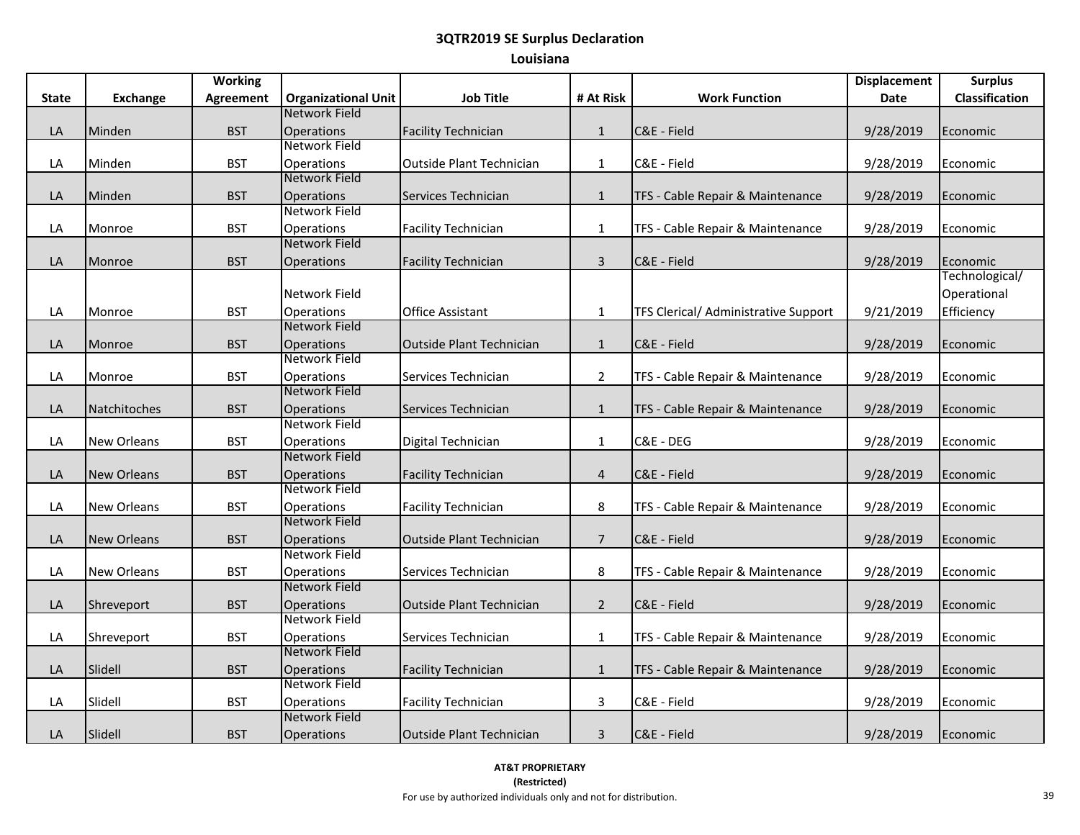|       |                    | <b>Working</b>   |                                    |                                 |                |                                      | <b>Displacement</b> | <b>Surplus</b> |
|-------|--------------------|------------------|------------------------------------|---------------------------------|----------------|--------------------------------------|---------------------|----------------|
| State | Exchange           | <b>Agreement</b> | <b>Organizational Unit</b>         | <b>Job Title</b>                | # At Risk      | <b>Work Function</b>                 | Date                | Classification |
|       |                    |                  | Network Field                      |                                 |                |                                      |                     |                |
| LA    | Minden             | <b>BST</b>       | Operations                         | <b>Facility Technician</b>      | $\mathbf{1}$   | C&E - Field                          | 9/28/2019           | Economic       |
|       |                    |                  | Network Field                      |                                 |                |                                      |                     |                |
| LA    | Minden             | <b>BST</b>       | Operations                         | <b>Outside Plant Technician</b> | $\mathbf{1}$   | C&E - Field                          | 9/28/2019           | Economic       |
|       |                    |                  | Network Field                      |                                 |                |                                      |                     |                |
| LA    | Minden             | <b>BST</b>       | Operations                         | Services Technician             | $\mathbf{1}$   | TFS - Cable Repair & Maintenance     | 9/28/2019           | Economic       |
|       |                    |                  | Network Field                      |                                 |                |                                      |                     |                |
| LA    | Monroe             | <b>BST</b>       | Operations                         | <b>Facility Technician</b>      | $\mathbf{1}$   | TFS - Cable Repair & Maintenance     | 9/28/2019           | Economic       |
|       |                    |                  | Network Field                      |                                 |                |                                      |                     |                |
| LA    | Monroe             | <b>BST</b>       | Operations                         | <b>Facility Technician</b>      | $\overline{3}$ | C&E - Field                          | 9/28/2019           | Economic       |
|       |                    |                  |                                    |                                 |                |                                      |                     | Technological/ |
|       |                    |                  | Network Field                      |                                 |                |                                      |                     | Operational    |
| LA    | Monroe             | <b>BST</b>       | <b>Operations</b>                  | <b>Office Assistant</b>         | $\mathbf{1}$   | TFS Clerical/ Administrative Support | 9/21/2019           | Efficiency     |
|       |                    |                  | Network Field                      |                                 |                |                                      |                     |                |
| LA    | Monroe             | <b>BST</b>       | <b>Operations</b>                  | <b>Outside Plant Technician</b> | $\mathbf{1}$   | C&E - Field                          | 9/28/2019           | Economic       |
|       |                    |                  | Network Field                      |                                 |                |                                      |                     |                |
| LA    | Monroe             | <b>BST</b>       | Operations                         | Services Technician             | $\overline{2}$ | TFS - Cable Repair & Maintenance     | 9/28/2019           | Economic       |
|       |                    |                  | Network Field                      |                                 |                |                                      |                     |                |
| LA    | Natchitoches       | <b>BST</b>       | Operations                         | Services Technician             | $\mathbf{1}$   | TFS - Cable Repair & Maintenance     | 9/28/2019           | Economic       |
|       |                    |                  | Network Field                      |                                 |                |                                      |                     |                |
| LA    | <b>New Orleans</b> | <b>BST</b>       | Operations                         | Digital Technician              | $1\,$          | C&E - DEG                            | 9/28/2019           | Economic       |
|       |                    |                  | Network Field                      |                                 |                |                                      |                     |                |
| LA    | <b>New Orleans</b> | <b>BST</b>       | <b>Operations</b><br>Network Field | <b>Facility Technician</b>      | $\overline{4}$ | C&E - Field                          | 9/28/2019           | Economic       |
|       |                    |                  |                                    |                                 |                |                                      |                     |                |
| LA    | <b>New Orleans</b> | <b>BST</b>       | <b>Operations</b><br>Network Field | <b>Facility Technician</b>      | 8              | TFS - Cable Repair & Maintenance     | 9/28/2019           | Economic       |
|       |                    |                  |                                    |                                 |                |                                      |                     |                |
| LA    | <b>New Orleans</b> | <b>BST</b>       | Operations<br>Network Field        | <b>Outside Plant Technician</b> | $\overline{7}$ | C&E - Field                          | 9/28/2019           | Economic       |
| LA    | <b>New Orleans</b> | <b>BST</b>       | <b>Operations</b>                  | Services Technician             | 8              | TFS - Cable Repair & Maintenance     | 9/28/2019           | Economic       |
|       |                    |                  | Network Field                      |                                 |                |                                      |                     |                |
| LA    | Shreveport         | <b>BST</b>       | <b>Operations</b>                  | Outside Plant Technician        | $\overline{2}$ | C&E - Field                          | 9/28/2019           | Economic       |
|       |                    |                  | Network Field                      |                                 |                |                                      |                     |                |
| LA    | Shreveport         | <b>BST</b>       | Operations                         | Services Technician             | $\mathbf{1}$   | TFS - Cable Repair & Maintenance     | 9/28/2019           | Economic       |
|       |                    |                  | Network Field                      |                                 |                |                                      |                     |                |
| LA    | Slidell            | <b>BST</b>       | Operations                         | <b>Facility Technician</b>      | $\mathbf{1}$   | TFS - Cable Repair & Maintenance     | 9/28/2019           | Economic       |
|       |                    |                  | Network Field                      |                                 |                |                                      |                     |                |
| LA    | Slidell            | <b>BST</b>       | Operations                         | <b>Facility Technician</b>      | $\mathbf{3}$   | C&E - Field                          | 9/28/2019           | Economic       |
|       |                    |                  | Network Field                      |                                 |                |                                      |                     |                |
| LA    | Slidell            | <b>BST</b>       | <b>Operations</b>                  | <b>Outside Plant Technician</b> | $\mathbf{3}$   | C&E - Field                          | 9/28/2019           | Economic       |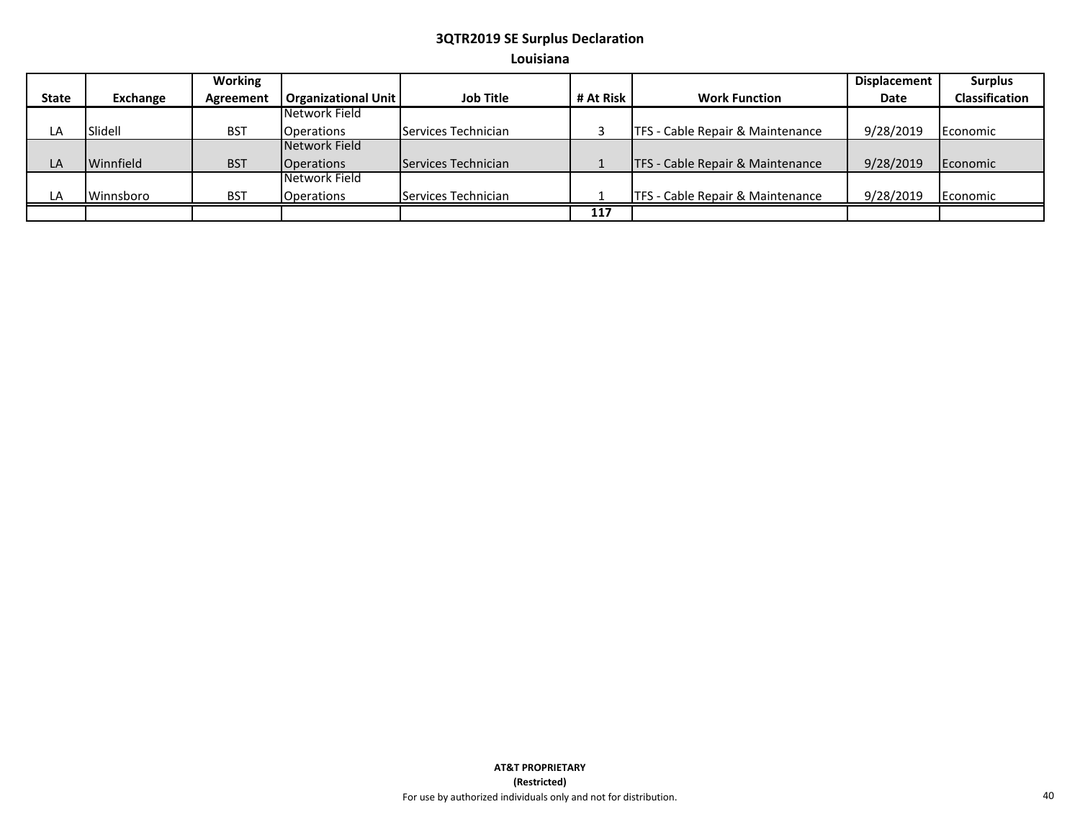|       |           | Working    |                            |                     |           |                                  | <b>Displacement</b> | <b>Surplus</b>        |
|-------|-----------|------------|----------------------------|---------------------|-----------|----------------------------------|---------------------|-----------------------|
| State | Exchange  | Agreement  | <b>Organizational Unit</b> | <b>Job Title</b>    | # At Risk | <b>Work Function</b>             | <b>Date</b>         | <b>Classification</b> |
|       |           |            | Network Field              |                     |           |                                  |                     |                       |
| LA    | Slidell   | <b>BST</b> | <b>Operations</b>          | Services Technician |           | TFS - Cable Repair & Maintenance | 9/28/2019           | Economic              |
|       |           |            | Network Field              |                     |           |                                  |                     |                       |
| LA    | Winnfield | <b>BST</b> | <b>Operations</b>          | Services Technician |           | TFS - Cable Repair & Maintenance | 9/28/2019           | Economic              |
|       |           |            | Network Field              |                     |           |                                  |                     |                       |
| LA    | Winnsboro | <b>BST</b> | <b>Operations</b>          | Services Technician |           | TFS - Cable Repair & Maintenance | 9/28/2019           | Economic              |
|       |           |            |                            |                     | 117       |                                  |                     |                       |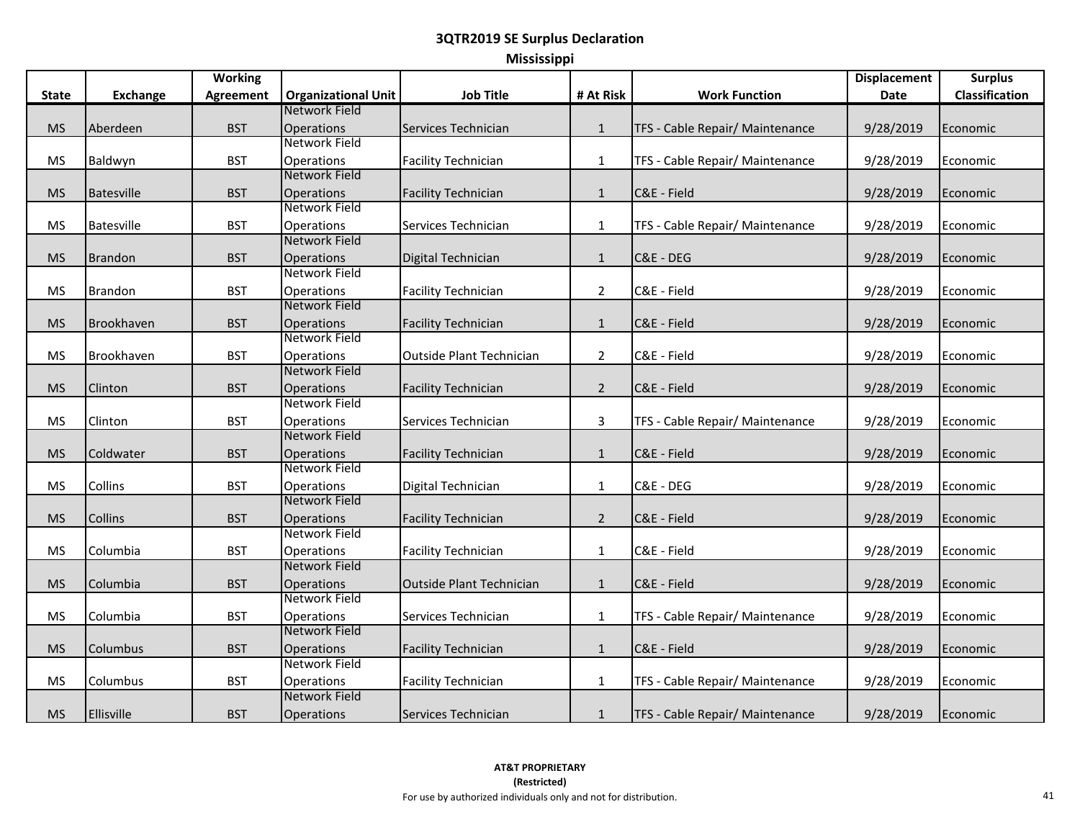| Mississippi |  |  |
|-------------|--|--|
|             |  |  |
|             |  |  |

|              |                   | <b>Working</b> |                                    |                                 |                |                                 | <b>Displacement</b> | <b>Surplus</b> |
|--------------|-------------------|----------------|------------------------------------|---------------------------------|----------------|---------------------------------|---------------------|----------------|
| <b>State</b> | <b>Exchange</b>   | Agreement      | <b>Organizational Unit</b>         | <b>Job Title</b>                | # At Risk      | <b>Work Function</b>            | Date                | Classification |
|              |                   |                | Network Field                      |                                 |                |                                 |                     |                |
| <b>MS</b>    | Aberdeen          | <b>BST</b>     | Operations                         | Services Technician             | $\mathbf{1}$   | TFS - Cable Repair/ Maintenance | 9/28/2019           | Economic       |
|              |                   |                | Network Field                      |                                 |                |                                 |                     |                |
| <b>MS</b>    | Baldwyn           | <b>BST</b>     | Operations                         | <b>Facility Technician</b>      | $\mathbf{1}$   | TFS - Cable Repair/ Maintenance | 9/28/2019           | Economic       |
|              |                   |                | <b>Network Field</b>               |                                 |                |                                 |                     |                |
| <b>MS</b>    | <b>Batesville</b> | <b>BST</b>     | Operations                         | <b>Facility Technician</b>      | $\mathbf{1}$   | C&E - Field                     | 9/28/2019           | Economic       |
|              |                   |                | Network Field                      |                                 |                |                                 |                     |                |
| <b>MS</b>    | <b>Batesville</b> | <b>BST</b>     | Operations                         | Services Technician             | $\mathbf{1}$   | TFS - Cable Repair/ Maintenance | 9/28/2019           | Economic       |
|              |                   |                | Network Field                      |                                 |                |                                 |                     |                |
| <b>MS</b>    | Brandon           | <b>BST</b>     | Operations                         | Digital Technician              | $\mathbf{1}$   | C&E - DEG                       | 9/28/2019           | Economic       |
|              |                   |                | Network Field                      |                                 |                |                                 |                     |                |
| <b>MS</b>    | <b>Brandon</b>    | <b>BST</b>     | Operations                         | <b>Facility Technician</b>      | $\overline{2}$ | C&E - Field                     | 9/28/2019           | Economic       |
|              |                   |                | <b>Network Field</b>               |                                 |                |                                 |                     |                |
| <b>MS</b>    | Brookhaven        | <b>BST</b>     | Operations                         | <b>Facility Technician</b>      | $\mathbf{1}$   | C&E - Field                     | 9/28/2019           | Economic       |
|              |                   |                | Network Field                      |                                 |                |                                 |                     |                |
| <b>MS</b>    | Brookhaven        | <b>BST</b>     | Operations                         | <b>Outside Plant Technician</b> | $\overline{2}$ | C&E - Field                     | 9/28/2019           | Economic       |
|              |                   |                | Network Field                      |                                 |                |                                 |                     |                |
| <b>MS</b>    | Clinton           | <b>BST</b>     | Operations<br>Network Field        | <b>Facility Technician</b>      | $\overline{2}$ | C&E - Field                     | 9/28/2019           | Economic       |
|              |                   |                |                                    |                                 |                |                                 |                     |                |
| <b>MS</b>    | Clinton           | <b>BST</b>     | Operations<br><b>Network Field</b> | Services Technician             | $\overline{3}$ | TFS - Cable Repair/ Maintenance | 9/28/2019           | Economic       |
|              |                   |                |                                    |                                 |                |                                 |                     |                |
| <b>MS</b>    | Coldwater         | <b>BST</b>     | Operations<br>Network Field        | <b>Facility Technician</b>      | $\mathbf{1}$   | C&E - Field                     | 9/28/2019           | Economic       |
| <b>MS</b>    | Collins           | <b>BST</b>     | Operations                         | Digital Technician              | $\mathbf{1}$   | C&E - DEG                       | 9/28/2019           | Economic       |
|              |                   |                | Network Field                      |                                 |                |                                 |                     |                |
| <b>MS</b>    | Collins           | <b>BST</b>     | Operations                         | <b>Facility Technician</b>      | $\overline{2}$ | C&E - Field                     | 9/28/2019           | Economic       |
|              |                   |                | Network Field                      |                                 |                |                                 |                     |                |
| <b>MS</b>    | Columbia          | <b>BST</b>     | Operations                         | <b>Facility Technician</b>      | $\mathbf{1}$   | C&E - Field                     | 9/28/2019           | Economic       |
|              |                   |                | Network Field                      |                                 |                |                                 |                     |                |
| <b>MS</b>    | Columbia          | <b>BST</b>     | Operations                         | <b>Outside Plant Technician</b> | $\mathbf{1}$   | C&E - Field                     | 9/28/2019           | Economic       |
|              |                   |                | Network Field                      |                                 |                |                                 |                     |                |
| <b>MS</b>    | Columbia          | <b>BST</b>     | Operations                         | Services Technician             | $\mathbf{1}$   | TFS - Cable Repair/ Maintenance | 9/28/2019           | Economic       |
|              |                   |                | Network Field                      |                                 |                |                                 |                     |                |
| <b>MS</b>    | Columbus          | <b>BST</b>     | Operations                         | <b>Facility Technician</b>      | $\mathbf{1}$   | C&E - Field                     | 9/28/2019           | Economic       |
|              |                   |                | Network Field                      |                                 |                |                                 |                     |                |
| <b>MS</b>    | Columbus          | <b>BST</b>     | Operations                         | <b>Facility Technician</b>      | $\mathbf{1}$   | TFS - Cable Repair/ Maintenance | 9/28/2019           | Economic       |
|              |                   |                | Network Field                      |                                 |                |                                 |                     |                |
| <b>MS</b>    | Ellisville        | <b>BST</b>     | Operations                         | Services Technician             | $\mathbf{1}$   | TFS - Cable Repair/ Maintenance | 9/28/2019           | Economic       |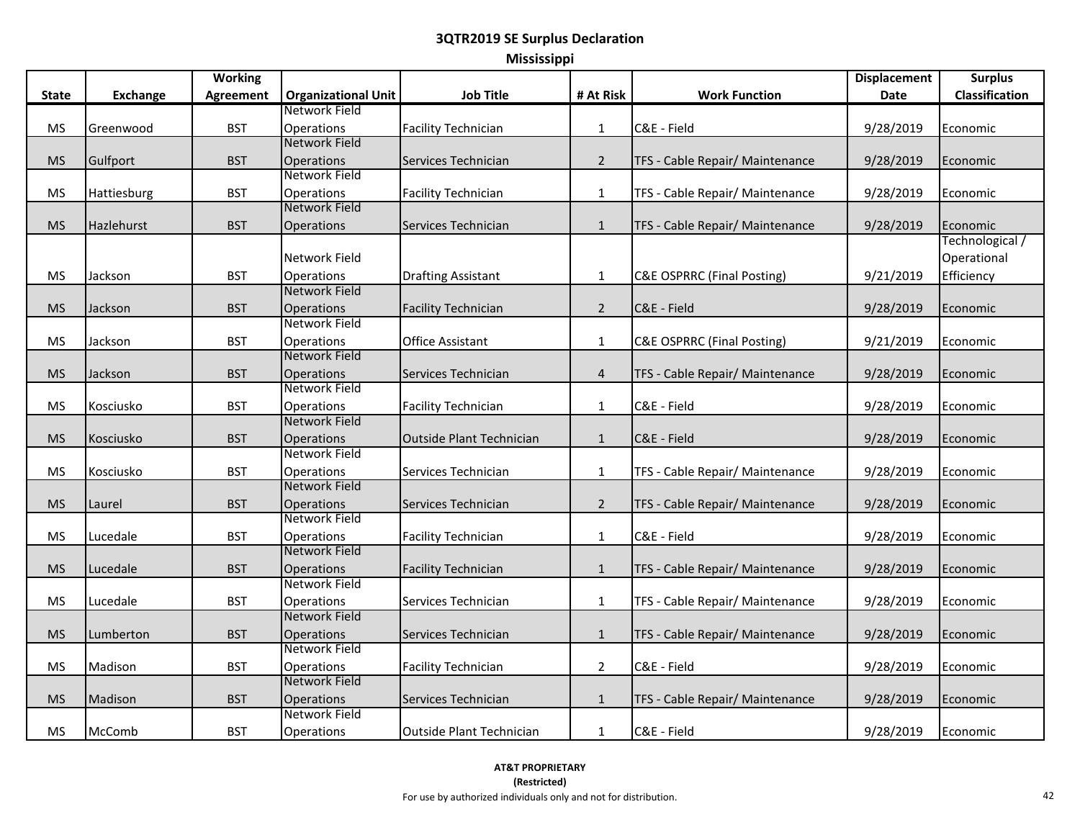| <b>Mississippi</b> |  |
|--------------------|--|
|--------------------|--|

|              |                 | <b>Working</b>   |                                    |                                 |                |                                       | <b>Displacement</b> | <b>Surplus</b>  |
|--------------|-----------------|------------------|------------------------------------|---------------------------------|----------------|---------------------------------------|---------------------|-----------------|
| <b>State</b> | <b>Exchange</b> | <b>Agreement</b> | <b>Organizational Unit</b>         | <b>Job Title</b>                | # At Risk      | <b>Work Function</b>                  | <b>Date</b>         | Classification  |
|              |                 |                  | Network Field                      |                                 |                |                                       |                     |                 |
| <b>MS</b>    | Greenwood       | <b>BST</b>       | <b>Operations</b>                  | <b>Facility Technician</b>      | $\mathbf 1$    | C&E - Field                           | 9/28/2019           | Economic        |
|              |                 |                  | Network Field                      |                                 |                |                                       |                     |                 |
| <b>MS</b>    | Gulfport        | <b>BST</b>       | <b>Operations</b>                  | Services Technician             | $\overline{2}$ | TFS - Cable Repair/ Maintenance       | 9/28/2019           | Economic        |
|              |                 |                  | Network Field                      |                                 |                |                                       |                     |                 |
| <b>MS</b>    | Hattiesburg     | <b>BST</b>       | Operations                         | <b>Facility Technician</b>      | $\mathbf{1}$   | TFS - Cable Repair/ Maintenance       | 9/28/2019           | Economic        |
|              |                 |                  | Network Field                      |                                 |                |                                       |                     |                 |
| <b>MS</b>    | Hazlehurst      | <b>BST</b>       | Operations                         | Services Technician             | $\mathbf{1}$   | TFS - Cable Repair/ Maintenance       | 9/28/2019           | Economic        |
|              |                 |                  |                                    |                                 |                |                                       |                     | Technological / |
|              |                 |                  | Network Field                      |                                 |                |                                       |                     | Operational     |
| <b>MS</b>    | Jackson         | <b>BST</b>       | Operations                         | <b>Drafting Assistant</b>       | $\mathbf 1$    | <b>C&amp;E OSPRRC (Final Posting)</b> | 9/21/2019           | Efficiency      |
|              |                 |                  | Network Field                      |                                 |                |                                       |                     |                 |
| <b>MS</b>    | Jackson         | <b>BST</b>       | Operations                         | <b>Facility Technician</b>      | $\overline{2}$ | C&E - Field                           | 9/28/2019           | Economic        |
|              |                 |                  | Network Field                      |                                 |                |                                       |                     |                 |
| <b>MS</b>    | Jackson         | <b>BST</b>       | Operations                         | <b>Office Assistant</b>         | $\mathbf{1}$   | <b>C&amp;E OSPRRC (Final Posting)</b> | 9/21/2019           | Economic        |
|              |                 |                  | Network Field                      |                                 |                |                                       |                     |                 |
| <b>MS</b>    | Jackson         | <b>BST</b>       | Operations                         | Services Technician             | $\overline{4}$ | TFS - Cable Repair/ Maintenance       | 9/28/2019           | Economic        |
|              |                 |                  | Network Field                      |                                 |                |                                       |                     |                 |
| <b>MS</b>    | Kosciusko       | <b>BST</b>       | <b>Operations</b><br>Network Field | <b>Facility Technician</b>      | $\mathbf{1}$   | C&E - Field                           | 9/28/2019           | Economic        |
|              |                 |                  |                                    |                                 |                |                                       |                     |                 |
| <b>MS</b>    | Kosciusko       | <b>BST</b>       | <b>Operations</b><br>Network Field | <b>Outside Plant Technician</b> | $\mathbf{1}$   | C&E - Field                           | 9/28/2019           | Economic        |
| <b>MS</b>    | Kosciusko       | <b>BST</b>       |                                    |                                 |                |                                       |                     |                 |
|              |                 |                  | Operations<br>Network Field        | Services Technician             | $\mathbf{1}$   | TFS - Cable Repair/ Maintenance       | 9/28/2019           | Economic        |
| <b>MS</b>    | Laurel          | <b>BST</b>       | Operations                         | Services Technician             | $\overline{2}$ | TFS - Cable Repair/ Maintenance       | 9/28/2019           | Economic        |
|              |                 |                  | Network Field                      |                                 |                |                                       |                     |                 |
| <b>MS</b>    | Lucedale        | <b>BST</b>       | Operations                         | <b>Facility Technician</b>      | $\mathbf{1}$   | C&E - Field                           | 9/28/2019           | Economic        |
|              |                 |                  | Network Field                      |                                 |                |                                       |                     |                 |
| <b>MS</b>    | Lucedale        | <b>BST</b>       | <b>Operations</b>                  | <b>Facility Technician</b>      | $\mathbf{1}$   | TFS - Cable Repair/ Maintenance       | 9/28/2019           | Economic        |
|              |                 |                  | Network Field                      |                                 |                |                                       |                     |                 |
| <b>MS</b>    | Lucedale        | <b>BST</b>       | <b>Operations</b>                  | Services Technician             | $\mathbf{1}$   | TFS - Cable Repair/ Maintenance       | 9/28/2019           | Economic        |
|              |                 |                  | Network Field                      |                                 |                |                                       |                     |                 |
| <b>MS</b>    | Lumberton       | <b>BST</b>       | Operations                         | Services Technician             | $\mathbf{1}$   | TFS - Cable Repair/ Maintenance       | 9/28/2019           | Economic        |
|              |                 |                  | Network Field                      |                                 |                |                                       |                     |                 |
| <b>MS</b>    | Madison         | <b>BST</b>       | Operations                         | <b>Facility Technician</b>      | $\overline{2}$ | C&E - Field                           | 9/28/2019           | Economic        |
|              |                 |                  | <b>Network Field</b>               |                                 |                |                                       |                     |                 |
| <b>MS</b>    | Madison         | <b>BST</b>       | Operations                         | Services Technician             | $\mathbf{1}$   | TFS - Cable Repair/ Maintenance       | 9/28/2019           | Economic        |
|              |                 |                  | Network Field                      |                                 |                |                                       |                     |                 |
| <b>MS</b>    | McComb          | <b>BST</b>       | Operations                         | Outside Plant Technician        | $\mathbf{1}$   | C&E - Field                           | 9/28/2019           | Economic        |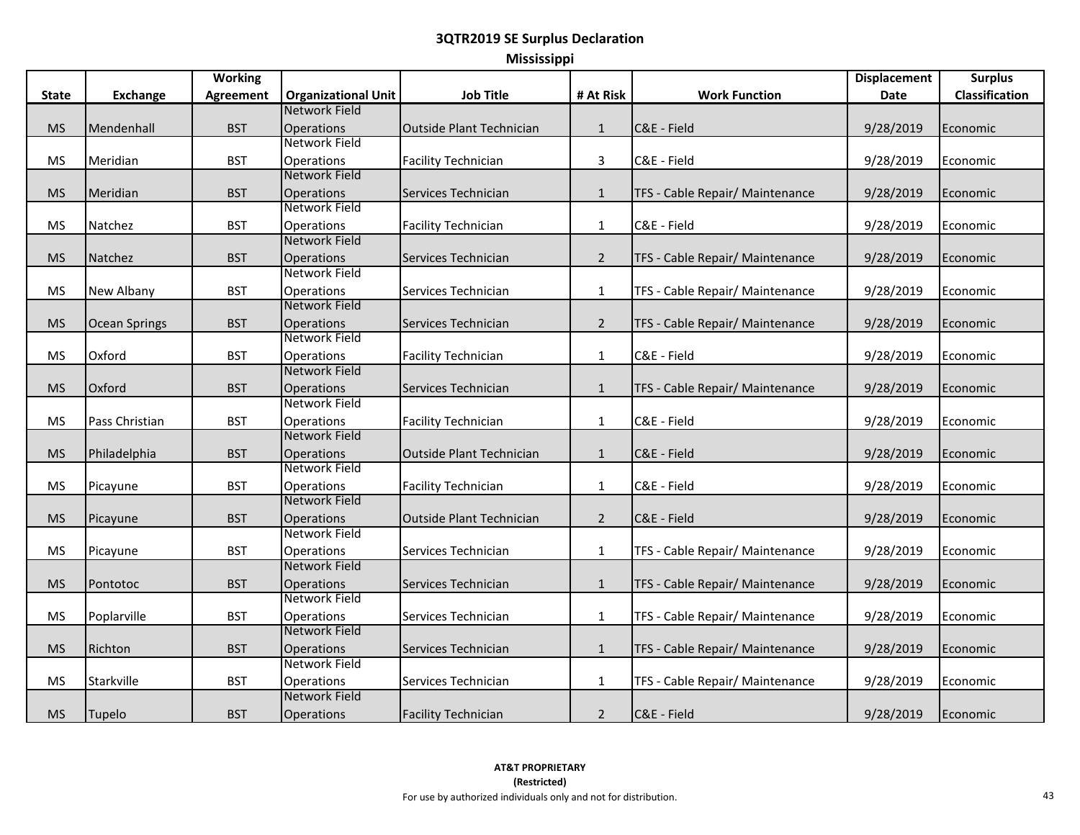|  | <b>Mississippi</b> |  |
|--|--------------------|--|
|  |                    |  |
|  |                    |  |

|              |                      | <b>Working</b>   |                            |                                 |                |                                 | <b>Displacement</b> | <b>Surplus</b>   |
|--------------|----------------------|------------------|----------------------------|---------------------------------|----------------|---------------------------------|---------------------|------------------|
| <b>State</b> | <b>Exchange</b>      | <b>Agreement</b> | <b>Organizational Unit</b> | <b>Job Title</b>                | # At Risk      | <b>Work Function</b>            | <b>Date</b>         | Classification   |
|              |                      |                  | Network Field              |                                 |                |                                 |                     |                  |
| <b>MS</b>    | Mendenhall           | <b>BST</b>       | <b>Operations</b>          | <b>Outside Plant Technician</b> | $\mathbf{1}$   | C&E - Field                     | 9/28/2019           | Economic         |
|              |                      |                  | Network Field              |                                 |                |                                 |                     |                  |
| <b>MS</b>    | Meridian             | <b>BST</b>       | <b>Operations</b>          | <b>Facility Technician</b>      | $\mathbf{3}$   | C&E - Field                     | 9/28/2019           | Economic         |
|              |                      |                  | Network Field              |                                 |                |                                 |                     |                  |
| <b>MS</b>    | Meridian             | <b>BST</b>       | <b>Operations</b>          | Services Technician             | $\mathbf{1}$   | TFS - Cable Repair/ Maintenance | 9/28/2019           | Economic         |
|              |                      |                  | Network Field              |                                 |                |                                 |                     |                  |
| MS           | Natchez              | <b>BST</b>       | <b>Operations</b>          | <b>Facility Technician</b>      | 1              | C&E - Field                     | 9/28/2019           | Economic         |
|              |                      |                  | Network Field              |                                 |                |                                 |                     |                  |
| <b>MS</b>    | Natchez              | <b>BST</b>       | <b>Operations</b>          | Services Technician             | $\overline{2}$ | TFS - Cable Repair/ Maintenance | 9/28/2019           | Economic         |
|              |                      |                  | Network Field              |                                 |                |                                 |                     |                  |
| MS           | <b>New Albany</b>    | <b>BST</b>       | <b>Operations</b>          | Services Technician             | 1              | TFS - Cable Repair/ Maintenance | 9/28/2019           | Economic         |
|              |                      |                  | Network Field              |                                 |                |                                 |                     |                  |
| <b>MS</b>    | <b>Ocean Springs</b> | <b>BST</b>       | <b>Operations</b>          | Services Technician             | $\overline{2}$ | TFS - Cable Repair/ Maintenance | 9/28/2019           | Economic         |
|              |                      |                  | Network Field              |                                 |                |                                 |                     |                  |
| <b>MS</b>    | Oxford               | <b>BST</b>       | <b>Operations</b>          | <b>Facility Technician</b>      | $\mathbf{1}$   | C&E - Field                     | 9/28/2019           | Economic         |
|              |                      |                  | Network Field              |                                 |                |                                 |                     |                  |
| <b>MS</b>    | Oxford               | <b>BST</b>       | Operations                 | Services Technician             | $\mathbf{1}$   | TFS - Cable Repair/ Maintenance | 9/28/2019           | Economic         |
|              |                      |                  | Network Field              |                                 |                |                                 |                     |                  |
| <b>MS</b>    | Pass Christian       | <b>BST</b>       | Operations                 | <b>Facility Technician</b>      | $\mathbf{1}$   | C&E - Field                     | 9/28/2019           | Economic         |
|              |                      |                  | Network Field              |                                 |                |                                 |                     |                  |
| <b>MS</b>    | Philadelphia         | <b>BST</b>       | Operations                 | <b>Outside Plant Technician</b> | $\mathbf{1}$   | C&E - Field                     | 9/28/2019           | Economic         |
|              |                      |                  | Network Field              |                                 |                |                                 |                     |                  |
| <b>MS</b>    | Picayune             | <b>BST</b>       | Operations                 | <b>Facility Technician</b>      | $\mathbf{1}$   | C&E - Field                     | 9/28/2019           | Economic         |
|              |                      |                  | Network Field              |                                 |                |                                 |                     |                  |
| <b>MS</b>    | Picayune             | <b>BST</b>       | Operations                 | <b>Outside Plant Technician</b> | $\overline{2}$ | C&E - Field                     | 9/28/2019           | Economic         |
|              |                      |                  | Network Field              |                                 |                |                                 |                     |                  |
| <b>MS</b>    | Picayune             | <b>BST</b>       | <b>Operations</b>          | Services Technician             | $\mathbf{1}$   | TFS - Cable Repair/ Maintenance | 9/28/2019           | Economic         |
|              |                      |                  | Network Field              |                                 |                |                                 |                     |                  |
| <b>MS</b>    | Pontotoc             | <b>BST</b>       | <b>Operations</b>          | Services Technician             | $\mathbf{1}$   | TFS - Cable Repair/ Maintenance | 9/28/2019           | Economic         |
|              |                      |                  | Network Field              |                                 |                |                                 |                     |                  |
| <b>MS</b>    | Poplarville          | <b>BST</b>       | <b>Operations</b>          | Services Technician             | $\mathbf{1}$   | TFS - Cable Repair/ Maintenance | 9/28/2019           | Economic         |
|              |                      |                  | Network Field              |                                 |                |                                 |                     |                  |
| <b>MS</b>    | Richton              | <b>BST</b>       | Operations                 | Services Technician             | $\mathbf{1}$   | TFS - Cable Repair/ Maintenance | 9/28/2019           | Economic         |
|              |                      |                  | Network Field              |                                 |                |                                 |                     |                  |
| <b>MS</b>    | Starkville           | <b>BST</b>       | <b>Operations</b>          | Services Technician             | $\mathbf{1}$   | TFS - Cable Repair/ Maintenance | 9/28/2019           | Economic         |
|              |                      |                  | Network Field              |                                 |                |                                 |                     |                  |
| <b>MS</b>    | Tupelo               | <b>BST</b>       | Operations                 | <b>Facility Technician</b>      | $\overline{2}$ | C&E - Field                     | 9/28/2019           | <b>IEconomic</b> |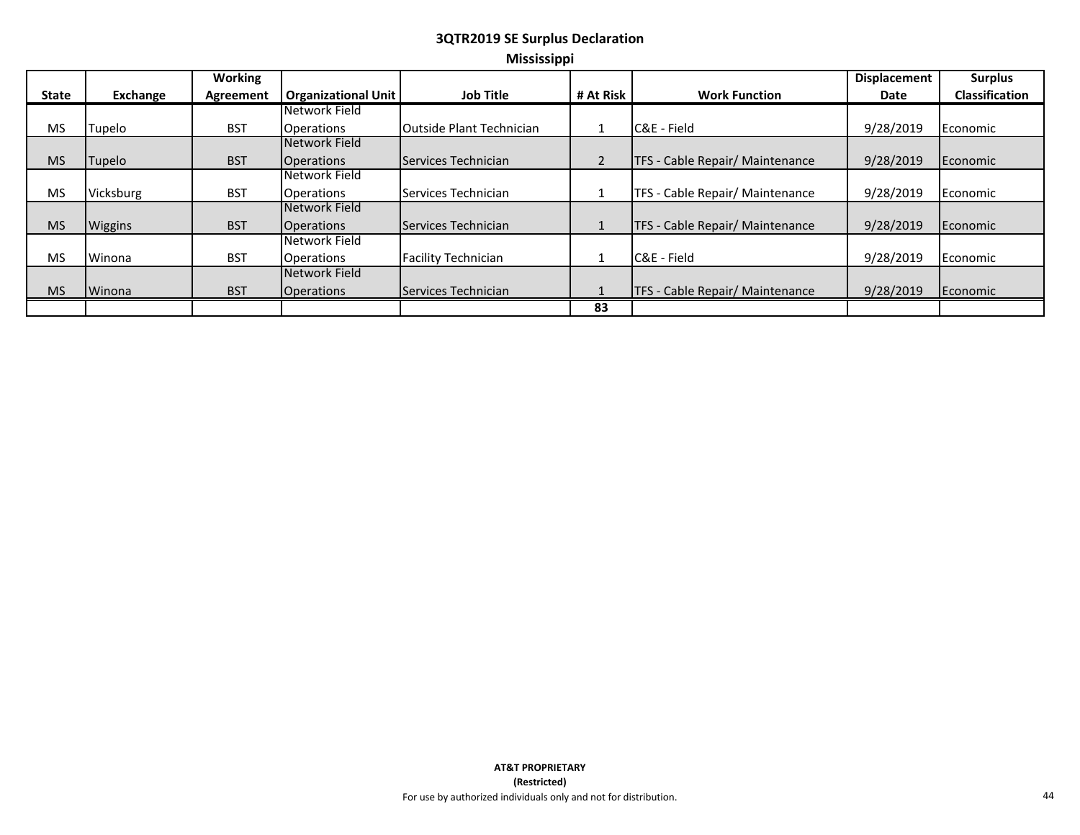#### **3QTR2019 SE Surplus Declaration Mississippi**

|              |                 | Working    |                     |                            |           |                                        | <b>Displacement</b> | <b>Surplus</b>        |
|--------------|-----------------|------------|---------------------|----------------------------|-----------|----------------------------------------|---------------------|-----------------------|
| <b>State</b> | <b>Exchange</b> | Agreement  | Organizational Unit | <b>Job Title</b>           | # At Risk | <b>Work Function</b>                   | Date                | <b>Classification</b> |
|              |                 |            | Network Field       |                            |           |                                        |                     |                       |
| <b>MS</b>    | Tupelo          | <b>BST</b> | <b>Operations</b>   | Outside Plant Technician   |           | C&E - Field                            | 9/28/2019           | Economic              |
|              |                 |            | Network Field       |                            |           |                                        |                     |                       |
| <b>MS</b>    | <b>Tupelo</b>   | <b>BST</b> | <b>Operations</b>   | <b>Services Technician</b> |           | TFS - Cable Repair/ Maintenance        | 9/28/2019           | Economic              |
|              |                 |            | Network Field       |                            |           |                                        |                     |                       |
| <b>MS</b>    | Vicksburg       | <b>BST</b> | <b>Operations</b>   | Services Technician        |           | TFS - Cable Repair/ Maintenance        | 9/28/2019           | Economic              |
|              |                 |            | Network Field       |                            |           |                                        |                     |                       |
| <b>MS</b>    | Wiggins         | <b>BST</b> | <b>Operations</b>   | Services Technician        |           | TFS - Cable Repair/ Maintenance        | 9/28/2019           | Economic              |
|              |                 |            | Network Field       |                            |           |                                        |                     |                       |
| <b>MS</b>    | Winona          | <b>BST</b> | <b>Operations</b>   | <b>Facility Technician</b> |           | C&E - Field                            | 9/28/2019           | Economic              |
|              |                 |            | Network Field       |                            |           |                                        |                     |                       |
| <b>MS</b>    | Winona          | <b>BST</b> | <b>Operations</b>   | Services Technician        |           | <b>TFS</b> - Cable Repair/ Maintenance | 9/28/2019           | Economic              |
|              |                 |            |                     |                            | 83        |                                        |                     |                       |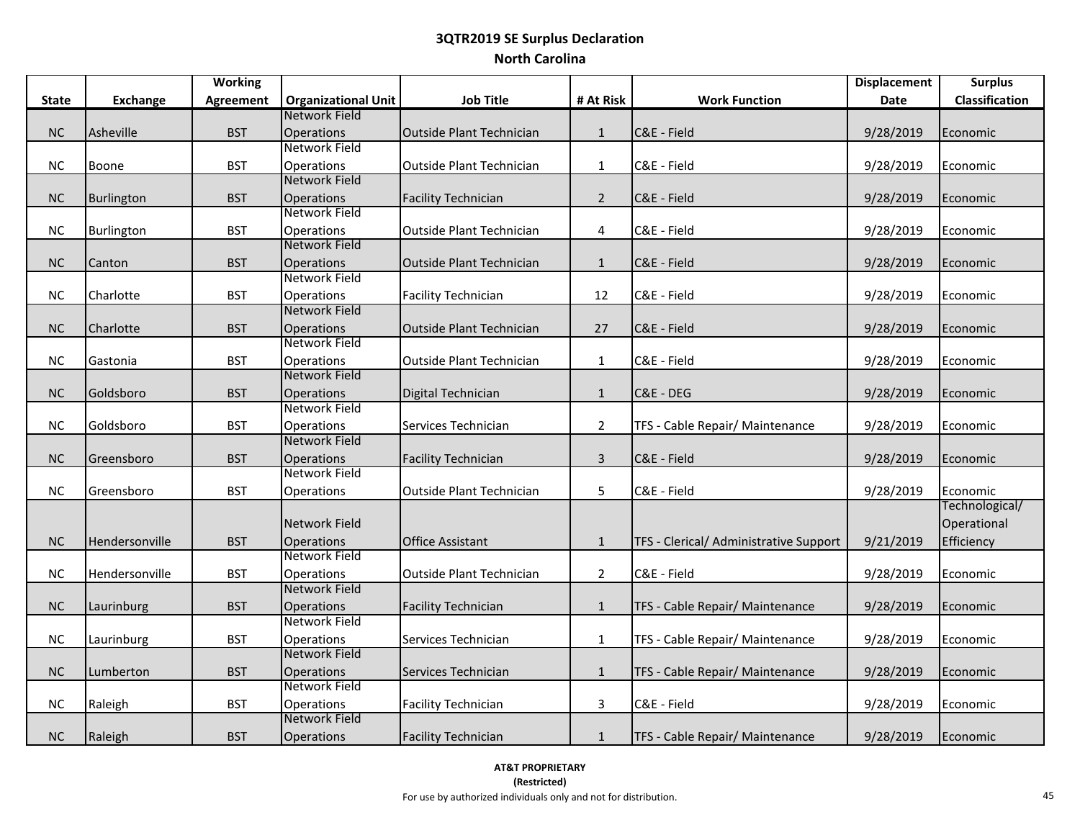# **3QTR2019 SE Surplus Declaration North Carolina**

|              |                 | <b>Working</b>   |                                           |                                 |                |                                        | <b>Displacement</b> | <b>Surplus</b>             |
|--------------|-----------------|------------------|-------------------------------------------|---------------------------------|----------------|----------------------------------------|---------------------|----------------------------|
| <b>State</b> | <b>Exchange</b> | <b>Agreement</b> | <b>Organizational Unit</b>                | <b>Job Title</b>                | # At Risk      | <b>Work Function</b>                   | Date                | <b>Classification</b>      |
|              |                 |                  | Network Field                             |                                 |                |                                        |                     |                            |
| NC           | Asheville       | <b>BST</b>       | Operations                                | <b>Outside Plant Technician</b> | $\mathbf{1}$   | C&E - Field                            | 9/28/2019           | Economic                   |
|              |                 |                  | Network Field                             |                                 |                |                                        |                     |                            |
| <b>NC</b>    | Boone           | <b>BST</b>       | Operations                                | <b>Outside Plant Technician</b> | $\mathbf{1}$   | C&E - Field                            | 9/28/2019           | Economic                   |
|              |                 |                  | Network Field                             |                                 |                |                                        |                     |                            |
| NC           | Burlington      | <b>BST</b>       | <b>Operations</b>                         | <b>Facility Technician</b>      | $\overline{2}$ | C&E - Field                            | 9/28/2019           | Economic                   |
|              |                 |                  | Network Field                             |                                 |                |                                        |                     |                            |
| NC           | Burlington      | <b>BST</b>       | Operations                                | <b>Outside Plant Technician</b> | 4              | C&E - Field                            | 9/28/2019           | Economic                   |
|              |                 |                  | Network Field                             |                                 |                |                                        |                     |                            |
| $\sf NC$     | Canton          | <b>BST</b>       | Operations                                | <b>Outside Plant Technician</b> | $\mathbf{1}$   | C&E - Field                            | 9/28/2019           | Economic                   |
|              |                 |                  | Network Field                             |                                 |                |                                        |                     |                            |
| NC           | Charlotte       | <b>BST</b>       | Operations                                | <b>Facility Technician</b>      | 12             | C&E - Field                            | 9/28/2019           | Economic                   |
|              |                 |                  | Network Field                             |                                 |                |                                        |                     |                            |
| NC           | Charlotte       | <b>BST</b>       | Operations                                | <b>Outside Plant Technician</b> | 27             | C&E - Field                            | 9/28/2019           | Economic                   |
|              |                 |                  | Network Field                             |                                 |                |                                        |                     |                            |
| NC           | Gastonia        | <b>BST</b>       | Operations                                | <b>Outside Plant Technician</b> | $\mathbf{1}$   | C&E - Field                            | 9/28/2019           | Economic                   |
|              |                 |                  | Network Field                             |                                 |                |                                        |                     |                            |
| $NC$         | Goldsboro       | <b>BST</b>       | <b>Operations</b>                         | Digital Technician              | $\mathbf{1}$   | C&E - DEG                              | 9/28/2019           | Economic                   |
|              |                 |                  | <b>Network Field</b>                      |                                 |                |                                        |                     |                            |
| NC           | Goldsboro       | <b>BST</b>       | Operations                                | Services Technician             | $\overline{2}$ | TFS - Cable Repair/ Maintenance        | 9/28/2019           | Economic                   |
|              |                 |                  | Network Field                             |                                 |                |                                        |                     |                            |
| NC           | Greensboro      | <b>BST</b>       | <b>Operations</b><br>Network Field        | <b>Facility Technician</b>      | $\overline{3}$ | C&E - Field                            | 9/28/2019           | Economic                   |
|              |                 |                  |                                           |                                 |                |                                        |                     |                            |
| NC           | Greensboro      | <b>BST</b>       | Operations                                | <b>Outside Plant Technician</b> | 5              | C&E - Field                            | 9/28/2019           | Economic<br>Technological/ |
|              |                 |                  |                                           |                                 |                |                                        |                     |                            |
|              |                 |                  | <b>Network Field</b>                      |                                 |                |                                        |                     | Operational                |
| NC           | Hendersonville  | <b>BST</b>       | <b>Operations</b><br><b>Network Field</b> | <b>Office Assistant</b>         | $\mathbf{1}$   | TFS - Clerical/ Administrative Support | 9/21/2019           | Efficiency                 |
|              |                 |                  |                                           |                                 |                |                                        |                     |                            |
| NC           | Hendersonville  | <b>BST</b>       | Operations<br>Network Field               | <b>Outside Plant Technician</b> | $\overline{2}$ | C&E - Field                            | 9/28/2019           | Economic                   |
|              |                 |                  |                                           |                                 |                |                                        |                     |                            |
| $NC$         | Laurinburg      | <b>BST</b>       | Operations<br><b>Network Field</b>        | <b>Facility Technician</b>      | $\mathbf{1}$   | TFS - Cable Repair/ Maintenance        | 9/28/2019           | Economic                   |
|              |                 |                  |                                           |                                 |                |                                        |                     |                            |
| NC           | Laurinburg      | <b>BST</b>       | Operations<br>Network Field               | Services Technician             | $\mathbf{1}$   | TFS - Cable Repair/ Maintenance        | 9/28/2019           | Economic                   |
| NC           | Lumberton       | <b>BST</b>       | <b>Operations</b>                         | Services Technician             |                | TFS - Cable Repair/ Maintenance        | 9/28/2019           |                            |
|              |                 |                  | <b>Network Field</b>                      |                                 | $\mathbf{1}$   |                                        |                     | Economic                   |
| NC           |                 | <b>BST</b>       | Operations                                |                                 | $\mathbf{3}$   | C&E - Field                            |                     |                            |
|              | Raleigh         |                  | Network Field                             | <b>Facility Technician</b>      |                |                                        | 9/28/2019           | Economic                   |
|              |                 |                  |                                           |                                 |                |                                        |                     |                            |
| NC           | Raleigh         | <b>BST</b>       | <b>Operations</b>                         | <b>Facility Technician</b>      | $\mathbf{1}$   | TFS - Cable Repair/ Maintenance        | 9/28/2019           | Economic                   |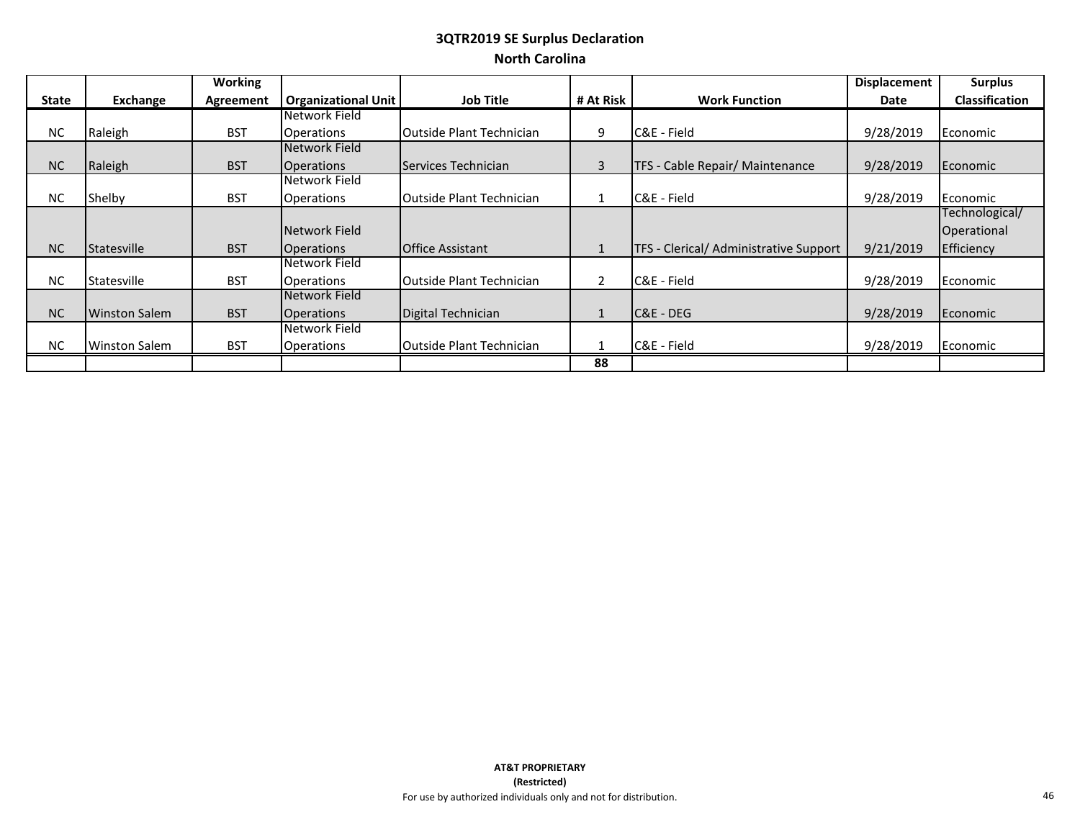# **3QTR2019 SE Surplus Declaration North Carolina**

|              |                      | <b>Working</b> |                            |                                  |                |                                        | <b>Displacement</b> | <b>Surplus</b>        |
|--------------|----------------------|----------------|----------------------------|----------------------------------|----------------|----------------------------------------|---------------------|-----------------------|
| <b>State</b> | Exchange             | Agreement      | <b>Organizational Unit</b> | <b>Job Title</b>                 | # At Risk      | <b>Work Function</b>                   | <b>Date</b>         | <b>Classification</b> |
|              |                      |                | Network Field              |                                  |                |                                        |                     |                       |
| <b>NC</b>    | Raleigh              | <b>BST</b>     | <b>Operations</b>          | <b>Outside Plant Technician</b>  | 9              | C&E - Field                            | 9/28/2019           | Economic              |
|              |                      |                | Network Field              |                                  |                |                                        |                     |                       |
| <b>NC</b>    | Raleigh              | <b>BST</b>     | <b>Operations</b>          | Services Technician              | $\overline{3}$ | TFS - Cable Repair/ Maintenance        | 9/28/2019           | Economic              |
|              |                      |                | Network Field              |                                  |                |                                        |                     |                       |
| <b>NC</b>    | Shelby               | <b>BST</b>     | <b>Operations</b>          | <b>Outside Plant Technician</b>  | 1              | C&E - Field                            | 9/28/2019           | Economic              |
|              |                      |                |                            |                                  |                |                                        |                     | Technological/        |
|              |                      |                | Network Field              |                                  |                |                                        |                     | Operational           |
| <b>NC</b>    | <b>Statesville</b>   | <b>BST</b>     | <b>Operations</b>          | <b>IOffice Assistant</b>         | $\mathbf{1}$   | TFS - Clerical/ Administrative Support | 9/21/2019           | Efficiency            |
|              |                      |                | Network Field              |                                  |                |                                        |                     |                       |
| <b>NC</b>    | Statesville          | <b>BST</b>     | <b>Operations</b>          | <b>IOutside Plant Technician</b> | $\overline{2}$ | C&E - Field                            | 9/28/2019           | Economic              |
|              |                      |                | Network Field              |                                  |                |                                        |                     |                       |
| <b>NC</b>    | <b>Winston Salem</b> | <b>BST</b>     | <b>Operations</b>          | Digital Technician               | $\mathbf{1}$   | C&E - DEG                              | 9/28/2019           | Economic              |
|              |                      |                | Network Field              |                                  |                |                                        |                     |                       |
| <b>NC</b>    | <b>Winston Salem</b> | <b>BST</b>     | <b>Operations</b>          | <b>Outside Plant Technician</b>  |                | C&E - Field                            | 9/28/2019           | Economic              |
|              |                      |                |                            |                                  | 88             |                                        |                     |                       |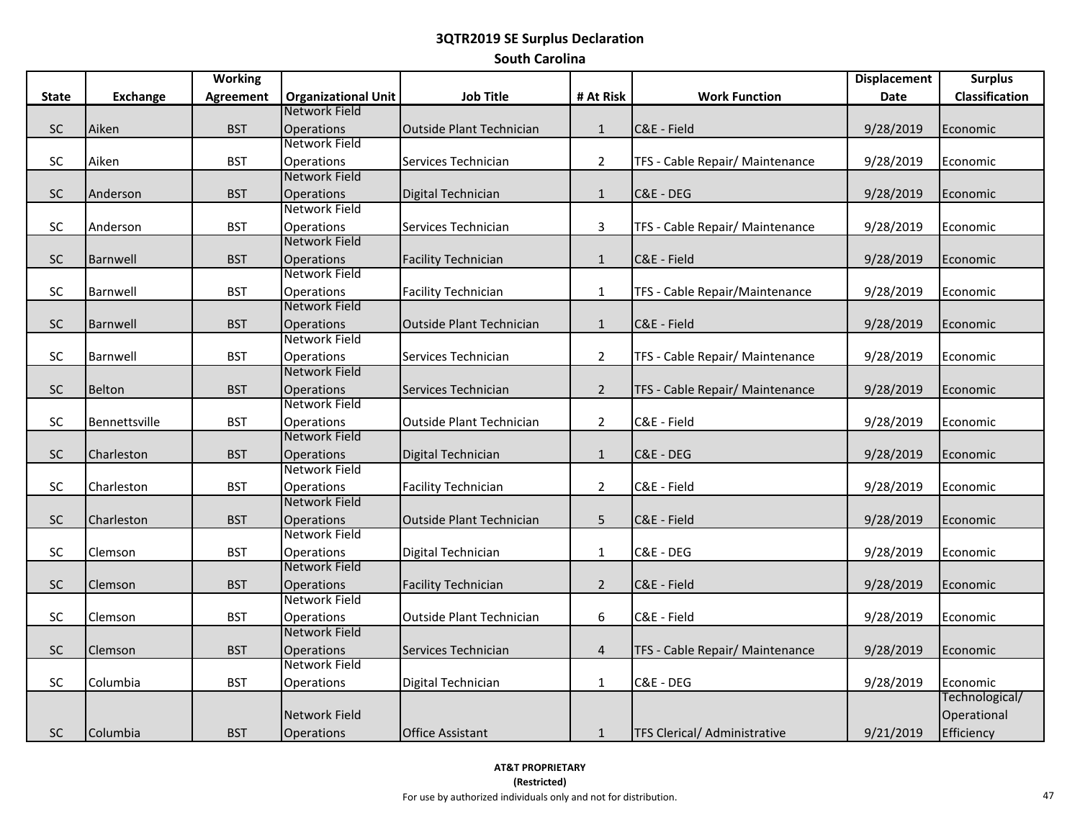# **3QTR2019 SE Surplus Declaration South Carolina**

|              |                      | <b>Working</b>   |                                           |                                 |                |                                     | <b>Displacement</b> | <b>Surplus</b>        |
|--------------|----------------------|------------------|-------------------------------------------|---------------------------------|----------------|-------------------------------------|---------------------|-----------------------|
| <b>State</b> | <b>Exchange</b>      | <b>Agreement</b> | <b>Organizational Unit</b>                | <b>Job Title</b>                | # At Risk      | <b>Work Function</b>                | Date                | <b>Classification</b> |
|              |                      |                  | Network Field                             |                                 |                |                                     |                     |                       |
| $\sf SC$     | Aiken                | <b>BST</b>       | <b>Operations</b>                         | <b>Outside Plant Technician</b> | $\mathbf{1}$   | C&E - Field                         | 9/28/2019           | Economic              |
|              |                      |                  | Network Field                             |                                 |                |                                     |                     |                       |
| $\sf SC$     | Aiken                | <b>BST</b>       | Operations                                | Services Technician             | $\overline{2}$ | TFS - Cable Repair/ Maintenance     | 9/28/2019           | Economic              |
|              |                      |                  | Network Field                             |                                 |                |                                     |                     |                       |
| <b>SC</b>    | Anderson             | <b>BST</b>       | <b>Operations</b>                         | Digital Technician              | $\mathbf{1}$   | C&E - DEG                           | 9/28/2019           | Economic              |
|              |                      |                  | Network Field                             |                                 |                |                                     |                     |                       |
| <b>SC</b>    | Anderson             | <b>BST</b>       | Operations                                | Services Technician             | 3              | TFS - Cable Repair/ Maintenance     | 9/28/2019           | Economic              |
|              |                      |                  | Network Field                             |                                 |                |                                     |                     |                       |
| ${\sf SC}$   | Barnwell             | <b>BST</b>       | <b>Operations</b>                         | <b>Facility Technician</b>      | $\mathbf 1$    | C&E - Field                         | 9/28/2019           | Economic              |
|              |                      |                  | Network Field                             |                                 |                |                                     |                     |                       |
| SC           | Barnwell             | <b>BST</b>       | Operations                                | <b>Facility Technician</b>      | $\mathbf{1}$   | TFS - Cable Repair/Maintenance      | 9/28/2019           | Economic              |
|              |                      |                  | Network Field                             |                                 |                |                                     |                     |                       |
| SC           | Barnwell             | <b>BST</b>       | <b>Operations</b>                         | <b>Outside Plant Technician</b> | $\mathbf{1}$   | C&E - Field                         | 9/28/2019           | Economic              |
|              |                      |                  | Network Field                             |                                 |                |                                     |                     |                       |
| <b>SC</b>    | Barnwell             | <b>BST</b>       | <b>Operations</b><br><b>Network Field</b> | Services Technician             | $\overline{2}$ | TFS - Cable Repair/ Maintenance     | 9/28/2019           | Economic              |
|              |                      |                  |                                           |                                 |                |                                     |                     |                       |
| SC           | Belton               | <b>BST</b>       | <b>Operations</b><br>Network Field        | Services Technician             | $\overline{2}$ | TFS - Cable Repair/ Maintenance     | 9/28/2019           | Economic              |
| <b>SC</b>    | <b>Bennettsville</b> | <b>BST</b>       | <b>Operations</b>                         | <b>Outside Plant Technician</b> | $\overline{2}$ | C&E - Field                         |                     | Economic              |
|              |                      |                  | Network Field                             |                                 |                |                                     | 9/28/2019           |                       |
| <b>SC</b>    | Charleston           | <b>BST</b>       | <b>Operations</b>                         | Digital Technician              | $\mathbf{1}$   | C&E - DEG                           | 9/28/2019           | Economic              |
|              |                      |                  | Network Field                             |                                 |                |                                     |                     |                       |
| <b>SC</b>    | Charleston           | <b>BST</b>       | Operations                                | <b>Facility Technician</b>      | $\overline{2}$ | C&E - Field                         | 9/28/2019           | Economic              |
|              |                      |                  | Network Field                             |                                 |                |                                     |                     |                       |
| SC           | Charleston           | <b>BST</b>       | <b>Operations</b>                         | <b>Outside Plant Technician</b> | 5              | C&E - Field                         | 9/28/2019           | Economic              |
|              |                      |                  | Network Field                             |                                 |                |                                     |                     |                       |
| <b>SC</b>    | Clemson              | <b>BST</b>       | Operations                                | Digital Technician              | $\mathbf{1}$   | C&E - DEG                           | 9/28/2019           | Economic              |
|              |                      |                  | Network Field                             |                                 |                |                                     |                     |                       |
| ${\sf SC}$   | Clemson              | <b>BST</b>       | <b>Operations</b>                         | <b>Facility Technician</b>      | $\overline{2}$ | C&E - Field                         | 9/28/2019           | Economic              |
|              |                      |                  | Network Field                             |                                 |                |                                     |                     |                       |
| SC           | Clemson              | <b>BST</b>       | Operations                                | <b>Outside Plant Technician</b> | 6              | C&E - Field                         | 9/28/2019           | Economic              |
|              |                      |                  | Network Field                             |                                 |                |                                     |                     |                       |
| SC           | Clemson              | <b>BST</b>       | <b>Operations</b>                         | Services Technician             | $\overline{4}$ | TFS - Cable Repair/ Maintenance     | 9/28/2019           | Economic              |
|              |                      |                  | Network Field                             |                                 |                |                                     |                     |                       |
| SC           | Columbia             | <b>BST</b>       | Operations                                | Digital Technician              | $\mathbf{1}$   | C&E - DEG                           | 9/28/2019           | Economic              |
|              |                      |                  |                                           |                                 |                |                                     |                     | Technological/        |
|              |                      |                  | Network Field                             |                                 |                |                                     |                     | Operational           |
| <b>SC</b>    | Columbia             | <b>BST</b>       | <b>Operations</b>                         | <b>Office Assistant</b>         | $\mathbf{1}$   | <b>TFS Clerical/ Administrative</b> | 9/21/2019           | Efficiency            |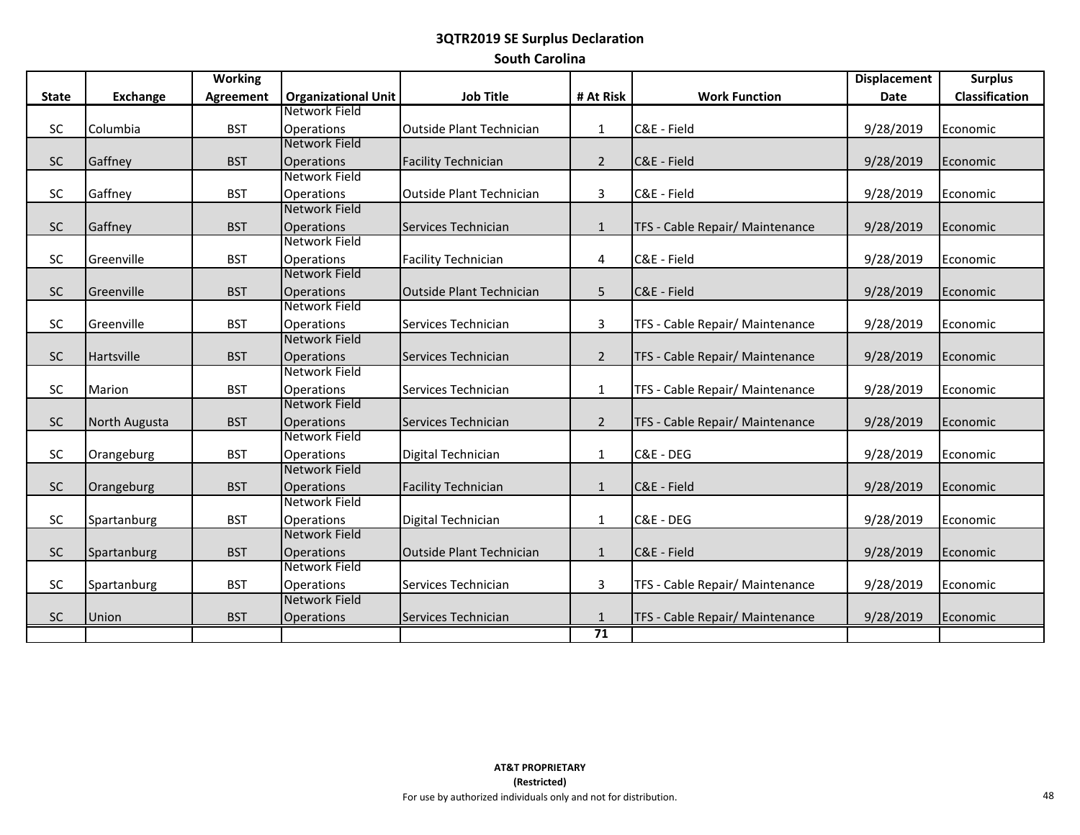# **3QTR2019 SE Surplus Declaration South Carolina**

|              |               | <b>Working</b>   |                                    |                                 |                |                                 | <b>Displacement</b> | <b>Surplus</b>        |
|--------------|---------------|------------------|------------------------------------|---------------------------------|----------------|---------------------------------|---------------------|-----------------------|
| <b>State</b> | Exchange      | <b>Agreement</b> | <b>Organizational Unit</b>         | <b>Job Title</b>                | # At Risk      | <b>Work Function</b>            | <b>Date</b>         | <b>Classification</b> |
|              |               |                  | Network Field                      |                                 |                |                                 |                     |                       |
| <b>SC</b>    | Columbia      | <b>BST</b>       | <b>Operations</b>                  | <b>Outside Plant Technician</b> | $\mathbf{1}$   | C&E - Field                     | 9/28/2019           | Economic              |
|              |               |                  | Network Field                      |                                 |                |                                 |                     |                       |
| <b>SC</b>    | Gaffney       | <b>BST</b>       | <b>Operations</b>                  | <b>Facility Technician</b>      | $\overline{2}$ | C&E - Field                     | 9/28/2019           | Economic              |
|              |               |                  | Network Field                      |                                 |                |                                 |                     |                       |
| <b>SC</b>    | Gaffney       | <b>BST</b>       | <b>Operations</b>                  | <b>Outside Plant Technician</b> | 3              | C&E - Field                     | 9/28/2019           | Economic              |
|              |               |                  | Network Field                      |                                 |                |                                 |                     |                       |
| <b>SC</b>    | Gaffney       | <b>BST</b>       | <b>Operations</b>                  | Services Technician             | $\mathbf{1}$   | TFS - Cable Repair/ Maintenance | 9/28/2019           | Economic              |
|              |               |                  | Network Field                      |                                 |                |                                 |                     |                       |
| SC           | Greenville    | <b>BST</b>       | <b>Operations</b>                  | <b>Facility Technician</b>      | 4              | C&E - Field                     | 9/28/2019           | Economic              |
|              |               |                  | Network Field                      |                                 |                |                                 |                     |                       |
| <b>SC</b>    | Greenville    | <b>BST</b>       | <b>Operations</b>                  | <b>Outside Plant Technician</b> | 5              | C&E - Field                     | 9/28/2019           | Economic              |
|              |               |                  | Network Field                      |                                 |                |                                 |                     |                       |
| SC           | Greenville    | <b>BST</b>       | <b>Operations</b>                  | Services Technician             | $\mathbf{3}$   | TFS - Cable Repair/ Maintenance | 9/28/2019           | Economic              |
|              |               |                  | Network Field                      |                                 |                |                                 |                     |                       |
| <b>SC</b>    | Hartsville    | <b>BST</b>       | <b>Operations</b>                  | Services Technician             | $\overline{2}$ | TFS - Cable Repair/ Maintenance | 9/28/2019           | Economic              |
|              |               |                  | Network Field                      |                                 |                |                                 |                     |                       |
| <b>SC</b>    | Marion        | <b>BST</b>       | <b>Operations</b><br>Network Field | Services Technician             | $\mathbf{1}$   | TFS - Cable Repair/ Maintenance | 9/28/2019           | Economic              |
|              |               |                  |                                    |                                 |                |                                 |                     |                       |
| <b>SC</b>    | North Augusta | <b>BST</b>       | <b>Operations</b><br>Network Field | Services Technician             | $\overline{2}$ | TFS - Cable Repair/ Maintenance | 9/28/2019           | Economic              |
| SC           |               | <b>BST</b>       |                                    |                                 |                | C&E - DEG                       |                     | Economic              |
|              | Orangeburg    |                  | <b>Operations</b><br>Network Field | Digital Technician              | $\mathbf{1}$   |                                 | 9/28/2019           |                       |
| <b>SC</b>    | Orangeburg    | <b>BST</b>       | <b>Operations</b>                  | <b>Facility Technician</b>      | $\mathbf{1}$   | C&E - Field                     | 9/28/2019           | Economic              |
|              |               |                  | Network Field                      |                                 |                |                                 |                     |                       |
| <b>SC</b>    | Spartanburg   | <b>BST</b>       | <b>Operations</b>                  | Digital Technician              | $\mathbf{1}$   | C&E - DEG                       | 9/28/2019           | Economic              |
|              |               |                  | Network Field                      |                                 |                |                                 |                     |                       |
| <b>SC</b>    | Spartanburg   | <b>BST</b>       | <b>Operations</b>                  | <b>Outside Plant Technician</b> | $\mathbf{1}$   | C&E - Field                     | 9/28/2019           | Economic              |
|              |               |                  | Network Field                      |                                 |                |                                 |                     |                       |
| <b>SC</b>    | Spartanburg   | <b>BST</b>       | <b>Operations</b>                  | Services Technician             | 3              | TFS - Cable Repair/ Maintenance | 9/28/2019           | Economic              |
|              |               |                  | Network Field                      |                                 |                |                                 |                     |                       |
| SC           | Union         | <b>BST</b>       | <b>Operations</b>                  | Services Technician             | $\mathbf{1}$   | TFS - Cable Repair/ Maintenance | 9/28/2019           | Economic              |
|              |               |                  |                                    |                                 | 71             |                                 |                     |                       |
|              |               |                  |                                    |                                 |                |                                 |                     |                       |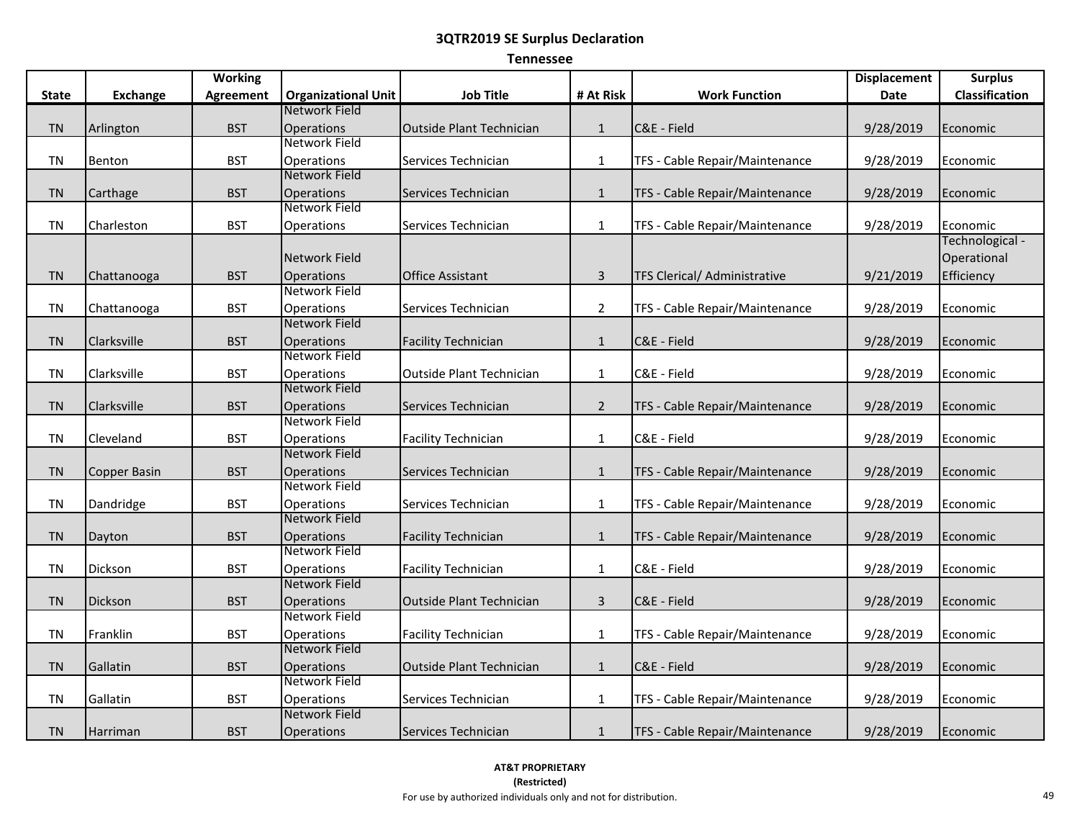# **Tennessee**

|              |                 | <b>Working</b>   |                                           |                                 |                |                                | <b>Displacement</b> | <b>Surplus</b>  |
|--------------|-----------------|------------------|-------------------------------------------|---------------------------------|----------------|--------------------------------|---------------------|-----------------|
| <b>State</b> | <b>Exchange</b> | <b>Agreement</b> | <b>Organizational Unit</b>                | <b>Job Title</b>                | # At Risk      | <b>Work Function</b>           | <b>Date</b>         | Classification  |
|              |                 |                  | Network Field                             |                                 |                |                                |                     |                 |
| <b>TN</b>    | Arlington       | <b>BST</b>       | <b>Operations</b>                         | <b>Outside Plant Technician</b> | $\mathbf{1}$   | C&E - Field                    | 9/28/2019           | Economic        |
|              |                 |                  | Network Field                             |                                 |                |                                |                     |                 |
| <b>TN</b>    | Benton          | <b>BST</b>       | Operations                                | Services Technician             | $\mathbf{1}$   | TFS - Cable Repair/Maintenance | 9/28/2019           | Economic        |
|              |                 |                  | <b>Network Field</b>                      |                                 |                |                                |                     |                 |
| <b>TN</b>    | Carthage        | <b>BST</b>       | Operations                                | Services Technician             | $\mathbf{1}$   | TFS - Cable Repair/Maintenance | 9/28/2019           | Economic        |
|              |                 |                  | Network Field                             |                                 |                |                                |                     |                 |
| <b>TN</b>    | Charleston      | <b>BST</b>       | Operations                                | Services Technician             | $\mathbf{1}$   | TFS - Cable Repair/Maintenance | 9/28/2019           | Economic        |
|              |                 |                  |                                           |                                 |                |                                |                     | Technological - |
|              |                 |                  | Network Field                             |                                 |                |                                |                     | Operational     |
| <b>TN</b>    | Chattanooga     | <b>BST</b>       | Operations                                | Office Assistant                | $\overline{3}$ | TFS Clerical/ Administrative   | 9/21/2019           | Efficiency      |
|              |                 |                  | <b>Network Field</b>                      |                                 |                |                                |                     |                 |
| <b>TN</b>    | Chattanooga     | <b>BST</b>       | Operations                                | Services Technician             | $\overline{2}$ | TFS - Cable Repair/Maintenance | 9/28/2019           | Economic        |
|              |                 |                  | <b>Network Field</b>                      |                                 |                |                                |                     |                 |
| <b>TN</b>    | Clarksville     | <b>BST</b>       | Operations                                | <b>Facility Technician</b>      | $\mathbf{1}$   | C&E - Field                    | 9/28/2019           | Economic        |
|              |                 |                  | Network Field                             |                                 |                |                                |                     |                 |
| <b>TN</b>    | Clarksville     | <b>BST</b>       | Operations<br><b>Network Field</b>        | Outside Plant Technician        | $\mathbf{1}$   | C&E - Field                    | 9/28/2019           | Economic        |
|              |                 |                  |                                           |                                 |                |                                |                     |                 |
| <b>TN</b>    | Clarksville     | <b>BST</b>       | <b>Operations</b><br><b>Network Field</b> | Services Technician             | $\overline{2}$ | TFS - Cable Repair/Maintenance | 9/28/2019           | Economic        |
|              |                 |                  |                                           |                                 |                |                                |                     |                 |
| TN           | Cleveland       | <b>BST</b>       | Operations<br><b>Network Field</b>        | <b>Facility Technician</b>      | $\mathbf{1}$   | C&E - Field                    | 9/28/2019           | Economic        |
| <b>TN</b>    |                 | <b>BST</b>       | <b>Operations</b>                         | Services Technician             | $\mathbf{1}$   | TFS - Cable Repair/Maintenance | 9/28/2019           | Economic        |
|              | Copper Basin    |                  | Network Field                             |                                 |                |                                |                     |                 |
| <b>TN</b>    | Dandridge       | <b>BST</b>       | Operations                                | Services Technician             | $\mathbf{1}$   | TFS - Cable Repair/Maintenance | 9/28/2019           | Economic        |
|              |                 |                  | <b>Network Field</b>                      |                                 |                |                                |                     |                 |
| <b>TN</b>    | Dayton          | <b>BST</b>       | Operations                                | <b>Facility Technician</b>      | $\mathbf{1}$   | TFS - Cable Repair/Maintenance | 9/28/2019           | Economic        |
|              |                 |                  | Network Field                             |                                 |                |                                |                     |                 |
| TN           | Dickson         | <b>BST</b>       | Operations                                | <b>Facility Technician</b>      | $\mathbf{1}$   | C&E - Field                    | 9/28/2019           | Economic        |
|              |                 |                  | Network Field                             |                                 |                |                                |                     |                 |
| <b>TN</b>    | Dickson         | <b>BST</b>       | <b>Operations</b>                         | <b>Outside Plant Technician</b> | $\mathbf{3}$   | C&E - Field                    | 9/28/2019           | Economic        |
|              |                 |                  | Network Field                             |                                 |                |                                |                     |                 |
| <b>TN</b>    | Franklin        | <b>BST</b>       | <b>Operations</b>                         | <b>Facility Technician</b>      | $\mathbf{1}$   | TFS - Cable Repair/Maintenance | 9/28/2019           | Economic        |
|              |                 |                  | <b>Network Field</b>                      |                                 |                |                                |                     |                 |
| <b>TN</b>    | Gallatin        | <b>BST</b>       | Operations                                | <b>Outside Plant Technician</b> | $\mathbf{1}$   | C&E - Field                    | 9/28/2019           | Economic        |
|              |                 |                  | Network Field                             |                                 |                |                                |                     |                 |
| <b>TN</b>    | Gallatin        | <b>BST</b>       | Operations                                | Services Technician             | $\mathbf{1}$   | TFS - Cable Repair/Maintenance | 9/28/2019           | Economic        |
|              |                 |                  | Network Field                             |                                 |                |                                |                     |                 |
| <b>TN</b>    | Harriman        | <b>BST</b>       | Operations                                | Services Technician             | $\mathbf{1}$   | TFS - Cable Repair/Maintenance | 9/28/2019           | Economic        |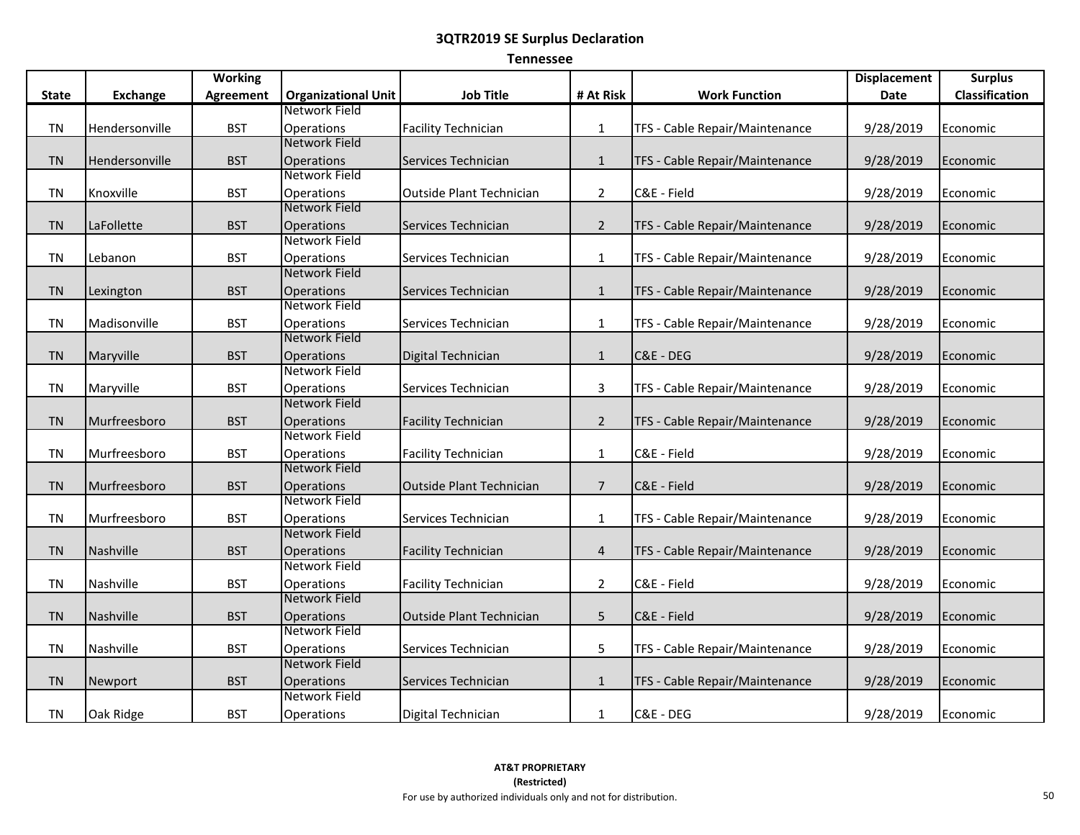# **Tennessee**

|              |                 | <b>Working</b> |                                    |                                 |                |                                | <b>Displacement</b> | <b>Surplus</b> |
|--------------|-----------------|----------------|------------------------------------|---------------------------------|----------------|--------------------------------|---------------------|----------------|
| <b>State</b> | <b>Exchange</b> | Agreement      | <b>Organizational Unit</b>         | <b>Job Title</b>                | # At Risk      | <b>Work Function</b>           | Date                | Classification |
|              |                 |                | Network Field                      |                                 |                |                                |                     |                |
| <b>TN</b>    | Hendersonville  | <b>BST</b>     | Operations                         | <b>Facility Technician</b>      | $\mathbf{1}$   | TFS - Cable Repair/Maintenance | 9/28/2019           | Economic       |
|              |                 |                | <b>Network Field</b>               |                                 |                |                                |                     |                |
| <b>TN</b>    | Hendersonville  | <b>BST</b>     | <b>Operations</b>                  | Services Technician             | $\mathbf{1}$   | TFS - Cable Repair/Maintenance | 9/28/2019           | Economic       |
|              |                 |                | Network Field                      |                                 |                |                                |                     |                |
| <b>TN</b>    | Knoxville       | <b>BST</b>     | Operations                         | Outside Plant Technician        | $\overline{2}$ | C&E - Field                    | 9/28/2019           | Economic       |
|              |                 |                | <b>Network Field</b>               |                                 |                |                                |                     |                |
| <b>TN</b>    | LaFollette      | <b>BST</b>     | <b>Operations</b>                  | Services Technician             | $\overline{2}$ | TFS - Cable Repair/Maintenance | 9/28/2019           | Economic       |
|              |                 |                | Network Field                      |                                 |                |                                |                     |                |
| <b>TN</b>    | Lebanon         | <b>BST</b>     | <b>Operations</b>                  | Services Technician             | $\mathbf{1}$   | TFS - Cable Repair/Maintenance | 9/28/2019           | Economic       |
|              |                 |                | <b>Network Field</b>               |                                 |                |                                |                     |                |
| <b>TN</b>    | Lexington       | <b>BST</b>     | <b>Operations</b>                  | Services Technician             | $\mathbf{1}$   | TFS - Cable Repair/Maintenance | 9/28/2019           | Economic       |
|              |                 |                | Network Field                      |                                 |                |                                |                     |                |
| <b>TN</b>    | Madisonville    | <b>BST</b>     | <b>Operations</b>                  | Services Technician             | $\mathbf{1}$   | TFS - Cable Repair/Maintenance | 9/28/2019           | Economic       |
|              |                 |                | <b>Network Field</b>               |                                 |                |                                |                     |                |
| <b>TN</b>    | Maryville       | <b>BST</b>     | Operations<br>Network Field        | Digital Technician              | $\mathbf{1}$   | C&E - DEG                      | 9/28/2019           | Economic       |
|              |                 |                |                                    |                                 |                |                                |                     |                |
| <b>TN</b>    | Maryville       | <b>BST</b>     | Operations<br><b>Network Field</b> | Services Technician             | $\mathbf{3}$   | TFS - Cable Repair/Maintenance | 9/28/2019           | Economic       |
|              |                 |                |                                    |                                 |                |                                |                     |                |
| <b>TN</b>    | Murfreesboro    | <b>BST</b>     | Operations<br>Network Field        | <b>Facility Technician</b>      | $\overline{2}$ | TFS - Cable Repair/Maintenance | 9/28/2019           | Economic       |
| <b>TN</b>    | Murfreesboro    | <b>BST</b>     | Operations                         | <b>Facility Technician</b>      | $\mathbf{1}$   | C&E - Field                    | 9/28/2019           |                |
|              |                 |                | <b>Network Field</b>               |                                 |                |                                |                     | Economic       |
| <b>TN</b>    | Murfreesboro    | <b>BST</b>     | <b>Operations</b>                  | Outside Plant Technician        | $\overline{7}$ | C&E - Field                    | 9/28/2019           | Economic       |
|              |                 |                | Network Field                      |                                 |                |                                |                     |                |
| <b>TN</b>    | Murfreesboro    | <b>BST</b>     | <b>Operations</b>                  | Services Technician             | $\mathbf{1}$   | TFS - Cable Repair/Maintenance | 9/28/2019           | Economic       |
|              |                 |                | <b>Network Field</b>               |                                 |                |                                |                     |                |
| <b>TN</b>    | Nashville       | <b>BST</b>     | <b>Operations</b>                  | <b>Facility Technician</b>      | $\overline{4}$ | TFS - Cable Repair/Maintenance | 9/28/2019           | Economic       |
|              |                 |                | <b>Network Field</b>               |                                 |                |                                |                     |                |
| <b>TN</b>    | Nashville       | <b>BST</b>     | Operations                         | <b>Facility Technician</b>      | $\overline{2}$ | C&E - Field                    | 9/28/2019           | Economic       |
|              |                 |                | <b>Network Field</b>               |                                 |                |                                |                     |                |
| <b>TN</b>    | Nashville       | <b>BST</b>     | <b>Operations</b>                  | <b>Outside Plant Technician</b> | 5              | C&E - Field                    | 9/28/2019           | Economic       |
|              |                 |                | <b>Network Field</b>               |                                 |                |                                |                     |                |
| <b>TN</b>    | Nashville       | <b>BST</b>     | Operations                         | Services Technician             | 5              | TFS - Cable Repair/Maintenance | 9/28/2019           | Economic       |
|              |                 |                | <b>Network Field</b>               |                                 |                |                                |                     |                |
| <b>TN</b>    | Newport         | <b>BST</b>     | Operations                         | Services Technician             | $\mathbf{1}$   | TFS - Cable Repair/Maintenance | 9/28/2019           | Economic       |
|              |                 |                | Network Field                      |                                 |                |                                |                     |                |
| <b>TN</b>    | Oak Ridge       | <b>BST</b>     | <b>Operations</b>                  | Digital Technician              | $\mathbf{1}$   | C&E - DEG                      | 9/28/2019           | Economic       |